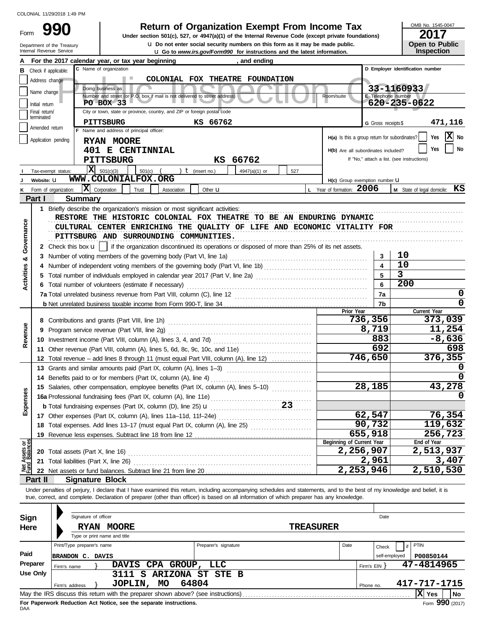| Form |                                                        |
|------|--------------------------------------------------------|
|      | Department of the Treasury<br>Internal Revenue Service |

**u** Go to *www.irs.gov/Form990* for instructions and the latest information. **u** Do not enter social security numbers on this form as it may be made public. **990 1990 2017 2018 2017 Depend From Income Tax 1947(a)(1) of the Internal Revenue Code (except private foundations)** 

OMB No. 1545-0047

| _____ |                   |
|-------|-------------------|
|       | Open to Public    |
|       | <b>Inspection</b> |

|                                |                                                                       | For the 2017 calendar year, or tax year beginning<br>and ending                                                                                                            |                  |                           |                                     |                                                              |  |  |  |  |  |  |  |
|--------------------------------|-----------------------------------------------------------------------|----------------------------------------------------------------------------------------------------------------------------------------------------------------------------|------------------|---------------------------|-------------------------------------|--------------------------------------------------------------|--|--|--|--|--|--|--|
| в                              |                                                                       | C Name of organization<br>Check if applicable:                                                                                                                             |                  |                           |                                     | D Employer identification number                             |  |  |  |  |  |  |  |
|                                | COLONIAL FOX THEATRE FOUNDATION<br>Address change                     |                                                                                                                                                                            |                  |                           |                                     |                                                              |  |  |  |  |  |  |  |
|                                | Name change                                                           | Doing business as                                                                                                                                                          |                  |                           |                                     | 33-1160933                                                   |  |  |  |  |  |  |  |
|                                |                                                                       | Number and street (or P.O. box if mail is not delivered to street address)                                                                                                 |                  | Room/suite                | E Telephone number                  |                                                              |  |  |  |  |  |  |  |
|                                | Initial return                                                        | <b>PO BOX 33</b>                                                                                                                                                           |                  |                           |                                     | 620-235-0622                                                 |  |  |  |  |  |  |  |
|                                | Final return/<br>terminated                                           | City or town, state or province, country, and ZIP or foreign postal code                                                                                                   |                  |                           |                                     |                                                              |  |  |  |  |  |  |  |
|                                | <b>PITTSBURG</b><br>KS 66762<br>G Gross receipts \$<br>Amended return |                                                                                                                                                                            |                  |                           |                                     |                                                              |  |  |  |  |  |  |  |
|                                |                                                                       | F Name and address of principal officer:                                                                                                                                   |                  |                           |                                     |                                                              |  |  |  |  |  |  |  |
|                                |                                                                       | Application pending<br><b>RYAN MOORE</b>                                                                                                                                   |                  |                           |                                     | X No<br>H(a) Is this a group return for subordinates?<br>Yes |  |  |  |  |  |  |  |
|                                |                                                                       | 401 E CENTINNIAL                                                                                                                                                           |                  |                           | H(b) Are all subordinates included? | No<br>Yes                                                    |  |  |  |  |  |  |  |
|                                |                                                                       | KS 66762<br><b>PITTSBURG</b>                                                                                                                                               |                  |                           |                                     | If "No," attach a list. (see instructions)                   |  |  |  |  |  |  |  |
|                                |                                                                       | $ \mathbf{X} $ 501(c)(3)<br>$501(c)$ (<br>) $t$ (insert no.)<br>4947(a)(1) or<br>Tax-exempt status:                                                                        | 527              |                           |                                     |                                                              |  |  |  |  |  |  |  |
|                                | Website: U                                                            | WWW.COLONIALFOX.ORG                                                                                                                                                        |                  |                           |                                     |                                                              |  |  |  |  |  |  |  |
|                                |                                                                       |                                                                                                                                                                            |                  | L Year of formation: 2006 | H(c) Group exemption number LI      | M State of legal domicile: KS                                |  |  |  |  |  |  |  |
|                                |                                                                       | $ \mathbf{X} $ Corporation<br>Form of organization:<br>Trust<br>Other <b>u</b><br>Association                                                                              |                  |                           |                                     |                                                              |  |  |  |  |  |  |  |
|                                | Part I                                                                | <b>Summary</b>                                                                                                                                                             |                  |                           |                                     |                                                              |  |  |  |  |  |  |  |
|                                |                                                                       | 1 Briefly describe the organization's mission or most significant activities:                                                                                              |                  |                           |                                     |                                                              |  |  |  |  |  |  |  |
|                                |                                                                       | RESTORE THE HISTORIC COLONIAL FOX THEATRE TO BE AN ENDURING DYNAMIC                                                                                                        |                  |                           |                                     |                                                              |  |  |  |  |  |  |  |
|                                |                                                                       | CULTURAL CENTER ENRICHING THE QUALITY OF LIFE AND ECONOMIC VITALITY FOR                                                                                                    |                  |                           |                                     |                                                              |  |  |  |  |  |  |  |
| Governance                     |                                                                       | PITTSBURG AND SURROUNDING COMMUNITIES.                                                                                                                                     |                  |                           |                                     |                                                              |  |  |  |  |  |  |  |
|                                |                                                                       | 2 Check this box $\mathbf{u}$   if the organization discontinued its operations or disposed of more than 25% of its net assets.                                            |                  |                           |                                     |                                                              |  |  |  |  |  |  |  |
| ಯ                              |                                                                       | 3 Number of voting members of the governing body (Part VI, line 1a)                                                                                                        |                  |                           | 3                                   | 10                                                           |  |  |  |  |  |  |  |
|                                |                                                                       |                                                                                                                                                                            |                  |                           | 4                                   | 10                                                           |  |  |  |  |  |  |  |
|                                |                                                                       |                                                                                                                                                                            |                  |                           | 5                                   | $\overline{3}$                                               |  |  |  |  |  |  |  |
| Activities                     |                                                                       | 6 Total number of volunteers (estimate if necessary)                                                                                                                       |                  |                           | 6                                   | 200                                                          |  |  |  |  |  |  |  |
|                                |                                                                       |                                                                                                                                                                            |                  |                           | 7a                                  | 0                                                            |  |  |  |  |  |  |  |
|                                |                                                                       |                                                                                                                                                                            |                  |                           | 7b                                  | $\mathbf{0}$                                                 |  |  |  |  |  |  |  |
|                                |                                                                       |                                                                                                                                                                            |                  | Prior Year                |                                     | Current Year                                                 |  |  |  |  |  |  |  |
|                                |                                                                       |                                                                                                                                                                            |                  |                           | 736,356                             | 373,039                                                      |  |  |  |  |  |  |  |
|                                | 9                                                                     |                                                                                                                                                                            |                  |                           | 8,719                               | 11,254                                                       |  |  |  |  |  |  |  |
| Revenue                        |                                                                       |                                                                                                                                                                            |                  |                           | 883                                 | $-8,636$                                                     |  |  |  |  |  |  |  |
|                                |                                                                       |                                                                                                                                                                            |                  |                           | 692                                 | 698                                                          |  |  |  |  |  |  |  |
|                                |                                                                       | 11 Other revenue (Part VIII, column (A), lines 5, 6d, 8c, 9c, 10c, and 11e)                                                                                                |                  |                           | 746,650                             | 376,355                                                      |  |  |  |  |  |  |  |
|                                |                                                                       | 12 Total revenue - add lines 8 through 11 (must equal Part VIII, column (A), line 12)                                                                                      |                  |                           |                                     |                                                              |  |  |  |  |  |  |  |
|                                |                                                                       | 13 Grants and similar amounts paid (Part IX, column (A), lines 1-3)                                                                                                        |                  |                           |                                     |                                                              |  |  |  |  |  |  |  |
|                                |                                                                       |                                                                                                                                                                            |                  |                           |                                     | 0                                                            |  |  |  |  |  |  |  |
|                                |                                                                       | 15 Salaries, other compensation, employee benefits (Part IX, column (A), lines 5-10)                                                                                       |                  |                           | 28,185                              | 43,278                                                       |  |  |  |  |  |  |  |
|                                |                                                                       |                                                                                                                                                                            |                  |                           |                                     |                                                              |  |  |  |  |  |  |  |
| Expenses                       |                                                                       |                                                                                                                                                                            | 23               |                           |                                     |                                                              |  |  |  |  |  |  |  |
|                                |                                                                       | 17 Other expenses (Part IX, column (A), lines 11a–11d, 11f–24e)                                                                                                            |                  |                           | 62,547                              | $\overline{76}$ , 354                                        |  |  |  |  |  |  |  |
|                                |                                                                       | 18 Total expenses. Add lines 13-17 (must equal Part IX, column (A), line 25) [                                                                                             |                  |                           | 90,732                              | 119,632                                                      |  |  |  |  |  |  |  |
|                                |                                                                       |                                                                                                                                                                            |                  |                           | 655,918                             | 256,723                                                      |  |  |  |  |  |  |  |
|                                |                                                                       |                                                                                                                                                                            |                  | Beginning of Current Year |                                     | End of Year                                                  |  |  |  |  |  |  |  |
| Net Assets or<br>Fund Balances |                                                                       | 20 Total assets (Part X, line 16)                                                                                                                                          |                  |                           | 2,256,907                           | 2,513,937                                                    |  |  |  |  |  |  |  |
|                                |                                                                       | 21 Total liabilities (Part X, line 26)                                                                                                                                     |                  |                           | 2,961                               | 3,407                                                        |  |  |  |  |  |  |  |
|                                |                                                                       |                                                                                                                                                                            |                  |                           | 2,253,946                           | 2,510,530                                                    |  |  |  |  |  |  |  |
|                                | Part II                                                               | <b>Signature Block</b>                                                                                                                                                     |                  |                           |                                     |                                                              |  |  |  |  |  |  |  |
|                                |                                                                       | Under penalties of perjury, I declare that I have examined this return, including accompanying schedules and statements, and to the best of my knowledge and belief, it is |                  |                           |                                     |                                                              |  |  |  |  |  |  |  |
|                                |                                                                       | true, correct, and complete. Declaration of preparer (other than officer) is based on all information of which preparer has any knowledge.                                 |                  |                           |                                     |                                                              |  |  |  |  |  |  |  |
|                                |                                                                       |                                                                                                                                                                            |                  |                           |                                     |                                                              |  |  |  |  |  |  |  |
| Sign                           |                                                                       | Signature of officer                                                                                                                                                       |                  |                           | Date                                |                                                              |  |  |  |  |  |  |  |
| Here                           |                                                                       | <b>RYAN MOORE</b>                                                                                                                                                          | <b>TREASURER</b> |                           |                                     |                                                              |  |  |  |  |  |  |  |
|                                |                                                                       | Type or print name and title                                                                                                                                               |                  |                           |                                     |                                                              |  |  |  |  |  |  |  |
|                                |                                                                       | Print/Type preparer's name<br>Preparer's signature                                                                                                                         |                  | Date                      |                                     | <b>PTIN</b>                                                  |  |  |  |  |  |  |  |
| Paid                           |                                                                       |                                                                                                                                                                            |                  |                           | Check                               |                                                              |  |  |  |  |  |  |  |
|                                |                                                                       | BRANDON C. DAVIS                                                                                                                                                           |                  |                           | self-employed                       | P00850144                                                    |  |  |  |  |  |  |  |
|                                | <b>Preparer</b>                                                       | CPA GROUP, LLC<br><b>DAVIS</b><br>Firm's name                                                                                                                              |                  |                           | Firm's EIN                          | 47-4814965                                                   |  |  |  |  |  |  |  |
|                                | Use Only                                                              | 3111 S ARIZONA ST STE B                                                                                                                                                    |                  |                           |                                     |                                                              |  |  |  |  |  |  |  |
|                                |                                                                       | 64804<br>JOPLIN, MO<br>Firm's address                                                                                                                                      |                  |                           | Phone no.                           | 417-717-1715                                                 |  |  |  |  |  |  |  |
|                                |                                                                       |                                                                                                                                                                            |                  |                           |                                     | $ \overline{\mathbf{X}} $ Yes<br>No                          |  |  |  |  |  |  |  |

| Sign     |                              | Signature of officer       |                                                                                   |                      |      |              | Date          |                    |
|----------|------------------------------|----------------------------|-----------------------------------------------------------------------------------|----------------------|------|--------------|---------------|--------------------|
| Here     |                              | <b>RYAN</b>                | <b>MOORE</b>                                                                      | <b>TREASURER</b>     |      |              |               |                    |
|          | Type or print name and title |                            |                                                                                   |                      |      |              |               |                    |
|          |                              | Print/Type preparer's name |                                                                                   | Preparer's signature | Date |              | Check         | PTIN               |
| Paid     | BRANDON C.                   | <b>DAVIS</b>               |                                                                                   |                      |      |              | self-employed | P00850144          |
| Preparer | Firm's name                  |                            | DAVIS CPA GROUP, LLC                                                              |                      |      | Firm's EIN Y |               | 47-4814965         |
| Use Only |                              |                            | 3111 S                                                                            | ARIZONA ST STE B     |      |              |               |                    |
|          | Firm's address               |                            | MO.<br>JOPLIN,                                                                    | 64804                |      | Phone no.    |               | 417-717-1715       |
|          |                              |                            | May the IRS discuss this return with the preparer shown above? (see instructions) |                      |      |              |               | X Yes<br><b>No</b> |
|          |                              |                            | Ear Panorwark Paduction Act Notice, can the congrate instructions.                |                      |      |              |               | 5.000(0.001)       |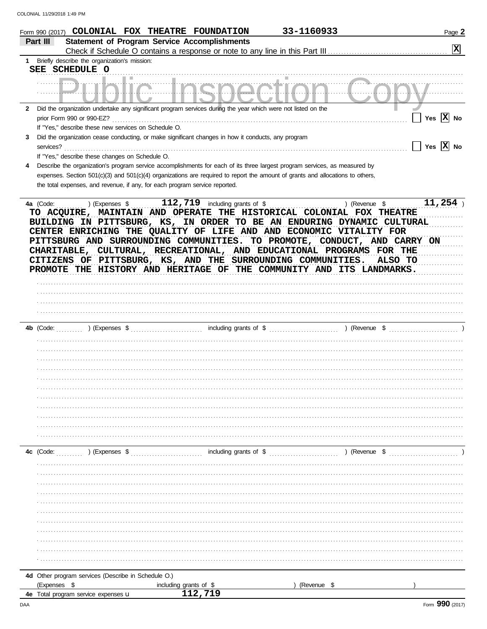|                |                                                                             | Form 990 (2017) COLONIAL FOX THEATRE FOUNDATION                                                                                                                                                                                                                                                                                                                                                                                         | 33-1160933    | Page 2                |
|----------------|-----------------------------------------------------------------------------|-----------------------------------------------------------------------------------------------------------------------------------------------------------------------------------------------------------------------------------------------------------------------------------------------------------------------------------------------------------------------------------------------------------------------------------------|---------------|-----------------------|
| Part III       |                                                                             | <b>Statement of Program Service Accomplishments</b>                                                                                                                                                                                                                                                                                                                                                                                     |               |                       |
|                |                                                                             | Check if Schedule O contains a response or note to any line in this Part III [11] [11] [11] [11] [11] [11] [1                                                                                                                                                                                                                                                                                                                           |               | $\boxed{\mathbf{X}}$  |
| SEE SCHEDULE O | Briefly describe the organization's mission:                                |                                                                                                                                                                                                                                                                                                                                                                                                                                         |               |                       |
|                |                                                                             |                                                                                                                                                                                                                                                                                                                                                                                                                                         |               |                       |
|                |                                                                             |                                                                                                                                                                                                                                                                                                                                                                                                                                         |               |                       |
| $\mathbf{2}$   |                                                                             | Did the organization undertake any significant program services during the year which were not listed on the                                                                                                                                                                                                                                                                                                                            |               |                       |
|                |                                                                             |                                                                                                                                                                                                                                                                                                                                                                                                                                         |               | Yes $X$ No            |
|                | If "Yes," describe these new services on Schedule O.                        |                                                                                                                                                                                                                                                                                                                                                                                                                                         |               |                       |
| 3<br>services? |                                                                             | Did the organization cease conducting, or make significant changes in how it conducts, any program                                                                                                                                                                                                                                                                                                                                      |               | Yes $ \mathbf{X} $ No |
|                | If "Yes," describe these changes on Schedule O.                             |                                                                                                                                                                                                                                                                                                                                                                                                                                         |               |                       |
| 4              |                                                                             | Describe the organization's program service accomplishments for each of its three largest program services, as measured by                                                                                                                                                                                                                                                                                                              |               |                       |
|                |                                                                             | expenses. Section 501(c)(3) and 501(c)(4) organizations are required to report the amount of grants and allocations to others,                                                                                                                                                                                                                                                                                                          |               |                       |
|                | the total expenses, and revenue, if any, for each program service reported. |                                                                                                                                                                                                                                                                                                                                                                                                                                         |               |                       |
|                |                                                                             | BUILDING IN PITTSBURG, KS, IN ORDER TO BE AN ENDURING DYNAMIC CULTURAL<br>CENTER ENRICHING THE QUALITY OF LIFE AND AND ECONOMIC VITALITY FOR<br>PITTSBURG AND SURROUNDING COMMUNITIES. TO PROMOTE, CONDUCT, AND CARRY ON<br>CHARITABLE, CULTURAL, RECREATIONAL, AND EDUCATIONAL PROGRAMS FOR THE<br>CITIZENS OF PITTSBURG, KS, AND THE SURROUNDING COMMUNITIES.<br>PROMOTE THE HISTORY AND HERITAGE OF THE COMMUNITY AND ITS LANDMARKS. |               | ALSO TO               |
|                |                                                                             |                                                                                                                                                                                                                                                                                                                                                                                                                                         |               |                       |
|                |                                                                             |                                                                                                                                                                                                                                                                                                                                                                                                                                         |               |                       |
|                |                                                                             |                                                                                                                                                                                                                                                                                                                                                                                                                                         |               |                       |
|                |                                                                             |                                                                                                                                                                                                                                                                                                                                                                                                                                         |               |                       |
| 4b $(Code:$    |                                                                             | ) (Expenses $\sqrt[3]{2}$ , $\sqrt[3]{2}$ , $\sqrt[3]{2}$ , $\sqrt[3]{2}$ , $\sqrt[3]{2}$ , $\sqrt[3]{2}$ , $\sqrt[3]{2}$ , $\sqrt[3]{2}$ , $\sqrt[3]{2}$ , $\sqrt[3]{2}$ , $\sqrt[3]{2}$ , $\sqrt[3]{2}$ , $\sqrt[3]{2}$ , $\sqrt[3]{2}$ , $\sqrt[3]{2}$ , $\sqrt[3]{2}$ , $\sqrt[3]{2}$ , $\sqrt[3]{2}$ , $\sqrt[3]{2}$ ,                                                                                                             |               |                       |
|                |                                                                             |                                                                                                                                                                                                                                                                                                                                                                                                                                         |               |                       |
|                |                                                                             |                                                                                                                                                                                                                                                                                                                                                                                                                                         |               |                       |
|                |                                                                             |                                                                                                                                                                                                                                                                                                                                                                                                                                         |               |                       |
|                |                                                                             |                                                                                                                                                                                                                                                                                                                                                                                                                                         |               |                       |
|                |                                                                             |                                                                                                                                                                                                                                                                                                                                                                                                                                         |               |                       |
|                |                                                                             |                                                                                                                                                                                                                                                                                                                                                                                                                                         |               |                       |
|                |                                                                             |                                                                                                                                                                                                                                                                                                                                                                                                                                         |               |                       |
|                |                                                                             |                                                                                                                                                                                                                                                                                                                                                                                                                                         |               |                       |
|                |                                                                             |                                                                                                                                                                                                                                                                                                                                                                                                                                         |               |                       |
|                |                                                                             |                                                                                                                                                                                                                                                                                                                                                                                                                                         |               |                       |
|                | 4c (Code: ) (Expenses \$                                                    | $\ldots$ , $\ldots$ , $\ldots$ including grants of \$ $\ldots$ , $\ldots$ , $\ldots$ , $\ldots$ , $\ldots$                                                                                                                                                                                                                                                                                                                              | ) (Revenue \$ |                       |
|                |                                                                             |                                                                                                                                                                                                                                                                                                                                                                                                                                         |               |                       |
|                |                                                                             |                                                                                                                                                                                                                                                                                                                                                                                                                                         |               |                       |
|                |                                                                             |                                                                                                                                                                                                                                                                                                                                                                                                                                         |               |                       |
|                |                                                                             |                                                                                                                                                                                                                                                                                                                                                                                                                                         |               |                       |
|                |                                                                             |                                                                                                                                                                                                                                                                                                                                                                                                                                         |               |                       |
|                |                                                                             |                                                                                                                                                                                                                                                                                                                                                                                                                                         |               |                       |
|                |                                                                             |                                                                                                                                                                                                                                                                                                                                                                                                                                         |               |                       |
|                |                                                                             |                                                                                                                                                                                                                                                                                                                                                                                                                                         |               |                       |
|                |                                                                             |                                                                                                                                                                                                                                                                                                                                                                                                                                         |               |                       |
|                |                                                                             |                                                                                                                                                                                                                                                                                                                                                                                                                                         |               |                       |
|                | 4d Other program services (Describe in Schedule O.)                         |                                                                                                                                                                                                                                                                                                                                                                                                                                         |               |                       |
| (Expenses \$   |                                                                             | including grants of \$                                                                                                                                                                                                                                                                                                                                                                                                                  | (Revenue \$   |                       |
|                | 4e Total program service expenses u                                         |                                                                                                                                                                                                                                                                                                                                                                                                                                         |               |                       |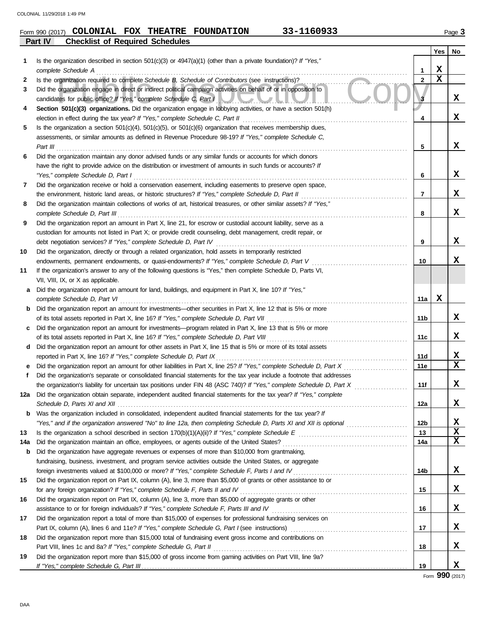### **Part IV Checklist of Required Schedules Form 990 (2017) COLONIAL FOX THEATRE FOUNDATION** 33-1160933 Page 3

|     |                                                                                                                                                                                                                                                                                                                                                                                                                                                                                                                                                                                                                                                                                  |                 | Yes | No     |
|-----|----------------------------------------------------------------------------------------------------------------------------------------------------------------------------------------------------------------------------------------------------------------------------------------------------------------------------------------------------------------------------------------------------------------------------------------------------------------------------------------------------------------------------------------------------------------------------------------------------------------------------------------------------------------------------------|-----------------|-----|--------|
| 1   | Is the organization described in section 501(c)(3) or 4947(a)(1) (other than a private foundation)? If "Yes,"                                                                                                                                                                                                                                                                                                                                                                                                                                                                                                                                                                    |                 |     |        |
|     | complete Schedule A                                                                                                                                                                                                                                                                                                                                                                                                                                                                                                                                                                                                                                                              | 1               | x   |        |
| 2   | Is the organization required to complete Schedule B, Schedule of Contributors (see instructions)?                                                                                                                                                                                                                                                                                                                                                                                                                                                                                                                                                                                | $\mathbf{2}$    | X   |        |
| 3   | Did the organization engage in direct or indirect political campaign activities on behalf of or in opposition to<br>candidates for public office? If "Yes," complete Schedule C, Part I                                                                                                                                                                                                                                                                                                                                                                                                                                                                                          |                 |     | X.     |
| 4   | Section 501(c)(3) organizations. Did the organization engage in lobbying activities, or have a section 501(h)                                                                                                                                                                                                                                                                                                                                                                                                                                                                                                                                                                    |                 |     |        |
|     | election in effect during the tax year? If "Yes," complete Schedule C, Part II                                                                                                                                                                                                                                                                                                                                                                                                                                                                                                                                                                                                   | 4               |     | X.     |
| 5   | Is the organization a section $501(c)(4)$ , $501(c)(5)$ , or $501(c)(6)$ organization that receives membership dues,                                                                                                                                                                                                                                                                                                                                                                                                                                                                                                                                                             |                 |     |        |
|     | assessments, or similar amounts as defined in Revenue Procedure 98-19? If "Yes," complete Schedule C.                                                                                                                                                                                                                                                                                                                                                                                                                                                                                                                                                                            |                 |     |        |
|     | Part III                                                                                                                                                                                                                                                                                                                                                                                                                                                                                                                                                                                                                                                                         | 5               |     | X.     |
| 6   | Did the organization maintain any donor advised funds or any similar funds or accounts for which donors                                                                                                                                                                                                                                                                                                                                                                                                                                                                                                                                                                          |                 |     |        |
|     | have the right to provide advice on the distribution or investment of amounts in such funds or accounts? If                                                                                                                                                                                                                                                                                                                                                                                                                                                                                                                                                                      |                 |     |        |
|     | "Yes," complete Schedule D, Part I                                                                                                                                                                                                                                                                                                                                                                                                                                                                                                                                                                                                                                               | 6               |     | x      |
| 7   | Did the organization receive or hold a conservation easement, including easements to preserve open space,                                                                                                                                                                                                                                                                                                                                                                                                                                                                                                                                                                        |                 |     |        |
|     | the environment, historic land areas, or historic structures? If "Yes," complete Schedule D, Part II                                                                                                                                                                                                                                                                                                                                                                                                                                                                                                                                                                             | 7               |     | X.     |
| 8   | Did the organization maintain collections of works of art, historical treasures, or other similar assets? If "Yes,"                                                                                                                                                                                                                                                                                                                                                                                                                                                                                                                                                              |                 |     |        |
|     | complete Schedule D, Part III                                                                                                                                                                                                                                                                                                                                                                                                                                                                                                                                                                                                                                                    | 8               |     | x      |
| 9   | Did the organization report an amount in Part X, line 21, for escrow or custodial account liability, serve as a                                                                                                                                                                                                                                                                                                                                                                                                                                                                                                                                                                  |                 |     |        |
|     | custodian for amounts not listed in Part X; or provide credit counseling, debt management, credit repair, or                                                                                                                                                                                                                                                                                                                                                                                                                                                                                                                                                                     |                 |     |        |
|     | debt negotiation services? If "Yes," complete Schedule D, Part IV                                                                                                                                                                                                                                                                                                                                                                                                                                                                                                                                                                                                                | 9               |     | x      |
| 10  | Did the organization, directly or through a related organization, hold assets in temporarily restricted                                                                                                                                                                                                                                                                                                                                                                                                                                                                                                                                                                          |                 |     |        |
|     | endowments, permanent endowments, or quasi-endowments? If "Yes," complete Schedule D, Part V                                                                                                                                                                                                                                                                                                                                                                                                                                                                                                                                                                                     | 10              |     | x      |
| 11  | If the organization's answer to any of the following questions is "Yes," then complete Schedule D, Parts VI,                                                                                                                                                                                                                                                                                                                                                                                                                                                                                                                                                                     |                 |     |        |
|     | VII, VIII, IX, or X as applicable.                                                                                                                                                                                                                                                                                                                                                                                                                                                                                                                                                                                                                                               |                 |     |        |
| a   | Did the organization report an amount for land, buildings, and equipment in Part X, line 10? If "Yes,"                                                                                                                                                                                                                                                                                                                                                                                                                                                                                                                                                                           |                 |     |        |
|     | complete Schedule D, Part VI                                                                                                                                                                                                                                                                                                                                                                                                                                                                                                                                                                                                                                                     | 11a             | x   |        |
| b   | Did the organization report an amount for investments—other securities in Part X, line 12 that is 5% or more                                                                                                                                                                                                                                                                                                                                                                                                                                                                                                                                                                     |                 |     |        |
|     | of its total assets reported in Part X, line 16? If "Yes," complete Schedule D, Part VII                                                                                                                                                                                                                                                                                                                                                                                                                                                                                                                                                                                         | 11b             |     | X.     |
| c   | Did the organization report an amount for investments—program related in Part X, line 13 that is 5% or more                                                                                                                                                                                                                                                                                                                                                                                                                                                                                                                                                                      |                 |     |        |
|     | of its total assets reported in Part X, line 16? If "Yes," complete Schedule D, Part VIII                                                                                                                                                                                                                                                                                                                                                                                                                                                                                                                                                                                        | 11c             |     | x      |
| d   | Did the organization report an amount for other assets in Part X, line 15 that is 5% or more of its total assets                                                                                                                                                                                                                                                                                                                                                                                                                                                                                                                                                                 |                 |     |        |
|     | reported in Part X, line 16? If "Yes," complete Schedule D, Part IX                                                                                                                                                                                                                                                                                                                                                                                                                                                                                                                                                                                                              | 11d             |     | X      |
| е   | Did the organization report an amount for other liabilities in Part X, line 25? If "Yes," complete Schedule D, Part X                                                                                                                                                                                                                                                                                                                                                                                                                                                                                                                                                            | 11e             |     | X      |
| f   | Did the organization's separate or consolidated financial statements for the tax year include a footnote that addresses                                                                                                                                                                                                                                                                                                                                                                                                                                                                                                                                                          |                 |     |        |
|     | the organization's liability for uncertain tax positions under FIN 48 (ASC 740)? If "Yes," complete Schedule D, Part X                                                                                                                                                                                                                                                                                                                                                                                                                                                                                                                                                           | 11f             |     | X      |
| 12a | Did the organization obtain separate, independent audited financial statements for the tax year? If "Yes," complete                                                                                                                                                                                                                                                                                                                                                                                                                                                                                                                                                              |                 |     |        |
|     |                                                                                                                                                                                                                                                                                                                                                                                                                                                                                                                                                                                                                                                                                  | 12a             |     | х      |
| b   | Was the organization included in consolidated, independent audited financial statements for the tax year? If                                                                                                                                                                                                                                                                                                                                                                                                                                                                                                                                                                     |                 |     |        |
|     | "Yes," and if the organization answered "No" to line 12a, then completing Schedule D, Parts XI and XII is optional <i>mimimimimim</i>                                                                                                                                                                                                                                                                                                                                                                                                                                                                                                                                            | 12 <sub>b</sub> |     | X<br>X |
| 13  |                                                                                                                                                                                                                                                                                                                                                                                                                                                                                                                                                                                                                                                                                  | 13              |     |        |
| 14a | Did the organization maintain an office, employees, or agents outside of the United States?                                                                                                                                                                                                                                                                                                                                                                                                                                                                                                                                                                                      | 14a             |     | X      |
| b   | Did the organization have aggregate revenues or expenses of more than \$10,000 from grantmaking,                                                                                                                                                                                                                                                                                                                                                                                                                                                                                                                                                                                 |                 |     |        |
|     | fundraising, business, investment, and program service activities outside the United States, or aggregate                                                                                                                                                                                                                                                                                                                                                                                                                                                                                                                                                                        |                 |     |        |
|     |                                                                                                                                                                                                                                                                                                                                                                                                                                                                                                                                                                                                                                                                                  | 14b             |     | X      |
| 15  | Did the organization report on Part IX, column (A), line 3, more than \$5,000 of grants or other assistance to or                                                                                                                                                                                                                                                                                                                                                                                                                                                                                                                                                                |                 |     | X      |
|     |                                                                                                                                                                                                                                                                                                                                                                                                                                                                                                                                                                                                                                                                                  |                 |     |        |
| 16  |                                                                                                                                                                                                                                                                                                                                                                                                                                                                                                                                                                                                                                                                                  |                 |     | X.     |
| 17  |                                                                                                                                                                                                                                                                                                                                                                                                                                                                                                                                                                                                                                                                                  |                 |     |        |
|     |                                                                                                                                                                                                                                                                                                                                                                                                                                                                                                                                                                                                                                                                                  |                 |     | x      |
| 18  |                                                                                                                                                                                                                                                                                                                                                                                                                                                                                                                                                                                                                                                                                  |                 |     |        |
|     |                                                                                                                                                                                                                                                                                                                                                                                                                                                                                                                                                                                                                                                                                  |                 |     | x      |
| 19  |                                                                                                                                                                                                                                                                                                                                                                                                                                                                                                                                                                                                                                                                                  |                 |     |        |
|     |                                                                                                                                                                                                                                                                                                                                                                                                                                                                                                                                                                                                                                                                                  |                 |     | X,     |
|     | for any foreign organization? If "Yes," complete Schedule F, Parts II and IV [[[[[[[[[[[[[[[[[[[[[[[[[[[[[[[[<br>15<br>Did the organization report on Part IX, column (A), line 3, more than \$5,000 of aggregate grants or other<br>16<br>Did the organization report a total of more than \$15,000 of expenses for professional fundraising services on<br>17<br>Did the organization report more than \$15,000 total of fundraising event gross income and contributions on<br>Part VIII, lines 1c and 8a? If "Yes," complete Schedule G, Part II<br>18<br>Did the organization report more than \$15,000 of gross income from gaming activities on Part VIII, line 9a?<br>19 |                 |     |        |

Form **990** (2017)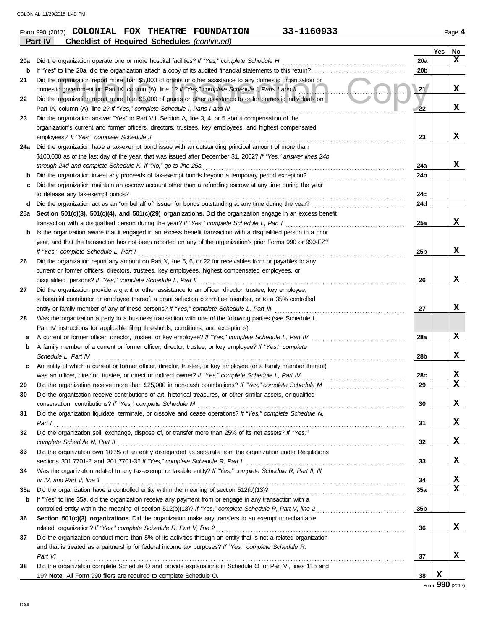| <b>Yes</b><br>No<br>X<br>20a<br>Did the organization operate one or more hospital facilities? If "Yes," complete Schedule H<br>20a<br>If "Yes" to line 20a, did the organization attach a copy of its audited financial statements to this return?<br>20 <sub>b</sub><br>b<br>Did the organization report more than \$5,000 of grants or other assistance to any domestic organization or<br>21<br>x<br>domestic government on Part IX, column (A), line 1? If "Yes," complete Schedule I, Parts I and II<br>21 <sub>2</sub><br>Did the organization report more than \$5,000 of grants or other assistance to or for domestic individuals on<br>22<br>X<br>Part IX, column (A), line 2? If "Yes," complete Schedule I, Parts I and III<br>22<br>Did the organization answer "Yes" to Part VII, Section A, line 3, 4, or 5 about compensation of the<br>23<br>organization's current and former officers, directors, trustees, key employees, and highest compensated<br>x<br>employees? If "Yes," complete Schedule J<br>23<br>Did the organization have a tax-exempt bond issue with an outstanding principal amount of more than<br>24a<br>\$100,000 as of the last day of the year, that was issued after December 31, 2002? If "Yes," answer lines 24b<br>X<br>through 24d and complete Schedule K. If "No," go to line 25a<br>24a<br>Did the organization invest any proceeds of tax-exempt bonds beyond a temporary period exception?<br>24b<br>b<br>Did the organization maintain an escrow account other than a refunding escrow at any time during the year<br>c<br>24c<br>to defease any tax-exempt bonds?<br>24d<br>d<br>Section 501(c)(3), 501(c)(4), and 501(c)(29) organizations. Did the organization engage in an excess benefit<br>25a<br>x<br>transaction with a disqualified person during the year? If "Yes," complete Schedule L, Part I<br>25a<br>Is the organization aware that it engaged in an excess benefit transaction with a disqualified person in a prior<br>b<br>year, and that the transaction has not been reported on any of the organization's prior Forms 990 or 990-EZ?<br>X<br>25 <sub>b</sub><br>If "Yes," complete Schedule L, Part I<br>Did the organization report any amount on Part X, line 5, 6, or 22 for receivables from or payables to any<br>26<br>current or former officers, directors, trustees, key employees, highest compensated employees, or<br>x<br>disqualified persons? If "Yes," complete Schedule L, Part II<br>26<br>Did the organization provide a grant or other assistance to an officer, director, trustee, key employee,<br>27<br>substantial contributor or employee thereof, a grant selection committee member, or to a 35% controlled<br>x<br>entity or family member of any of these persons? If "Yes," complete Schedule L, Part III<br>27<br>28<br>Was the organization a party to a business transaction with one of the following parties (see Schedule L,<br>Part IV instructions for applicable filing thresholds, conditions, and exceptions):<br>X<br>A current or former officer, director, trustee, or key employee? If "Yes," complete Schedule L, Part IV<br>28a<br>а<br>A family member of a current or former officer, director, trustee, or key employee? If "Yes," complete<br>b<br>x<br>28b<br>Schedule L, Part IV<br>An entity of which a current or former officer, director, trustee, or key employee (or a family member thereof)<br>c<br>X<br>was an officer, director, trustee, or direct or indirect owner? If "Yes," complete Schedule L, Part IV<br>28c<br>$\mathbf x$<br>29<br>Did the organization receive more than \$25,000 in non-cash contributions? If "Yes," complete Schedule M<br>29<br>30<br>Did the organization receive contributions of art, historical treasures, or other similar assets, or qualified<br>x<br>conservation contributions? If "Yes," complete Schedule M<br>30<br>Did the organization liquidate, terminate, or dissolve and cease operations? If "Yes," complete Schedule N,<br>31<br>x<br>31<br>Part $I$<br>Did the organization sell, exchange, dispose of, or transfer more than 25% of its net assets? If "Yes,"<br>32<br>X<br>32<br>complete Schedule N, Part II<br>Did the organization own 100% of an entity disregarded as separate from the organization under Regulations<br>33<br>X<br>33<br>Was the organization related to any tax-exempt or taxable entity? If "Yes," complete Schedule R, Part II, III,<br>34<br>X<br>or IV, and Part V, line 1<br>34<br>$\mathbf x$<br>35a<br>35a<br>If "Yes" to line 35a, did the organization receive any payment from or engage in any transaction with a<br>$\mathbf b$<br>35 <sub>b</sub><br>Section 501(c)(3) organizations. Did the organization make any transfers to an exempt non-charitable<br>36<br>x<br>related organization? If "Yes," complete Schedule R, Part V, line 2<br>36<br>Did the organization conduct more than 5% of its activities through an entity that is not a related organization<br>37<br>and that is treated as a partnership for federal income tax purposes? If "Yes," complete Schedule R,<br>x<br>Part VI<br>37<br>Did the organization complete Schedule O and provide explanations in Schedule O for Part VI, lines 11b and<br>38<br>X<br>19? Note. All Form 990 filers are required to complete Schedule O.<br>38<br>Form 990 (2017) | Part IV<br><b>Checklist of Required Schedules (continued)</b> |  |  |
|-----------------------------------------------------------------------------------------------------------------------------------------------------------------------------------------------------------------------------------------------------------------------------------------------------------------------------------------------------------------------------------------------------------------------------------------------------------------------------------------------------------------------------------------------------------------------------------------------------------------------------------------------------------------------------------------------------------------------------------------------------------------------------------------------------------------------------------------------------------------------------------------------------------------------------------------------------------------------------------------------------------------------------------------------------------------------------------------------------------------------------------------------------------------------------------------------------------------------------------------------------------------------------------------------------------------------------------------------------------------------------------------------------------------------------------------------------------------------------------------------------------------------------------------------------------------------------------------------------------------------------------------------------------------------------------------------------------------------------------------------------------------------------------------------------------------------------------------------------------------------------------------------------------------------------------------------------------------------------------------------------------------------------------------------------------------------------------------------------------------------------------------------------------------------------------------------------------------------------------------------------------------------------------------------------------------------------------------------------------------------------------------------------------------------------------------------------------------------------------------------------------------------------------------------------------------------------------------------------------------------------------------------------------------------------------------------------------------------------------------------------------------------------------------------------------------------------------------------------------------------------------------------------------------------------------------------------------------------------------------------------------------------------------------------------------------------------------------------------------------------------------------------------------------------------------------------------------------------------------------------------------------------------------------------------------------------------------------------------------------------------------------------------------------------------------------------------------------------------------------------------------------------------------------------------------------------------------------------------------------------------------------------------------------------------------------------------------------------------------------------------------------------------------------------------------------------------------------------------------------------------------------------------------------------------------------------------------------------------------------------------------------------------------------------------------------------------------------------------------------------------------------------------------------------------------------------------------------------------------------------------------------------------------------------------------------------------------------------------------------------------------------------------------------------------------------------------------------------------------------------------------------------------------------------------------------------------------------------------------------------------------------------------------------------------------------------------------------------------------------------------------------------------------------------------------------------------------------------------------------------------------------------------------------------------------------------------------------------------------------------------------------------------------------------------------------------------------------------------------------------------------------------------------------------------------------------------------------------------------------------------------------------------------------------------------------------------------------------------------------------|---------------------------------------------------------------|--|--|
|                                                                                                                                                                                                                                                                                                                                                                                                                                                                                                                                                                                                                                                                                                                                                                                                                                                                                                                                                                                                                                                                                                                                                                                                                                                                                                                                                                                                                                                                                                                                                                                                                                                                                                                                                                                                                                                                                                                                                                                                                                                                                                                                                                                                                                                                                                                                                                                                                                                                                                                                                                                                                                                                                                                                                                                                                                                                                                                                                                                                                                                                                                                                                                                                                                                                                                                                                                                                                                                                                                                                                                                                                                                                                                                                                                                                                                                                                                                                                                                                                                                                                                                                                                                                                                                                                                                                                                                                                                                                                                                                                                                                                                                                                                                                                                                                                                                                                                                                                                                                                                                                                                                                                                                                                                                                                                                                                                       |                                                               |  |  |
|                                                                                                                                                                                                                                                                                                                                                                                                                                                                                                                                                                                                                                                                                                                                                                                                                                                                                                                                                                                                                                                                                                                                                                                                                                                                                                                                                                                                                                                                                                                                                                                                                                                                                                                                                                                                                                                                                                                                                                                                                                                                                                                                                                                                                                                                                                                                                                                                                                                                                                                                                                                                                                                                                                                                                                                                                                                                                                                                                                                                                                                                                                                                                                                                                                                                                                                                                                                                                                                                                                                                                                                                                                                                                                                                                                                                                                                                                                                                                                                                                                                                                                                                                                                                                                                                                                                                                                                                                                                                                                                                                                                                                                                                                                                                                                                                                                                                                                                                                                                                                                                                                                                                                                                                                                                                                                                                                                       |                                                               |  |  |
|                                                                                                                                                                                                                                                                                                                                                                                                                                                                                                                                                                                                                                                                                                                                                                                                                                                                                                                                                                                                                                                                                                                                                                                                                                                                                                                                                                                                                                                                                                                                                                                                                                                                                                                                                                                                                                                                                                                                                                                                                                                                                                                                                                                                                                                                                                                                                                                                                                                                                                                                                                                                                                                                                                                                                                                                                                                                                                                                                                                                                                                                                                                                                                                                                                                                                                                                                                                                                                                                                                                                                                                                                                                                                                                                                                                                                                                                                                                                                                                                                                                                                                                                                                                                                                                                                                                                                                                                                                                                                                                                                                                                                                                                                                                                                                                                                                                                                                                                                                                                                                                                                                                                                                                                                                                                                                                                                                       |                                                               |  |  |
|                                                                                                                                                                                                                                                                                                                                                                                                                                                                                                                                                                                                                                                                                                                                                                                                                                                                                                                                                                                                                                                                                                                                                                                                                                                                                                                                                                                                                                                                                                                                                                                                                                                                                                                                                                                                                                                                                                                                                                                                                                                                                                                                                                                                                                                                                                                                                                                                                                                                                                                                                                                                                                                                                                                                                                                                                                                                                                                                                                                                                                                                                                                                                                                                                                                                                                                                                                                                                                                                                                                                                                                                                                                                                                                                                                                                                                                                                                                                                                                                                                                                                                                                                                                                                                                                                                                                                                                                                                                                                                                                                                                                                                                                                                                                                                                                                                                                                                                                                                                                                                                                                                                                                                                                                                                                                                                                                                       |                                                               |  |  |
|                                                                                                                                                                                                                                                                                                                                                                                                                                                                                                                                                                                                                                                                                                                                                                                                                                                                                                                                                                                                                                                                                                                                                                                                                                                                                                                                                                                                                                                                                                                                                                                                                                                                                                                                                                                                                                                                                                                                                                                                                                                                                                                                                                                                                                                                                                                                                                                                                                                                                                                                                                                                                                                                                                                                                                                                                                                                                                                                                                                                                                                                                                                                                                                                                                                                                                                                                                                                                                                                                                                                                                                                                                                                                                                                                                                                                                                                                                                                                                                                                                                                                                                                                                                                                                                                                                                                                                                                                                                                                                                                                                                                                                                                                                                                                                                                                                                                                                                                                                                                                                                                                                                                                                                                                                                                                                                                                                       |                                                               |  |  |
|                                                                                                                                                                                                                                                                                                                                                                                                                                                                                                                                                                                                                                                                                                                                                                                                                                                                                                                                                                                                                                                                                                                                                                                                                                                                                                                                                                                                                                                                                                                                                                                                                                                                                                                                                                                                                                                                                                                                                                                                                                                                                                                                                                                                                                                                                                                                                                                                                                                                                                                                                                                                                                                                                                                                                                                                                                                                                                                                                                                                                                                                                                                                                                                                                                                                                                                                                                                                                                                                                                                                                                                                                                                                                                                                                                                                                                                                                                                                                                                                                                                                                                                                                                                                                                                                                                                                                                                                                                                                                                                                                                                                                                                                                                                                                                                                                                                                                                                                                                                                                                                                                                                                                                                                                                                                                                                                                                       |                                                               |  |  |
|                                                                                                                                                                                                                                                                                                                                                                                                                                                                                                                                                                                                                                                                                                                                                                                                                                                                                                                                                                                                                                                                                                                                                                                                                                                                                                                                                                                                                                                                                                                                                                                                                                                                                                                                                                                                                                                                                                                                                                                                                                                                                                                                                                                                                                                                                                                                                                                                                                                                                                                                                                                                                                                                                                                                                                                                                                                                                                                                                                                                                                                                                                                                                                                                                                                                                                                                                                                                                                                                                                                                                                                                                                                                                                                                                                                                                                                                                                                                                                                                                                                                                                                                                                                                                                                                                                                                                                                                                                                                                                                                                                                                                                                                                                                                                                                                                                                                                                                                                                                                                                                                                                                                                                                                                                                                                                                                                                       |                                                               |  |  |
|                                                                                                                                                                                                                                                                                                                                                                                                                                                                                                                                                                                                                                                                                                                                                                                                                                                                                                                                                                                                                                                                                                                                                                                                                                                                                                                                                                                                                                                                                                                                                                                                                                                                                                                                                                                                                                                                                                                                                                                                                                                                                                                                                                                                                                                                                                                                                                                                                                                                                                                                                                                                                                                                                                                                                                                                                                                                                                                                                                                                                                                                                                                                                                                                                                                                                                                                                                                                                                                                                                                                                                                                                                                                                                                                                                                                                                                                                                                                                                                                                                                                                                                                                                                                                                                                                                                                                                                                                                                                                                                                                                                                                                                                                                                                                                                                                                                                                                                                                                                                                                                                                                                                                                                                                                                                                                                                                                       |                                                               |  |  |
|                                                                                                                                                                                                                                                                                                                                                                                                                                                                                                                                                                                                                                                                                                                                                                                                                                                                                                                                                                                                                                                                                                                                                                                                                                                                                                                                                                                                                                                                                                                                                                                                                                                                                                                                                                                                                                                                                                                                                                                                                                                                                                                                                                                                                                                                                                                                                                                                                                                                                                                                                                                                                                                                                                                                                                                                                                                                                                                                                                                                                                                                                                                                                                                                                                                                                                                                                                                                                                                                                                                                                                                                                                                                                                                                                                                                                                                                                                                                                                                                                                                                                                                                                                                                                                                                                                                                                                                                                                                                                                                                                                                                                                                                                                                                                                                                                                                                                                                                                                                                                                                                                                                                                                                                                                                                                                                                                                       |                                                               |  |  |
|                                                                                                                                                                                                                                                                                                                                                                                                                                                                                                                                                                                                                                                                                                                                                                                                                                                                                                                                                                                                                                                                                                                                                                                                                                                                                                                                                                                                                                                                                                                                                                                                                                                                                                                                                                                                                                                                                                                                                                                                                                                                                                                                                                                                                                                                                                                                                                                                                                                                                                                                                                                                                                                                                                                                                                                                                                                                                                                                                                                                                                                                                                                                                                                                                                                                                                                                                                                                                                                                                                                                                                                                                                                                                                                                                                                                                                                                                                                                                                                                                                                                                                                                                                                                                                                                                                                                                                                                                                                                                                                                                                                                                                                                                                                                                                                                                                                                                                                                                                                                                                                                                                                                                                                                                                                                                                                                                                       |                                                               |  |  |
|                                                                                                                                                                                                                                                                                                                                                                                                                                                                                                                                                                                                                                                                                                                                                                                                                                                                                                                                                                                                                                                                                                                                                                                                                                                                                                                                                                                                                                                                                                                                                                                                                                                                                                                                                                                                                                                                                                                                                                                                                                                                                                                                                                                                                                                                                                                                                                                                                                                                                                                                                                                                                                                                                                                                                                                                                                                                                                                                                                                                                                                                                                                                                                                                                                                                                                                                                                                                                                                                                                                                                                                                                                                                                                                                                                                                                                                                                                                                                                                                                                                                                                                                                                                                                                                                                                                                                                                                                                                                                                                                                                                                                                                                                                                                                                                                                                                                                                                                                                                                                                                                                                                                                                                                                                                                                                                                                                       |                                                               |  |  |
|                                                                                                                                                                                                                                                                                                                                                                                                                                                                                                                                                                                                                                                                                                                                                                                                                                                                                                                                                                                                                                                                                                                                                                                                                                                                                                                                                                                                                                                                                                                                                                                                                                                                                                                                                                                                                                                                                                                                                                                                                                                                                                                                                                                                                                                                                                                                                                                                                                                                                                                                                                                                                                                                                                                                                                                                                                                                                                                                                                                                                                                                                                                                                                                                                                                                                                                                                                                                                                                                                                                                                                                                                                                                                                                                                                                                                                                                                                                                                                                                                                                                                                                                                                                                                                                                                                                                                                                                                                                                                                                                                                                                                                                                                                                                                                                                                                                                                                                                                                                                                                                                                                                                                                                                                                                                                                                                                                       |                                                               |  |  |
|                                                                                                                                                                                                                                                                                                                                                                                                                                                                                                                                                                                                                                                                                                                                                                                                                                                                                                                                                                                                                                                                                                                                                                                                                                                                                                                                                                                                                                                                                                                                                                                                                                                                                                                                                                                                                                                                                                                                                                                                                                                                                                                                                                                                                                                                                                                                                                                                                                                                                                                                                                                                                                                                                                                                                                                                                                                                                                                                                                                                                                                                                                                                                                                                                                                                                                                                                                                                                                                                                                                                                                                                                                                                                                                                                                                                                                                                                                                                                                                                                                                                                                                                                                                                                                                                                                                                                                                                                                                                                                                                                                                                                                                                                                                                                                                                                                                                                                                                                                                                                                                                                                                                                                                                                                                                                                                                                                       |                                                               |  |  |
|                                                                                                                                                                                                                                                                                                                                                                                                                                                                                                                                                                                                                                                                                                                                                                                                                                                                                                                                                                                                                                                                                                                                                                                                                                                                                                                                                                                                                                                                                                                                                                                                                                                                                                                                                                                                                                                                                                                                                                                                                                                                                                                                                                                                                                                                                                                                                                                                                                                                                                                                                                                                                                                                                                                                                                                                                                                                                                                                                                                                                                                                                                                                                                                                                                                                                                                                                                                                                                                                                                                                                                                                                                                                                                                                                                                                                                                                                                                                                                                                                                                                                                                                                                                                                                                                                                                                                                                                                                                                                                                                                                                                                                                                                                                                                                                                                                                                                                                                                                                                                                                                                                                                                                                                                                                                                                                                                                       |                                                               |  |  |
|                                                                                                                                                                                                                                                                                                                                                                                                                                                                                                                                                                                                                                                                                                                                                                                                                                                                                                                                                                                                                                                                                                                                                                                                                                                                                                                                                                                                                                                                                                                                                                                                                                                                                                                                                                                                                                                                                                                                                                                                                                                                                                                                                                                                                                                                                                                                                                                                                                                                                                                                                                                                                                                                                                                                                                                                                                                                                                                                                                                                                                                                                                                                                                                                                                                                                                                                                                                                                                                                                                                                                                                                                                                                                                                                                                                                                                                                                                                                                                                                                                                                                                                                                                                                                                                                                                                                                                                                                                                                                                                                                                                                                                                                                                                                                                                                                                                                                                                                                                                                                                                                                                                                                                                                                                                                                                                                                                       |                                                               |  |  |
|                                                                                                                                                                                                                                                                                                                                                                                                                                                                                                                                                                                                                                                                                                                                                                                                                                                                                                                                                                                                                                                                                                                                                                                                                                                                                                                                                                                                                                                                                                                                                                                                                                                                                                                                                                                                                                                                                                                                                                                                                                                                                                                                                                                                                                                                                                                                                                                                                                                                                                                                                                                                                                                                                                                                                                                                                                                                                                                                                                                                                                                                                                                                                                                                                                                                                                                                                                                                                                                                                                                                                                                                                                                                                                                                                                                                                                                                                                                                                                                                                                                                                                                                                                                                                                                                                                                                                                                                                                                                                                                                                                                                                                                                                                                                                                                                                                                                                                                                                                                                                                                                                                                                                                                                                                                                                                                                                                       |                                                               |  |  |
|                                                                                                                                                                                                                                                                                                                                                                                                                                                                                                                                                                                                                                                                                                                                                                                                                                                                                                                                                                                                                                                                                                                                                                                                                                                                                                                                                                                                                                                                                                                                                                                                                                                                                                                                                                                                                                                                                                                                                                                                                                                                                                                                                                                                                                                                                                                                                                                                                                                                                                                                                                                                                                                                                                                                                                                                                                                                                                                                                                                                                                                                                                                                                                                                                                                                                                                                                                                                                                                                                                                                                                                                                                                                                                                                                                                                                                                                                                                                                                                                                                                                                                                                                                                                                                                                                                                                                                                                                                                                                                                                                                                                                                                                                                                                                                                                                                                                                                                                                                                                                                                                                                                                                                                                                                                                                                                                                                       |                                                               |  |  |
|                                                                                                                                                                                                                                                                                                                                                                                                                                                                                                                                                                                                                                                                                                                                                                                                                                                                                                                                                                                                                                                                                                                                                                                                                                                                                                                                                                                                                                                                                                                                                                                                                                                                                                                                                                                                                                                                                                                                                                                                                                                                                                                                                                                                                                                                                                                                                                                                                                                                                                                                                                                                                                                                                                                                                                                                                                                                                                                                                                                                                                                                                                                                                                                                                                                                                                                                                                                                                                                                                                                                                                                                                                                                                                                                                                                                                                                                                                                                                                                                                                                                                                                                                                                                                                                                                                                                                                                                                                                                                                                                                                                                                                                                                                                                                                                                                                                                                                                                                                                                                                                                                                                                                                                                                                                                                                                                                                       |                                                               |  |  |
|                                                                                                                                                                                                                                                                                                                                                                                                                                                                                                                                                                                                                                                                                                                                                                                                                                                                                                                                                                                                                                                                                                                                                                                                                                                                                                                                                                                                                                                                                                                                                                                                                                                                                                                                                                                                                                                                                                                                                                                                                                                                                                                                                                                                                                                                                                                                                                                                                                                                                                                                                                                                                                                                                                                                                                                                                                                                                                                                                                                                                                                                                                                                                                                                                                                                                                                                                                                                                                                                                                                                                                                                                                                                                                                                                                                                                                                                                                                                                                                                                                                                                                                                                                                                                                                                                                                                                                                                                                                                                                                                                                                                                                                                                                                                                                                                                                                                                                                                                                                                                                                                                                                                                                                                                                                                                                                                                                       |                                                               |  |  |
|                                                                                                                                                                                                                                                                                                                                                                                                                                                                                                                                                                                                                                                                                                                                                                                                                                                                                                                                                                                                                                                                                                                                                                                                                                                                                                                                                                                                                                                                                                                                                                                                                                                                                                                                                                                                                                                                                                                                                                                                                                                                                                                                                                                                                                                                                                                                                                                                                                                                                                                                                                                                                                                                                                                                                                                                                                                                                                                                                                                                                                                                                                                                                                                                                                                                                                                                                                                                                                                                                                                                                                                                                                                                                                                                                                                                                                                                                                                                                                                                                                                                                                                                                                                                                                                                                                                                                                                                                                                                                                                                                                                                                                                                                                                                                                                                                                                                                                                                                                                                                                                                                                                                                                                                                                                                                                                                                                       |                                                               |  |  |
|                                                                                                                                                                                                                                                                                                                                                                                                                                                                                                                                                                                                                                                                                                                                                                                                                                                                                                                                                                                                                                                                                                                                                                                                                                                                                                                                                                                                                                                                                                                                                                                                                                                                                                                                                                                                                                                                                                                                                                                                                                                                                                                                                                                                                                                                                                                                                                                                                                                                                                                                                                                                                                                                                                                                                                                                                                                                                                                                                                                                                                                                                                                                                                                                                                                                                                                                                                                                                                                                                                                                                                                                                                                                                                                                                                                                                                                                                                                                                                                                                                                                                                                                                                                                                                                                                                                                                                                                                                                                                                                                                                                                                                                                                                                                                                                                                                                                                                                                                                                                                                                                                                                                                                                                                                                                                                                                                                       |                                                               |  |  |
|                                                                                                                                                                                                                                                                                                                                                                                                                                                                                                                                                                                                                                                                                                                                                                                                                                                                                                                                                                                                                                                                                                                                                                                                                                                                                                                                                                                                                                                                                                                                                                                                                                                                                                                                                                                                                                                                                                                                                                                                                                                                                                                                                                                                                                                                                                                                                                                                                                                                                                                                                                                                                                                                                                                                                                                                                                                                                                                                                                                                                                                                                                                                                                                                                                                                                                                                                                                                                                                                                                                                                                                                                                                                                                                                                                                                                                                                                                                                                                                                                                                                                                                                                                                                                                                                                                                                                                                                                                                                                                                                                                                                                                                                                                                                                                                                                                                                                                                                                                                                                                                                                                                                                                                                                                                                                                                                                                       |                                                               |  |  |
|                                                                                                                                                                                                                                                                                                                                                                                                                                                                                                                                                                                                                                                                                                                                                                                                                                                                                                                                                                                                                                                                                                                                                                                                                                                                                                                                                                                                                                                                                                                                                                                                                                                                                                                                                                                                                                                                                                                                                                                                                                                                                                                                                                                                                                                                                                                                                                                                                                                                                                                                                                                                                                                                                                                                                                                                                                                                                                                                                                                                                                                                                                                                                                                                                                                                                                                                                                                                                                                                                                                                                                                                                                                                                                                                                                                                                                                                                                                                                                                                                                                                                                                                                                                                                                                                                                                                                                                                                                                                                                                                                                                                                                                                                                                                                                                                                                                                                                                                                                                                                                                                                                                                                                                                                                                                                                                                                                       |                                                               |  |  |
|                                                                                                                                                                                                                                                                                                                                                                                                                                                                                                                                                                                                                                                                                                                                                                                                                                                                                                                                                                                                                                                                                                                                                                                                                                                                                                                                                                                                                                                                                                                                                                                                                                                                                                                                                                                                                                                                                                                                                                                                                                                                                                                                                                                                                                                                                                                                                                                                                                                                                                                                                                                                                                                                                                                                                                                                                                                                                                                                                                                                                                                                                                                                                                                                                                                                                                                                                                                                                                                                                                                                                                                                                                                                                                                                                                                                                                                                                                                                                                                                                                                                                                                                                                                                                                                                                                                                                                                                                                                                                                                                                                                                                                                                                                                                                                                                                                                                                                                                                                                                                                                                                                                                                                                                                                                                                                                                                                       |                                                               |  |  |
|                                                                                                                                                                                                                                                                                                                                                                                                                                                                                                                                                                                                                                                                                                                                                                                                                                                                                                                                                                                                                                                                                                                                                                                                                                                                                                                                                                                                                                                                                                                                                                                                                                                                                                                                                                                                                                                                                                                                                                                                                                                                                                                                                                                                                                                                                                                                                                                                                                                                                                                                                                                                                                                                                                                                                                                                                                                                                                                                                                                                                                                                                                                                                                                                                                                                                                                                                                                                                                                                                                                                                                                                                                                                                                                                                                                                                                                                                                                                                                                                                                                                                                                                                                                                                                                                                                                                                                                                                                                                                                                                                                                                                                                                                                                                                                                                                                                                                                                                                                                                                                                                                                                                                                                                                                                                                                                                                                       |                                                               |  |  |
|                                                                                                                                                                                                                                                                                                                                                                                                                                                                                                                                                                                                                                                                                                                                                                                                                                                                                                                                                                                                                                                                                                                                                                                                                                                                                                                                                                                                                                                                                                                                                                                                                                                                                                                                                                                                                                                                                                                                                                                                                                                                                                                                                                                                                                                                                                                                                                                                                                                                                                                                                                                                                                                                                                                                                                                                                                                                                                                                                                                                                                                                                                                                                                                                                                                                                                                                                                                                                                                                                                                                                                                                                                                                                                                                                                                                                                                                                                                                                                                                                                                                                                                                                                                                                                                                                                                                                                                                                                                                                                                                                                                                                                                                                                                                                                                                                                                                                                                                                                                                                                                                                                                                                                                                                                                                                                                                                                       |                                                               |  |  |
|                                                                                                                                                                                                                                                                                                                                                                                                                                                                                                                                                                                                                                                                                                                                                                                                                                                                                                                                                                                                                                                                                                                                                                                                                                                                                                                                                                                                                                                                                                                                                                                                                                                                                                                                                                                                                                                                                                                                                                                                                                                                                                                                                                                                                                                                                                                                                                                                                                                                                                                                                                                                                                                                                                                                                                                                                                                                                                                                                                                                                                                                                                                                                                                                                                                                                                                                                                                                                                                                                                                                                                                                                                                                                                                                                                                                                                                                                                                                                                                                                                                                                                                                                                                                                                                                                                                                                                                                                                                                                                                                                                                                                                                                                                                                                                                                                                                                                                                                                                                                                                                                                                                                                                                                                                                                                                                                                                       |                                                               |  |  |
|                                                                                                                                                                                                                                                                                                                                                                                                                                                                                                                                                                                                                                                                                                                                                                                                                                                                                                                                                                                                                                                                                                                                                                                                                                                                                                                                                                                                                                                                                                                                                                                                                                                                                                                                                                                                                                                                                                                                                                                                                                                                                                                                                                                                                                                                                                                                                                                                                                                                                                                                                                                                                                                                                                                                                                                                                                                                                                                                                                                                                                                                                                                                                                                                                                                                                                                                                                                                                                                                                                                                                                                                                                                                                                                                                                                                                                                                                                                                                                                                                                                                                                                                                                                                                                                                                                                                                                                                                                                                                                                                                                                                                                                                                                                                                                                                                                                                                                                                                                                                                                                                                                                                                                                                                                                                                                                                                                       |                                                               |  |  |
|                                                                                                                                                                                                                                                                                                                                                                                                                                                                                                                                                                                                                                                                                                                                                                                                                                                                                                                                                                                                                                                                                                                                                                                                                                                                                                                                                                                                                                                                                                                                                                                                                                                                                                                                                                                                                                                                                                                                                                                                                                                                                                                                                                                                                                                                                                                                                                                                                                                                                                                                                                                                                                                                                                                                                                                                                                                                                                                                                                                                                                                                                                                                                                                                                                                                                                                                                                                                                                                                                                                                                                                                                                                                                                                                                                                                                                                                                                                                                                                                                                                                                                                                                                                                                                                                                                                                                                                                                                                                                                                                                                                                                                                                                                                                                                                                                                                                                                                                                                                                                                                                                                                                                                                                                                                                                                                                                                       |                                                               |  |  |
|                                                                                                                                                                                                                                                                                                                                                                                                                                                                                                                                                                                                                                                                                                                                                                                                                                                                                                                                                                                                                                                                                                                                                                                                                                                                                                                                                                                                                                                                                                                                                                                                                                                                                                                                                                                                                                                                                                                                                                                                                                                                                                                                                                                                                                                                                                                                                                                                                                                                                                                                                                                                                                                                                                                                                                                                                                                                                                                                                                                                                                                                                                                                                                                                                                                                                                                                                                                                                                                                                                                                                                                                                                                                                                                                                                                                                                                                                                                                                                                                                                                                                                                                                                                                                                                                                                                                                                                                                                                                                                                                                                                                                                                                                                                                                                                                                                                                                                                                                                                                                                                                                                                                                                                                                                                                                                                                                                       |                                                               |  |  |
|                                                                                                                                                                                                                                                                                                                                                                                                                                                                                                                                                                                                                                                                                                                                                                                                                                                                                                                                                                                                                                                                                                                                                                                                                                                                                                                                                                                                                                                                                                                                                                                                                                                                                                                                                                                                                                                                                                                                                                                                                                                                                                                                                                                                                                                                                                                                                                                                                                                                                                                                                                                                                                                                                                                                                                                                                                                                                                                                                                                                                                                                                                                                                                                                                                                                                                                                                                                                                                                                                                                                                                                                                                                                                                                                                                                                                                                                                                                                                                                                                                                                                                                                                                                                                                                                                                                                                                                                                                                                                                                                                                                                                                                                                                                                                                                                                                                                                                                                                                                                                                                                                                                                                                                                                                                                                                                                                                       |                                                               |  |  |
|                                                                                                                                                                                                                                                                                                                                                                                                                                                                                                                                                                                                                                                                                                                                                                                                                                                                                                                                                                                                                                                                                                                                                                                                                                                                                                                                                                                                                                                                                                                                                                                                                                                                                                                                                                                                                                                                                                                                                                                                                                                                                                                                                                                                                                                                                                                                                                                                                                                                                                                                                                                                                                                                                                                                                                                                                                                                                                                                                                                                                                                                                                                                                                                                                                                                                                                                                                                                                                                                                                                                                                                                                                                                                                                                                                                                                                                                                                                                                                                                                                                                                                                                                                                                                                                                                                                                                                                                                                                                                                                                                                                                                                                                                                                                                                                                                                                                                                                                                                                                                                                                                                                                                                                                                                                                                                                                                                       |                                                               |  |  |
|                                                                                                                                                                                                                                                                                                                                                                                                                                                                                                                                                                                                                                                                                                                                                                                                                                                                                                                                                                                                                                                                                                                                                                                                                                                                                                                                                                                                                                                                                                                                                                                                                                                                                                                                                                                                                                                                                                                                                                                                                                                                                                                                                                                                                                                                                                                                                                                                                                                                                                                                                                                                                                                                                                                                                                                                                                                                                                                                                                                                                                                                                                                                                                                                                                                                                                                                                                                                                                                                                                                                                                                                                                                                                                                                                                                                                                                                                                                                                                                                                                                                                                                                                                                                                                                                                                                                                                                                                                                                                                                                                                                                                                                                                                                                                                                                                                                                                                                                                                                                                                                                                                                                                                                                                                                                                                                                                                       |                                                               |  |  |
|                                                                                                                                                                                                                                                                                                                                                                                                                                                                                                                                                                                                                                                                                                                                                                                                                                                                                                                                                                                                                                                                                                                                                                                                                                                                                                                                                                                                                                                                                                                                                                                                                                                                                                                                                                                                                                                                                                                                                                                                                                                                                                                                                                                                                                                                                                                                                                                                                                                                                                                                                                                                                                                                                                                                                                                                                                                                                                                                                                                                                                                                                                                                                                                                                                                                                                                                                                                                                                                                                                                                                                                                                                                                                                                                                                                                                                                                                                                                                                                                                                                                                                                                                                                                                                                                                                                                                                                                                                                                                                                                                                                                                                                                                                                                                                                                                                                                                                                                                                                                                                                                                                                                                                                                                                                                                                                                                                       |                                                               |  |  |
|                                                                                                                                                                                                                                                                                                                                                                                                                                                                                                                                                                                                                                                                                                                                                                                                                                                                                                                                                                                                                                                                                                                                                                                                                                                                                                                                                                                                                                                                                                                                                                                                                                                                                                                                                                                                                                                                                                                                                                                                                                                                                                                                                                                                                                                                                                                                                                                                                                                                                                                                                                                                                                                                                                                                                                                                                                                                                                                                                                                                                                                                                                                                                                                                                                                                                                                                                                                                                                                                                                                                                                                                                                                                                                                                                                                                                                                                                                                                                                                                                                                                                                                                                                                                                                                                                                                                                                                                                                                                                                                                                                                                                                                                                                                                                                                                                                                                                                                                                                                                                                                                                                                                                                                                                                                                                                                                                                       |                                                               |  |  |
|                                                                                                                                                                                                                                                                                                                                                                                                                                                                                                                                                                                                                                                                                                                                                                                                                                                                                                                                                                                                                                                                                                                                                                                                                                                                                                                                                                                                                                                                                                                                                                                                                                                                                                                                                                                                                                                                                                                                                                                                                                                                                                                                                                                                                                                                                                                                                                                                                                                                                                                                                                                                                                                                                                                                                                                                                                                                                                                                                                                                                                                                                                                                                                                                                                                                                                                                                                                                                                                                                                                                                                                                                                                                                                                                                                                                                                                                                                                                                                                                                                                                                                                                                                                                                                                                                                                                                                                                                                                                                                                                                                                                                                                                                                                                                                                                                                                                                                                                                                                                                                                                                                                                                                                                                                                                                                                                                                       |                                                               |  |  |
|                                                                                                                                                                                                                                                                                                                                                                                                                                                                                                                                                                                                                                                                                                                                                                                                                                                                                                                                                                                                                                                                                                                                                                                                                                                                                                                                                                                                                                                                                                                                                                                                                                                                                                                                                                                                                                                                                                                                                                                                                                                                                                                                                                                                                                                                                                                                                                                                                                                                                                                                                                                                                                                                                                                                                                                                                                                                                                                                                                                                                                                                                                                                                                                                                                                                                                                                                                                                                                                                                                                                                                                                                                                                                                                                                                                                                                                                                                                                                                                                                                                                                                                                                                                                                                                                                                                                                                                                                                                                                                                                                                                                                                                                                                                                                                                                                                                                                                                                                                                                                                                                                                                                                                                                                                                                                                                                                                       |                                                               |  |  |
|                                                                                                                                                                                                                                                                                                                                                                                                                                                                                                                                                                                                                                                                                                                                                                                                                                                                                                                                                                                                                                                                                                                                                                                                                                                                                                                                                                                                                                                                                                                                                                                                                                                                                                                                                                                                                                                                                                                                                                                                                                                                                                                                                                                                                                                                                                                                                                                                                                                                                                                                                                                                                                                                                                                                                                                                                                                                                                                                                                                                                                                                                                                                                                                                                                                                                                                                                                                                                                                                                                                                                                                                                                                                                                                                                                                                                                                                                                                                                                                                                                                                                                                                                                                                                                                                                                                                                                                                                                                                                                                                                                                                                                                                                                                                                                                                                                                                                                                                                                                                                                                                                                                                                                                                                                                                                                                                                                       |                                                               |  |  |
|                                                                                                                                                                                                                                                                                                                                                                                                                                                                                                                                                                                                                                                                                                                                                                                                                                                                                                                                                                                                                                                                                                                                                                                                                                                                                                                                                                                                                                                                                                                                                                                                                                                                                                                                                                                                                                                                                                                                                                                                                                                                                                                                                                                                                                                                                                                                                                                                                                                                                                                                                                                                                                                                                                                                                                                                                                                                                                                                                                                                                                                                                                                                                                                                                                                                                                                                                                                                                                                                                                                                                                                                                                                                                                                                                                                                                                                                                                                                                                                                                                                                                                                                                                                                                                                                                                                                                                                                                                                                                                                                                                                                                                                                                                                                                                                                                                                                                                                                                                                                                                                                                                                                                                                                                                                                                                                                                                       |                                                               |  |  |
|                                                                                                                                                                                                                                                                                                                                                                                                                                                                                                                                                                                                                                                                                                                                                                                                                                                                                                                                                                                                                                                                                                                                                                                                                                                                                                                                                                                                                                                                                                                                                                                                                                                                                                                                                                                                                                                                                                                                                                                                                                                                                                                                                                                                                                                                                                                                                                                                                                                                                                                                                                                                                                                                                                                                                                                                                                                                                                                                                                                                                                                                                                                                                                                                                                                                                                                                                                                                                                                                                                                                                                                                                                                                                                                                                                                                                                                                                                                                                                                                                                                                                                                                                                                                                                                                                                                                                                                                                                                                                                                                                                                                                                                                                                                                                                                                                                                                                                                                                                                                                                                                                                                                                                                                                                                                                                                                                                       |                                                               |  |  |
|                                                                                                                                                                                                                                                                                                                                                                                                                                                                                                                                                                                                                                                                                                                                                                                                                                                                                                                                                                                                                                                                                                                                                                                                                                                                                                                                                                                                                                                                                                                                                                                                                                                                                                                                                                                                                                                                                                                                                                                                                                                                                                                                                                                                                                                                                                                                                                                                                                                                                                                                                                                                                                                                                                                                                                                                                                                                                                                                                                                                                                                                                                                                                                                                                                                                                                                                                                                                                                                                                                                                                                                                                                                                                                                                                                                                                                                                                                                                                                                                                                                                                                                                                                                                                                                                                                                                                                                                                                                                                                                                                                                                                                                                                                                                                                                                                                                                                                                                                                                                                                                                                                                                                                                                                                                                                                                                                                       |                                                               |  |  |
|                                                                                                                                                                                                                                                                                                                                                                                                                                                                                                                                                                                                                                                                                                                                                                                                                                                                                                                                                                                                                                                                                                                                                                                                                                                                                                                                                                                                                                                                                                                                                                                                                                                                                                                                                                                                                                                                                                                                                                                                                                                                                                                                                                                                                                                                                                                                                                                                                                                                                                                                                                                                                                                                                                                                                                                                                                                                                                                                                                                                                                                                                                                                                                                                                                                                                                                                                                                                                                                                                                                                                                                                                                                                                                                                                                                                                                                                                                                                                                                                                                                                                                                                                                                                                                                                                                                                                                                                                                                                                                                                                                                                                                                                                                                                                                                                                                                                                                                                                                                                                                                                                                                                                                                                                                                                                                                                                                       |                                                               |  |  |
|                                                                                                                                                                                                                                                                                                                                                                                                                                                                                                                                                                                                                                                                                                                                                                                                                                                                                                                                                                                                                                                                                                                                                                                                                                                                                                                                                                                                                                                                                                                                                                                                                                                                                                                                                                                                                                                                                                                                                                                                                                                                                                                                                                                                                                                                                                                                                                                                                                                                                                                                                                                                                                                                                                                                                                                                                                                                                                                                                                                                                                                                                                                                                                                                                                                                                                                                                                                                                                                                                                                                                                                                                                                                                                                                                                                                                                                                                                                                                                                                                                                                                                                                                                                                                                                                                                                                                                                                                                                                                                                                                                                                                                                                                                                                                                                                                                                                                                                                                                                                                                                                                                                                                                                                                                                                                                                                                                       |                                                               |  |  |
|                                                                                                                                                                                                                                                                                                                                                                                                                                                                                                                                                                                                                                                                                                                                                                                                                                                                                                                                                                                                                                                                                                                                                                                                                                                                                                                                                                                                                                                                                                                                                                                                                                                                                                                                                                                                                                                                                                                                                                                                                                                                                                                                                                                                                                                                                                                                                                                                                                                                                                                                                                                                                                                                                                                                                                                                                                                                                                                                                                                                                                                                                                                                                                                                                                                                                                                                                                                                                                                                                                                                                                                                                                                                                                                                                                                                                                                                                                                                                                                                                                                                                                                                                                                                                                                                                                                                                                                                                                                                                                                                                                                                                                                                                                                                                                                                                                                                                                                                                                                                                                                                                                                                                                                                                                                                                                                                                                       |                                                               |  |  |
|                                                                                                                                                                                                                                                                                                                                                                                                                                                                                                                                                                                                                                                                                                                                                                                                                                                                                                                                                                                                                                                                                                                                                                                                                                                                                                                                                                                                                                                                                                                                                                                                                                                                                                                                                                                                                                                                                                                                                                                                                                                                                                                                                                                                                                                                                                                                                                                                                                                                                                                                                                                                                                                                                                                                                                                                                                                                                                                                                                                                                                                                                                                                                                                                                                                                                                                                                                                                                                                                                                                                                                                                                                                                                                                                                                                                                                                                                                                                                                                                                                                                                                                                                                                                                                                                                                                                                                                                                                                                                                                                                                                                                                                                                                                                                                                                                                                                                                                                                                                                                                                                                                                                                                                                                                                                                                                                                                       |                                                               |  |  |
|                                                                                                                                                                                                                                                                                                                                                                                                                                                                                                                                                                                                                                                                                                                                                                                                                                                                                                                                                                                                                                                                                                                                                                                                                                                                                                                                                                                                                                                                                                                                                                                                                                                                                                                                                                                                                                                                                                                                                                                                                                                                                                                                                                                                                                                                                                                                                                                                                                                                                                                                                                                                                                                                                                                                                                                                                                                                                                                                                                                                                                                                                                                                                                                                                                                                                                                                                                                                                                                                                                                                                                                                                                                                                                                                                                                                                                                                                                                                                                                                                                                                                                                                                                                                                                                                                                                                                                                                                                                                                                                                                                                                                                                                                                                                                                                                                                                                                                                                                                                                                                                                                                                                                                                                                                                                                                                                                                       |                                                               |  |  |
|                                                                                                                                                                                                                                                                                                                                                                                                                                                                                                                                                                                                                                                                                                                                                                                                                                                                                                                                                                                                                                                                                                                                                                                                                                                                                                                                                                                                                                                                                                                                                                                                                                                                                                                                                                                                                                                                                                                                                                                                                                                                                                                                                                                                                                                                                                                                                                                                                                                                                                                                                                                                                                                                                                                                                                                                                                                                                                                                                                                                                                                                                                                                                                                                                                                                                                                                                                                                                                                                                                                                                                                                                                                                                                                                                                                                                                                                                                                                                                                                                                                                                                                                                                                                                                                                                                                                                                                                                                                                                                                                                                                                                                                                                                                                                                                                                                                                                                                                                                                                                                                                                                                                                                                                                                                                                                                                                                       |                                                               |  |  |
|                                                                                                                                                                                                                                                                                                                                                                                                                                                                                                                                                                                                                                                                                                                                                                                                                                                                                                                                                                                                                                                                                                                                                                                                                                                                                                                                                                                                                                                                                                                                                                                                                                                                                                                                                                                                                                                                                                                                                                                                                                                                                                                                                                                                                                                                                                                                                                                                                                                                                                                                                                                                                                                                                                                                                                                                                                                                                                                                                                                                                                                                                                                                                                                                                                                                                                                                                                                                                                                                                                                                                                                                                                                                                                                                                                                                                                                                                                                                                                                                                                                                                                                                                                                                                                                                                                                                                                                                                                                                                                                                                                                                                                                                                                                                                                                                                                                                                                                                                                                                                                                                                                                                                                                                                                                                                                                                                                       |                                                               |  |  |
|                                                                                                                                                                                                                                                                                                                                                                                                                                                                                                                                                                                                                                                                                                                                                                                                                                                                                                                                                                                                                                                                                                                                                                                                                                                                                                                                                                                                                                                                                                                                                                                                                                                                                                                                                                                                                                                                                                                                                                                                                                                                                                                                                                                                                                                                                                                                                                                                                                                                                                                                                                                                                                                                                                                                                                                                                                                                                                                                                                                                                                                                                                                                                                                                                                                                                                                                                                                                                                                                                                                                                                                                                                                                                                                                                                                                                                                                                                                                                                                                                                                                                                                                                                                                                                                                                                                                                                                                                                                                                                                                                                                                                                                                                                                                                                                                                                                                                                                                                                                                                                                                                                                                                                                                                                                                                                                                                                       |                                                               |  |  |
|                                                                                                                                                                                                                                                                                                                                                                                                                                                                                                                                                                                                                                                                                                                                                                                                                                                                                                                                                                                                                                                                                                                                                                                                                                                                                                                                                                                                                                                                                                                                                                                                                                                                                                                                                                                                                                                                                                                                                                                                                                                                                                                                                                                                                                                                                                                                                                                                                                                                                                                                                                                                                                                                                                                                                                                                                                                                                                                                                                                                                                                                                                                                                                                                                                                                                                                                                                                                                                                                                                                                                                                                                                                                                                                                                                                                                                                                                                                                                                                                                                                                                                                                                                                                                                                                                                                                                                                                                                                                                                                                                                                                                                                                                                                                                                                                                                                                                                                                                                                                                                                                                                                                                                                                                                                                                                                                                                       |                                                               |  |  |
|                                                                                                                                                                                                                                                                                                                                                                                                                                                                                                                                                                                                                                                                                                                                                                                                                                                                                                                                                                                                                                                                                                                                                                                                                                                                                                                                                                                                                                                                                                                                                                                                                                                                                                                                                                                                                                                                                                                                                                                                                                                                                                                                                                                                                                                                                                                                                                                                                                                                                                                                                                                                                                                                                                                                                                                                                                                                                                                                                                                                                                                                                                                                                                                                                                                                                                                                                                                                                                                                                                                                                                                                                                                                                                                                                                                                                                                                                                                                                                                                                                                                                                                                                                                                                                                                                                                                                                                                                                                                                                                                                                                                                                                                                                                                                                                                                                                                                                                                                                                                                                                                                                                                                                                                                                                                                                                                                                       |                                                               |  |  |
|                                                                                                                                                                                                                                                                                                                                                                                                                                                                                                                                                                                                                                                                                                                                                                                                                                                                                                                                                                                                                                                                                                                                                                                                                                                                                                                                                                                                                                                                                                                                                                                                                                                                                                                                                                                                                                                                                                                                                                                                                                                                                                                                                                                                                                                                                                                                                                                                                                                                                                                                                                                                                                                                                                                                                                                                                                                                                                                                                                                                                                                                                                                                                                                                                                                                                                                                                                                                                                                                                                                                                                                                                                                                                                                                                                                                                                                                                                                                                                                                                                                                                                                                                                                                                                                                                                                                                                                                                                                                                                                                                                                                                                                                                                                                                                                                                                                                                                                                                                                                                                                                                                                                                                                                                                                                                                                                                                       |                                                               |  |  |
|                                                                                                                                                                                                                                                                                                                                                                                                                                                                                                                                                                                                                                                                                                                                                                                                                                                                                                                                                                                                                                                                                                                                                                                                                                                                                                                                                                                                                                                                                                                                                                                                                                                                                                                                                                                                                                                                                                                                                                                                                                                                                                                                                                                                                                                                                                                                                                                                                                                                                                                                                                                                                                                                                                                                                                                                                                                                                                                                                                                                                                                                                                                                                                                                                                                                                                                                                                                                                                                                                                                                                                                                                                                                                                                                                                                                                                                                                                                                                                                                                                                                                                                                                                                                                                                                                                                                                                                                                                                                                                                                                                                                                                                                                                                                                                                                                                                                                                                                                                                                                                                                                                                                                                                                                                                                                                                                                                       |                                                               |  |  |
|                                                                                                                                                                                                                                                                                                                                                                                                                                                                                                                                                                                                                                                                                                                                                                                                                                                                                                                                                                                                                                                                                                                                                                                                                                                                                                                                                                                                                                                                                                                                                                                                                                                                                                                                                                                                                                                                                                                                                                                                                                                                                                                                                                                                                                                                                                                                                                                                                                                                                                                                                                                                                                                                                                                                                                                                                                                                                                                                                                                                                                                                                                                                                                                                                                                                                                                                                                                                                                                                                                                                                                                                                                                                                                                                                                                                                                                                                                                                                                                                                                                                                                                                                                                                                                                                                                                                                                                                                                                                                                                                                                                                                                                                                                                                                                                                                                                                                                                                                                                                                                                                                                                                                                                                                                                                                                                                                                       |                                                               |  |  |
|                                                                                                                                                                                                                                                                                                                                                                                                                                                                                                                                                                                                                                                                                                                                                                                                                                                                                                                                                                                                                                                                                                                                                                                                                                                                                                                                                                                                                                                                                                                                                                                                                                                                                                                                                                                                                                                                                                                                                                                                                                                                                                                                                                                                                                                                                                                                                                                                                                                                                                                                                                                                                                                                                                                                                                                                                                                                                                                                                                                                                                                                                                                                                                                                                                                                                                                                                                                                                                                                                                                                                                                                                                                                                                                                                                                                                                                                                                                                                                                                                                                                                                                                                                                                                                                                                                                                                                                                                                                                                                                                                                                                                                                                                                                                                                                                                                                                                                                                                                                                                                                                                                                                                                                                                                                                                                                                                                       |                                                               |  |  |
|                                                                                                                                                                                                                                                                                                                                                                                                                                                                                                                                                                                                                                                                                                                                                                                                                                                                                                                                                                                                                                                                                                                                                                                                                                                                                                                                                                                                                                                                                                                                                                                                                                                                                                                                                                                                                                                                                                                                                                                                                                                                                                                                                                                                                                                                                                                                                                                                                                                                                                                                                                                                                                                                                                                                                                                                                                                                                                                                                                                                                                                                                                                                                                                                                                                                                                                                                                                                                                                                                                                                                                                                                                                                                                                                                                                                                                                                                                                                                                                                                                                                                                                                                                                                                                                                                                                                                                                                                                                                                                                                                                                                                                                                                                                                                                                                                                                                                                                                                                                                                                                                                                                                                                                                                                                                                                                                                                       |                                                               |  |  |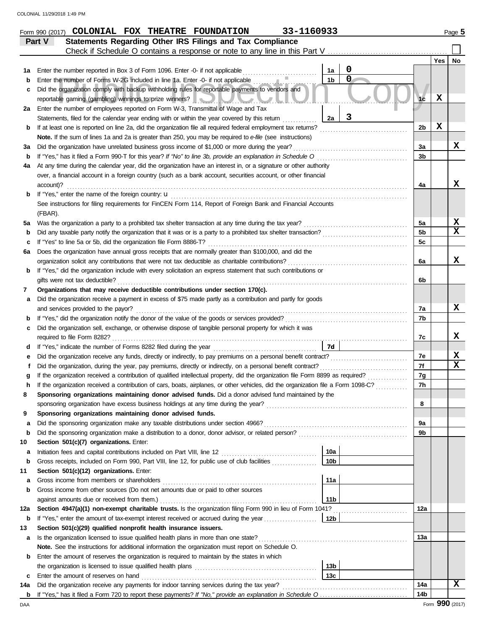|          | Part V<br>Statements Regarding Other IRS Filings and Tax Compliance                                                                |                |             |                 |  |  |  |  |  |  |  |  |
|----------|------------------------------------------------------------------------------------------------------------------------------------|----------------|-------------|-----------------|--|--|--|--|--|--|--|--|
|          | Check if Schedule O contains a response or note to any line in this Part V                                                         |                |             |                 |  |  |  |  |  |  |  |  |
|          |                                                                                                                                    |                | <b>Yes</b>  | No              |  |  |  |  |  |  |  |  |
| 1а       | Enter the number reported in Box 3 of Form 1096. Enter -0- if not applicable<br>1a                                                 | 0              |             |                 |  |  |  |  |  |  |  |  |
| b        | 1 <sub>b</sub><br>Enter the number of Forms W-2G included in line 1a. Enter -0- if not applicable                                  | $\mathbf 0$    |             |                 |  |  |  |  |  |  |  |  |
| c        | Did the organization comply with backup withholding rules for reportable payments to vendors and                                   |                |             |                 |  |  |  |  |  |  |  |  |
|          | reportable gaming (gambling) winnings to prize winners? New York Martin Law                                                        | 1 <sub>c</sub> | X           |                 |  |  |  |  |  |  |  |  |
| 2a       | Enter the number of employees reported on Form W-3, Transmittal of Wage and Tax                                                    |                |             |                 |  |  |  |  |  |  |  |  |
|          | Statements, filed for the calendar year ending with or within the year covered by this return<br>2a                                | 3              |             |                 |  |  |  |  |  |  |  |  |
| b        |                                                                                                                                    | 2 <sub>b</sub> | $\mathbf x$ |                 |  |  |  |  |  |  |  |  |
|          | Note. If the sum of lines 1a and 2a is greater than 250, you may be required to e-file (see instructions)                          |                |             |                 |  |  |  |  |  |  |  |  |
| За       | Did the organization have unrelated business gross income of \$1,000 or more during the year?                                      |                |             |                 |  |  |  |  |  |  |  |  |
| b        |                                                                                                                                    |                |             |                 |  |  |  |  |  |  |  |  |
| 4a       | At any time during the calendar year, did the organization have an interest in, or a signature or other authority                  |                |             |                 |  |  |  |  |  |  |  |  |
|          | over, a financial account in a foreign country (such as a bank account, securities account, or other financial                     |                |             |                 |  |  |  |  |  |  |  |  |
|          | account)?                                                                                                                          | 4a             |             | x               |  |  |  |  |  |  |  |  |
| b        |                                                                                                                                    |                |             |                 |  |  |  |  |  |  |  |  |
|          | See instructions for filing requirements for FinCEN Form 114, Report of Foreign Bank and Financial Accounts                        |                |             |                 |  |  |  |  |  |  |  |  |
|          | (FBAR).                                                                                                                            |                |             |                 |  |  |  |  |  |  |  |  |
| 5a       |                                                                                                                                    | 5a             |             | X<br>X          |  |  |  |  |  |  |  |  |
| b        | Did any taxable party notify the organization that it was or is a party to a prohibited tax shelter transaction?                   | 5 <sub>b</sub> |             |                 |  |  |  |  |  |  |  |  |
| c        | If "Yes" to line 5a or 5b, did the organization file Form 8886-T?                                                                  | 5c             |             |                 |  |  |  |  |  |  |  |  |
| 6a       | Does the organization have annual gross receipts that are normally greater than \$100,000, and did the                             | 6a             |             | x               |  |  |  |  |  |  |  |  |
| b        | If "Yes," did the organization include with every solicitation an express statement that such contributions or                     |                |             |                 |  |  |  |  |  |  |  |  |
|          | gifts were not tax deductible?                                                                                                     | 6b             |             |                 |  |  |  |  |  |  |  |  |
| 7        | Organizations that may receive deductible contributions under section 170(c).                                                      |                |             |                 |  |  |  |  |  |  |  |  |
| а        | Did the organization receive a payment in excess of \$75 made partly as a contribution and partly for goods                        |                |             |                 |  |  |  |  |  |  |  |  |
|          | and services provided to the payor?                                                                                                | 7a             |             | X               |  |  |  |  |  |  |  |  |
| b        |                                                                                                                                    | 7b             |             |                 |  |  |  |  |  |  |  |  |
| c        | Did the organization sell, exchange, or otherwise dispose of tangible personal property for which it was                           |                |             |                 |  |  |  |  |  |  |  |  |
|          |                                                                                                                                    | 7c             |             | x               |  |  |  |  |  |  |  |  |
| d        | If "Yes," indicate the number of Forms 8282 filed during the year<br>[[[[[[[[[[[[[[[[]]]]]]]<br>7d                                 |                |             |                 |  |  |  |  |  |  |  |  |
| е        |                                                                                                                                    | 7e             |             | X               |  |  |  |  |  |  |  |  |
|          |                                                                                                                                    | 7f             |             | $\mathbf x$     |  |  |  |  |  |  |  |  |
| g        |                                                                                                                                    | 7g             |             |                 |  |  |  |  |  |  |  |  |
| h        | If the organization received a contribution of cars, boats, airplanes, or other vehicles, did the organization file a Form 1098-C? | 7h             |             |                 |  |  |  |  |  |  |  |  |
| 8        | Sponsoring organizations maintaining donor advised funds. Did a donor advised fund maintained by the                               |                |             |                 |  |  |  |  |  |  |  |  |
|          |                                                                                                                                    | 8              |             |                 |  |  |  |  |  |  |  |  |
| 9        | Sponsoring organizations maintaining donor advised funds.                                                                          |                |             |                 |  |  |  |  |  |  |  |  |
| a        |                                                                                                                                    | 9a             |             |                 |  |  |  |  |  |  |  |  |
| b        |                                                                                                                                    | 9b             |             |                 |  |  |  |  |  |  |  |  |
| 10       | Section 501(c)(7) organizations. Enter:                                                                                            |                |             |                 |  |  |  |  |  |  |  |  |
| а        | 10a                                                                                                                                |                |             |                 |  |  |  |  |  |  |  |  |
| b        | 10 <sub>b</sub><br>Gross receipts, included on Form 990, Part VIII, line 12, for public use of club facilities                     |                |             |                 |  |  |  |  |  |  |  |  |
| 11       | Section 501(c)(12) organizations. Enter:                                                                                           |                |             |                 |  |  |  |  |  |  |  |  |
| а        | 11a<br>Gross income from members or shareholders                                                                                   |                |             |                 |  |  |  |  |  |  |  |  |
| b        | Gross income from other sources (Do not net amounts due or paid to other sources                                                   |                |             |                 |  |  |  |  |  |  |  |  |
|          | 11 <sub>b</sub><br>against amounts due or received from them.)                                                                     |                |             |                 |  |  |  |  |  |  |  |  |
| 12a      | Section 4947(a)(1) non-exempt charitable trusts. Is the organization filing Form 990 in lieu of Form 1041?                         | 12a            |             |                 |  |  |  |  |  |  |  |  |
| b        | If "Yes," enter the amount of tax-exempt interest received or accrued during the year<br>12b                                       |                |             |                 |  |  |  |  |  |  |  |  |
| 13       | Section 501(c)(29) qualified nonprofit health insurance issuers.                                                                   |                |             |                 |  |  |  |  |  |  |  |  |
| a        | Is the organization licensed to issue qualified health plans in more than one state?                                               | 13a            |             |                 |  |  |  |  |  |  |  |  |
|          | Note. See the instructions for additional information the organization must report on Schedule O.                                  |                |             |                 |  |  |  |  |  |  |  |  |
| b        | Enter the amount of reserves the organization is required to maintain by the states in which                                       |                |             |                 |  |  |  |  |  |  |  |  |
|          | 13 <sub>b</sub><br>13 <sub>c</sub>                                                                                                 |                |             |                 |  |  |  |  |  |  |  |  |
| c<br>14a | Enter the amount of reserves on hand                                                                                               | 14a            |             | x               |  |  |  |  |  |  |  |  |
| b        |                                                                                                                                    | 14b            |             |                 |  |  |  |  |  |  |  |  |
| DAA      |                                                                                                                                    |                |             | Form 990 (2017) |  |  |  |  |  |  |  |  |

**Form 990 (2017) COLONIAL FOX THEATRE FOUNDATION** 33-1160933 Page 5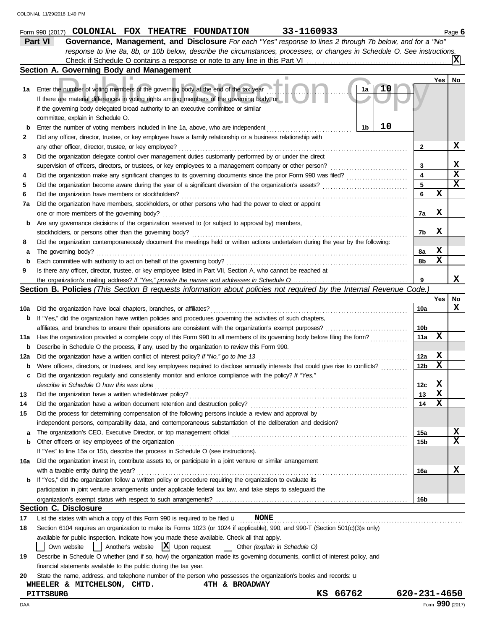|     | 33-1160933<br>COLONIAL FOX THEATRE FOUNDATION<br>Form 990 (2017)                                                                    |                 |             | Page 6          |
|-----|-------------------------------------------------------------------------------------------------------------------------------------|-----------------|-------------|-----------------|
|     | Governance, Management, and Disclosure For each "Yes" response to lines 2 through 7b below, and for a "No"<br>Part VI               |                 |             |                 |
|     | response to line 8a, 8b, or 10b below, describe the circumstances, processes, or changes in Schedule O. See instructions.           |                 |             |                 |
|     |                                                                                                                                     |                 |             | xl              |
|     | Section A. Governing Body and Management                                                                                            |                 |             |                 |
|     |                                                                                                                                     |                 | Yes         | No              |
| 1а  | Enter the number of voting members of the governing body at the end of the tax year<br>1a                                           |                 |             |                 |
|     | If there are material differences in voting rights among members of the governing body, or                                          |                 |             |                 |
|     | if the governing body delegated broad authority to an executive committee or similar                                                |                 |             |                 |
|     | committee, explain in Schedule O.                                                                                                   |                 |             |                 |
| b   | 10<br>1b<br>Enter the number of voting members included in line 1a, above, who are independent                                      |                 |             |                 |
| 2   | Did any officer, director, trustee, or key employee have a family relationship or a business relationship with                      |                 |             |                 |
|     | any other officer, director, trustee, or key employee?                                                                              | $\mathbf{2}$    |             | x               |
| 3   | Did the organization delegate control over management duties customarily performed by or under the direct                           |                 |             |                 |
|     | supervision of officers, directors, or trustees, or key employees to a management company or other person?                          | 3               |             | X               |
| 4   | Did the organization make any significant changes to its governing documents since the prior Form 990 was filed?                    | $\overline{4}$  |             | $\mathbf x$     |
| 5   | Did the organization become aware during the year of a significant diversion of the organization's assets?                          | 5               |             | X               |
| 6   | Did the organization have members or stockholders?                                                                                  | 6               | X           |                 |
| 7a  | Did the organization have members, stockholders, or other persons who had the power to elect or appoint                             |                 |             |                 |
|     | one or more members of the governing body?                                                                                          | 7a              | X           |                 |
| b   | Are any governance decisions of the organization reserved to (or subject to approval by) members,                                   |                 |             |                 |
|     | stockholders, or persons other than the governing body?                                                                             | 7b              | X           |                 |
| 8   | Did the organization contemporaneously document the meetings held or written actions undertaken during the year by the following:   |                 |             |                 |
| а   | The governing body?                                                                                                                 | 8a              | X           |                 |
| b   | Each committee with authority to act on behalf of the governing body?                                                               | 8b              | X           |                 |
| 9   | Is there any officer, director, trustee, or key employee listed in Part VII, Section A, who cannot be reached at                    |                 |             |                 |
|     |                                                                                                                                     | 9               |             | x               |
|     | <b>Section B. Policies</b> (This Section B requests information about policies not required by the Internal Revenue Code.)          |                 |             |                 |
|     |                                                                                                                                     |                 | Yes         | No              |
| 10a | Did the organization have local chapters, branches, or affiliates?                                                                  | 10a             |             | x               |
| b   | If "Yes," did the organization have written policies and procedures governing the activities of such chapters,                      |                 |             |                 |
|     | affiliates, and branches to ensure their operations are consistent with the organization's exempt purposes?                         | 10b             |             |                 |
| 11a | Has the organization provided a complete copy of this Form 990 to all members of its governing body before filing the form?         | 11a             | X           |                 |
| b   | Describe in Schedule O the process, if any, used by the organization to review this Form 990.                                       |                 |             |                 |
| 12a | Did the organization have a written conflict of interest policy? If "No," go to line 13                                             | 12a             | X           |                 |
| b   | Were officers, directors, or trustees, and key employees required to disclose annually interests that could give rise to conflicts? | 12 <sub>b</sub> | X           |                 |
| с   | Did the organization regularly and consistently monitor and enforce compliance with the policy? If "Yes,"                           |                 |             |                 |
|     | describe in Schedule O how this was done                                                                                            | 12 <sub>c</sub> | X           |                 |
| 13  | Did the organization have a written whistleblower policy?                                                                           | 13              | $\mathbf x$ |                 |
| 14  | Did the organization have a written document retention and destruction policy?                                                      | 14              | x           |                 |
| 15  | Did the process for determining compensation of the following persons include a review and approval by                              |                 |             |                 |
|     | independent persons, comparability data, and contemporaneous substantiation of the deliberation and decision?                       |                 |             |                 |
| а   | The organization's CEO, Executive Director, or top management official                                                              | 15a             |             | x               |
| b   | Other officers or key employees of the organization                                                                                 | 15b             |             | x               |
|     | If "Yes" to line 15a or 15b, describe the process in Schedule O (see instructions).                                                 |                 |             |                 |
| 16a | Did the organization invest in, contribute assets to, or participate in a joint venture or similar arrangement                      |                 |             |                 |
|     | with a taxable entity during the year?                                                                                              | 16a             |             | X               |
| b   | If "Yes," did the organization follow a written policy or procedure requiring the organization to evaluate its                      |                 |             |                 |
|     | participation in joint venture arrangements under applicable federal tax law, and take steps to safeguard the                       |                 |             |                 |
|     |                                                                                                                                     | 16 <sub>b</sub> |             |                 |
|     | <b>Section C. Disclosure</b>                                                                                                        |                 |             |                 |
| 17  | NONE<br>List the states with which a copy of this Form 990 is required to be filed $\mathbf u$                                      |                 |             |                 |
| 18  | Section 6104 requires an organization to make its Forms 1023 (or 1024 if applicable), 990, and 990-T (Section 501(c)(3)s only)      |                 |             |                 |
|     | available for public inspection. Indicate how you made these available. Check all that apply.                                       |                 |             |                 |
|     | Another's website $ X $ Upon request<br>Other (explain in Schedule O)<br>Own website                                                |                 |             |                 |
| 19  | Describe in Schedule O whether (and if so, how) the organization made its governing documents, conflict of interest policy, and     |                 |             |                 |
|     | financial statements available to the public during the tax year.                                                                   |                 |             |                 |
| 20  | State the name, address, and telephone number of the person who possesses the organization's books and records: u                   |                 |             |                 |
|     | WHEELER & MITCHELSON, CHTD.<br><b>4TH &amp; BROADWAY</b>                                                                            |                 |             |                 |
|     | 66762<br>кs<br><b>PITTSBURG</b>                                                                                                     | 620-231-4650    |             |                 |
| DAA |                                                                                                                                     |                 |             | Form 990 (2017) |
|     |                                                                                                                                     |                 |             |                 |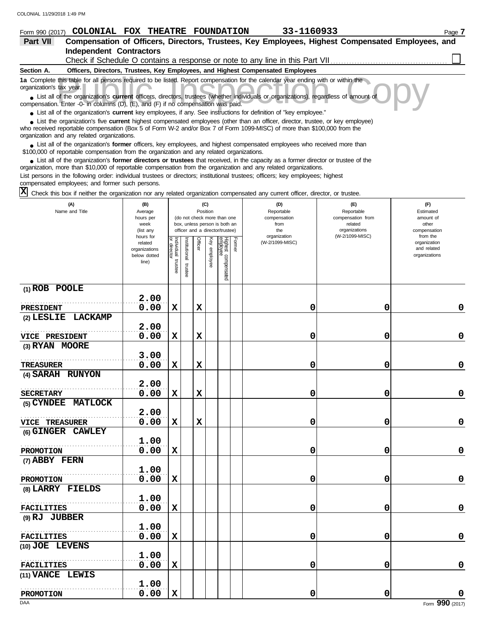| 33-1160933<br><b>THEATRE</b><br><b>COLONIAL</b><br><b>FOUNDATION</b><br><b>FOX</b><br>Form 990 (2017)<br>Page 7                                                                                                                                                                                                   |
|-------------------------------------------------------------------------------------------------------------------------------------------------------------------------------------------------------------------------------------------------------------------------------------------------------------------|
| Compensation of Officers, Directors, Trustees, Key Employees, Highest Compensated Employees, and<br><b>Part VII</b>                                                                                                                                                                                               |
| <b>Independent Contractors</b>                                                                                                                                                                                                                                                                                    |
| Check if Schedule O contains a response or note to any line in this Part VII                                                                                                                                                                                                                                      |
| Officers, Directors, Trustees, Key Employees, and Highest Compensated Employees<br>Section A.                                                                                                                                                                                                                     |
| 1a Complete this table for all persons required to be listed. Report compensation for the calendar year ending with or within the<br>organization's tax year.                                                                                                                                                     |
| • List all of the organization's current officers, directors, trustees (whether individuals or organizations), regardless of amount of<br>compensation. Enter -0- in columns (D), (E), and (F) if no compensation was paid.                                                                                       |
| • List all of the organization's current key employees, if any. See instructions for definition of "key employee."                                                                                                                                                                                                |
| • List the organization's five <b>current</b> highest compensated employees (other than an officer, director, trustee, or key employee)<br>who received reportable compensation (Box 5 of Form W-2 and/or Box 7 of Form 1099-MISC) of more than \$100,000 from the<br>organization and any related organizations. |
| <b>List all of the organization's former officers, key employees, and highest compensated employees who received more than</b><br>\$100,000 of reportable compensation from the organization and any related organizations.                                                                                       |

List all of the organization's **former directors or trustees** that received, in the capacity as a former director or trustee of the ● List all of the organization's **former directors or trustees** that received, in the capacity as a former directorganization, more than \$10,000 of reportable compensation from the organization and any related organizatio List persons in the following order: individual trustees or directors; institutional trustees; officers; key employees; highest

compensated employees; and former such persons.

Check this box if neither the organization nor any related organization compensated any current officer, director, or trustee. **X**

| (A)<br>Name and Title | (B)<br>Average<br>hours per<br>week<br>(list any<br>hours for<br>related |                                   |                          | Officer     | (C)<br>Position | (do not check more than one<br>box, unless person is both an<br>officer and a director/trustee) | Former | (D)<br>Reportable<br>compensation<br>from<br>the<br>organization<br>(W-2/1099-MISC) | (E)<br>Reportable<br>compensation from<br>related<br>organizations<br>(W-2/1099-MISC) | (F)<br>Estimated<br>amount of<br>other<br>compensation<br>from the<br>organization |
|-----------------------|--------------------------------------------------------------------------|-----------------------------------|--------------------------|-------------|-----------------|-------------------------------------------------------------------------------------------------|--------|-------------------------------------------------------------------------------------|---------------------------------------------------------------------------------------|------------------------------------------------------------------------------------|
|                       | organizations<br>below dotted<br>line)                                   | Individual trustee<br>or director | Institutional<br>trustee |             | Key employee    | Highest compensated<br>employee                                                                 |        |                                                                                     |                                                                                       | and related<br>organizations                                                       |
| $(1)$ ROB POOLE       | 2.00                                                                     |                                   |                          |             |                 |                                                                                                 |        |                                                                                     |                                                                                       |                                                                                    |
| PRESIDENT             | 0.00                                                                     | $\mathbf x$                       |                          | $\mathbf x$ |                 |                                                                                                 |        | 0                                                                                   | 0                                                                                     | $\mathbf 0$                                                                        |
| (2) LESLIE LACKAMP    |                                                                          |                                   |                          |             |                 |                                                                                                 |        |                                                                                     |                                                                                       |                                                                                    |
|                       | 2.00                                                                     |                                   |                          |             |                 |                                                                                                 |        |                                                                                     |                                                                                       |                                                                                    |
| VICE PRESIDENT        | 0.00                                                                     | X                                 |                          | $\mathbf x$ |                 |                                                                                                 |        | 0                                                                                   | 0                                                                                     | $\mathbf 0$                                                                        |
| (3) RYAN MOORE        |                                                                          |                                   |                          |             |                 |                                                                                                 |        |                                                                                     |                                                                                       |                                                                                    |
|                       | 3.00                                                                     |                                   |                          |             |                 |                                                                                                 |        |                                                                                     |                                                                                       |                                                                                    |
| TREASURER             | 0.00                                                                     | $\mathbf x$                       |                          | $\mathbf x$ |                 |                                                                                                 |        | 0                                                                                   | 0                                                                                     | 0                                                                                  |
| (4) SARAH RUNYON      |                                                                          |                                   |                          |             |                 |                                                                                                 |        |                                                                                     |                                                                                       |                                                                                    |
|                       | 2.00                                                                     |                                   |                          |             |                 |                                                                                                 |        |                                                                                     |                                                                                       |                                                                                    |
| <b>SECRETARY</b>      | 0.00                                                                     | $\mathbf x$                       |                          | $\mathbf x$ |                 |                                                                                                 |        | 0                                                                                   | 0                                                                                     | $\mathbf 0$                                                                        |
| (5) CYNDEE MATLOCK    | 2.00                                                                     |                                   |                          |             |                 |                                                                                                 |        |                                                                                     |                                                                                       |                                                                                    |
| <b>VICE TREASURER</b> | 0.00                                                                     | $\mathbf x$                       |                          | $\mathbf x$ |                 |                                                                                                 |        | 0                                                                                   | 0                                                                                     | 0                                                                                  |
| (6) GINGER CAWLEY     |                                                                          |                                   |                          |             |                 |                                                                                                 |        |                                                                                     |                                                                                       |                                                                                    |
|                       | 1.00                                                                     |                                   |                          |             |                 |                                                                                                 |        |                                                                                     |                                                                                       |                                                                                    |
| <b>PROMOTION</b>      | 0.00                                                                     | X                                 |                          |             |                 |                                                                                                 |        | 0                                                                                   | 0                                                                                     | 0                                                                                  |
| (7) ABBY FERN         |                                                                          |                                   |                          |             |                 |                                                                                                 |        |                                                                                     |                                                                                       |                                                                                    |
|                       | 1.00                                                                     |                                   |                          |             |                 |                                                                                                 |        |                                                                                     |                                                                                       |                                                                                    |
| <b>PROMOTION</b>      | 0.00                                                                     | X                                 |                          |             |                 |                                                                                                 |        | 0                                                                                   | 0                                                                                     | $\mathbf 0$                                                                        |
| (8) LARRY FIELDS      |                                                                          |                                   |                          |             |                 |                                                                                                 |        |                                                                                     |                                                                                       |                                                                                    |
|                       | 1.00                                                                     |                                   |                          |             |                 |                                                                                                 |        |                                                                                     |                                                                                       |                                                                                    |
| <b>FACILITIES</b>     | 0.00                                                                     | $\mathbf x$                       |                          |             |                 |                                                                                                 |        | 0                                                                                   | 0                                                                                     | $\pmb{0}$                                                                          |
| (9) RJ JUBBER         |                                                                          |                                   |                          |             |                 |                                                                                                 |        |                                                                                     |                                                                                       |                                                                                    |
|                       | 1.00                                                                     |                                   |                          |             |                 |                                                                                                 |        |                                                                                     |                                                                                       |                                                                                    |
| <b>FACILITIES</b>     | 0.00                                                                     | $\mathbf x$                       |                          |             |                 |                                                                                                 |        | 0                                                                                   | 0                                                                                     | 0                                                                                  |
| (10) JOE LEVENS       |                                                                          |                                   |                          |             |                 |                                                                                                 |        |                                                                                     |                                                                                       |                                                                                    |
|                       | 1.00                                                                     |                                   |                          |             |                 |                                                                                                 |        |                                                                                     |                                                                                       |                                                                                    |
| <b>FACILITIES</b>     | 0.00                                                                     | $\mathbf x$                       |                          |             |                 |                                                                                                 |        | 0                                                                                   | 0                                                                                     | 0                                                                                  |
| (11) VANCE LEWIS      |                                                                          |                                   |                          |             |                 |                                                                                                 |        |                                                                                     |                                                                                       |                                                                                    |
|                       | 1.00                                                                     |                                   |                          |             |                 |                                                                                                 |        |                                                                                     |                                                                                       |                                                                                    |
| <b>PROMOTION</b>      | 0.00                                                                     | $\mathbf x$                       |                          |             |                 |                                                                                                 |        | 0                                                                                   | 0                                                                                     | $\pmb{0}$                                                                          |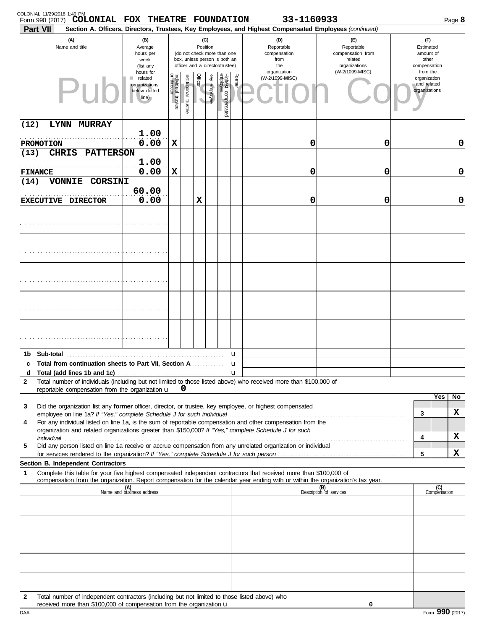| Part VII               | Form 990 (2017) COLONIAL FOX THEATRE FOUNDATION                                               |                                                                |                                   |                       |                                     |              |                                 |                                                                                                 | 33-1160933<br>Section A. Officers, Directors, Trustees, Key Employees, and Highest Compensated Employees (continued)                                                                                                                                                                                                                       |                                |                                                          |                     | Page 8      |  |  |  |  |  |  |                                                  |                                                                    |                                                        |  |  |
|------------------------|-----------------------------------------------------------------------------------------------|----------------------------------------------------------------|-----------------------------------|-----------------------|-------------------------------------|--------------|---------------------------------|-------------------------------------------------------------------------------------------------|--------------------------------------------------------------------------------------------------------------------------------------------------------------------------------------------------------------------------------------------------------------------------------------------------------------------------------------------|--------------------------------|----------------------------------------------------------|---------------------|-------------|--|--|--|--|--|--|--------------------------------------------------|--------------------------------------------------------------------|--------------------------------------------------------|--|--|
|                        | (A)<br>(B)<br>Name and title<br>Average<br>hours per<br>week<br>(list any                     |                                                                |                                   | (C)<br>Position       |                                     |              |                                 | (do not check more than one<br>box, unless person is both an<br>officer and a director/trustee) |                                                                                                                                                                                                                                                                                                                                            |                                |                                                          |                     |             |  |  |  |  |  |  | (D)<br>Reportable<br>compensation<br>from<br>the | (E)<br>Reportable<br>compensation from<br>related<br>organizations | (F)<br>Estimated<br>amount of<br>other<br>compensation |  |  |
|                        |                                                                                               | hours for<br>related<br>organizations<br>below dotted<br>line) | Individual trustee<br>or director | Institutional trustee | Officer<br>$\overline{\phantom{a}}$ | Key employee | Highest compensated<br>employee | Former                                                                                          | organization<br>(W-2/1099-MISC)                                                                                                                                                                                                                                                                                                            | (W-2/1099-MISC)                | from the<br>organization<br>and related<br>organizations |                     |             |  |  |  |  |  |  |                                                  |                                                                    |                                                        |  |  |
| (12)                   | <b>LYNN MURRAY</b>                                                                            |                                                                |                                   |                       |                                     |              |                                 |                                                                                                 |                                                                                                                                                                                                                                                                                                                                            |                                |                                                          |                     |             |  |  |  |  |  |  |                                                  |                                                                    |                                                        |  |  |
| <b>PROMOTION</b>       |                                                                                               | 1.00<br>0.00                                                   | X                                 |                       |                                     |              |                                 |                                                                                                 | 0                                                                                                                                                                                                                                                                                                                                          | 0                              |                                                          |                     | 0           |  |  |  |  |  |  |                                                  |                                                                    |                                                        |  |  |
| (13)<br><b>FINANCE</b> | <b>CHRIS</b><br><b>PATTERSON</b>                                                              | 1.00<br>0.00                                                   | х                                 |                       |                                     |              |                                 |                                                                                                 | 0                                                                                                                                                                                                                                                                                                                                          | 0                              |                                                          |                     | 0           |  |  |  |  |  |  |                                                  |                                                                    |                                                        |  |  |
| (14)                   | VONNIE CORSINI                                                                                |                                                                |                                   |                       |                                     |              |                                 |                                                                                                 |                                                                                                                                                                                                                                                                                                                                            |                                |                                                          |                     |             |  |  |  |  |  |  |                                                  |                                                                    |                                                        |  |  |
|                        | EXECUTIVE DIRECTOR                                                                            | 60.00<br>0.00                                                  |                                   |                       | х                                   |              |                                 |                                                                                                 | 0                                                                                                                                                                                                                                                                                                                                          | 0                              |                                                          |                     | $\mathbf 0$ |  |  |  |  |  |  |                                                  |                                                                    |                                                        |  |  |
|                        |                                                                                               |                                                                |                                   |                       |                                     |              |                                 |                                                                                                 |                                                                                                                                                                                                                                                                                                                                            |                                |                                                          |                     |             |  |  |  |  |  |  |                                                  |                                                                    |                                                        |  |  |
|                        |                                                                                               |                                                                |                                   |                       |                                     |              |                                 |                                                                                                 |                                                                                                                                                                                                                                                                                                                                            |                                |                                                          |                     |             |  |  |  |  |  |  |                                                  |                                                                    |                                                        |  |  |
|                        |                                                                                               |                                                                |                                   |                       |                                     |              |                                 |                                                                                                 |                                                                                                                                                                                                                                                                                                                                            |                                |                                                          |                     |             |  |  |  |  |  |  |                                                  |                                                                    |                                                        |  |  |
|                        |                                                                                               |                                                                |                                   |                       |                                     |              |                                 |                                                                                                 |                                                                                                                                                                                                                                                                                                                                            |                                |                                                          |                     |             |  |  |  |  |  |  |                                                  |                                                                    |                                                        |  |  |
|                        |                                                                                               |                                                                |                                   |                       |                                     |              |                                 |                                                                                                 |                                                                                                                                                                                                                                                                                                                                            |                                |                                                          |                     |             |  |  |  |  |  |  |                                                  |                                                                    |                                                        |  |  |
| Sub-total<br>1b.       |                                                                                               |                                                                |                                   |                       |                                     |              |                                 | u                                                                                               |                                                                                                                                                                                                                                                                                                                                            |                                |                                                          |                     |             |  |  |  |  |  |  |                                                  |                                                                    |                                                        |  |  |
|                        | c Total from continuation sheets to Part VII, Section A                                       |                                                                |                                   |                       |                                     |              |                                 | u                                                                                               |                                                                                                                                                                                                                                                                                                                                            |                                |                                                          |                     |             |  |  |  |  |  |  |                                                  |                                                                    |                                                        |  |  |
| d<br>2                 |                                                                                               |                                                                |                                   |                       |                                     |              |                                 |                                                                                                 | Total number of individuals (including but not limited to those listed above) who received more than \$100,000 of                                                                                                                                                                                                                          |                                |                                                          |                     |             |  |  |  |  |  |  |                                                  |                                                                    |                                                        |  |  |
|                        | reportable compensation from the organization u                                               |                                                                |                                   | 0                     |                                     |              |                                 |                                                                                                 |                                                                                                                                                                                                                                                                                                                                            |                                |                                                          | Yes                 | No          |  |  |  |  |  |  |                                                  |                                                                    |                                                        |  |  |
| 3                      |                                                                                               |                                                                |                                   |                       |                                     |              |                                 |                                                                                                 | Did the organization list any former officer, director, or trustee, key employee, or highest compensated<br>employee on line 1a? If "Yes," complete Schedule J for such individual manufactured content to the succession of the Schedule J for such individual manufactured in the succession of the state of the state of the state of t |                                | 3                                                        |                     | x           |  |  |  |  |  |  |                                                  |                                                                    |                                                        |  |  |
| 4                      |                                                                                               |                                                                |                                   |                       |                                     |              |                                 |                                                                                                 | For any individual listed on line 1a, is the sum of reportable compensation and other compensation from the<br>organization and related organizations greater than \$150,000? If "Yes," complete Schedule J for such                                                                                                                       |                                |                                                          |                     |             |  |  |  |  |  |  |                                                  |                                                                    |                                                        |  |  |
| <i>individual</i><br>5 |                                                                                               |                                                                |                                   |                       |                                     |              |                                 |                                                                                                 | Did any person listed on line 1a receive or accrue compensation from any unrelated organization or individual                                                                                                                                                                                                                              |                                | 4                                                        |                     | x           |  |  |  |  |  |  |                                                  |                                                                    |                                                        |  |  |
|                        |                                                                                               |                                                                |                                   |                       |                                     |              |                                 |                                                                                                 |                                                                                                                                                                                                                                                                                                                                            |                                | 5                                                        |                     | x           |  |  |  |  |  |  |                                                  |                                                                    |                                                        |  |  |
| 1                      | Section B. Independent Contractors                                                            |                                                                |                                   |                       |                                     |              |                                 |                                                                                                 | Complete this table for your five highest compensated independent contractors that received more than \$100,000 of                                                                                                                                                                                                                         |                                |                                                          |                     |             |  |  |  |  |  |  |                                                  |                                                                    |                                                        |  |  |
|                        |                                                                                               | (A)<br>Name and business address                               |                                   |                       |                                     |              |                                 |                                                                                                 | compensation from the organization. Report compensation for the calendar year ending with or within the organization's tax year.                                                                                                                                                                                                           | (B)<br>Description of services |                                                          | (C)<br>Compensation |             |  |  |  |  |  |  |                                                  |                                                                    |                                                        |  |  |
|                        |                                                                                               |                                                                |                                   |                       |                                     |              |                                 |                                                                                                 |                                                                                                                                                                                                                                                                                                                                            |                                |                                                          |                     |             |  |  |  |  |  |  |                                                  |                                                                    |                                                        |  |  |
|                        |                                                                                               |                                                                |                                   |                       |                                     |              |                                 |                                                                                                 |                                                                                                                                                                                                                                                                                                                                            |                                |                                                          |                     |             |  |  |  |  |  |  |                                                  |                                                                    |                                                        |  |  |
|                        |                                                                                               |                                                                |                                   |                       |                                     |              |                                 |                                                                                                 |                                                                                                                                                                                                                                                                                                                                            |                                |                                                          |                     |             |  |  |  |  |  |  |                                                  |                                                                    |                                                        |  |  |
|                        |                                                                                               |                                                                |                                   |                       |                                     |              |                                 |                                                                                                 |                                                                                                                                                                                                                                                                                                                                            |                                |                                                          |                     |             |  |  |  |  |  |  |                                                  |                                                                    |                                                        |  |  |
| 2                      | Total number of independent contractors (including but not limited to those listed above) who |                                                                |                                   |                       |                                     |              |                                 |                                                                                                 |                                                                                                                                                                                                                                                                                                                                            |                                |                                                          |                     |             |  |  |  |  |  |  |                                                  |                                                                    |                                                        |  |  |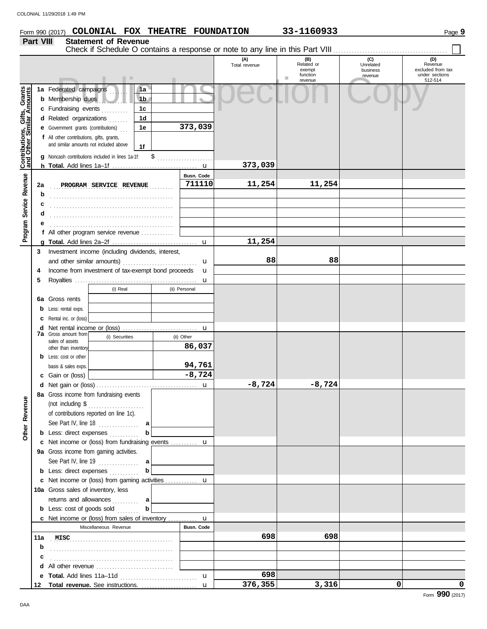# **Form 990 (2017) COLONIAL FOX THEATRE FOUNDATION** 33-1160933 Page 9

## **Part VIII Statement of Revenue**

|                              |    | . .                                                                                                                                                                                                                                                                                                                |                    | (A)<br>Total revenue | $(B)$<br>Related or<br>exempt<br>function<br>revenue | (C)<br>Unrelated<br>business<br>revenue | (D)<br>Revenue<br>excluded from tax<br>under sections<br>512-514 |
|------------------------------|----|--------------------------------------------------------------------------------------------------------------------------------------------------------------------------------------------------------------------------------------------------------------------------------------------------------------------|--------------------|----------------------|------------------------------------------------------|-----------------------------------------|------------------------------------------------------------------|
| Contributions, Gifts, Grants |    | 1a Federated campaigns<br>1a<br><b>b</b> Membership dues<br>1 <sub>b</sub><br>1 <sub>c</sub><br>c Fundraising events<br>1 <sub>d</sub><br>d Related organizations<br>1e<br><b>e</b> Government grants (contributions)<br>f All other contributions, gifts, grants,<br>and similar amounts not included above<br>1f | 373,039            |                      |                                                      |                                         |                                                                  |
|                              |    | g Noncash contributions included in lines 1a-1f:                                                                                                                                                                                                                                                                   |                    |                      |                                                      |                                         |                                                                  |
|                              |    |                                                                                                                                                                                                                                                                                                                    |                    | 373,039              |                                                      |                                         |                                                                  |
|                              |    |                                                                                                                                                                                                                                                                                                                    | Busn. Code         |                      |                                                      |                                         |                                                                  |
| Program Service Revenue      | 2a | PROGRAM SERVICE REVENUE                                                                                                                                                                                                                                                                                            | 711110             | 11,254               | 11,254                                               |                                         |                                                                  |
|                              | b  |                                                                                                                                                                                                                                                                                                                    |                    |                      |                                                      |                                         |                                                                  |
|                              | c  |                                                                                                                                                                                                                                                                                                                    |                    |                      |                                                      |                                         |                                                                  |
|                              | d  |                                                                                                                                                                                                                                                                                                                    |                    |                      |                                                      |                                         |                                                                  |
|                              |    |                                                                                                                                                                                                                                                                                                                    |                    |                      |                                                      |                                         |                                                                  |
|                              |    | f All other program service revenue                                                                                                                                                                                                                                                                                |                    | 11,254               |                                                      |                                         |                                                                  |
|                              | 3  | Investment income (including dividends, interest,                                                                                                                                                                                                                                                                  |                    |                      |                                                      |                                         |                                                                  |
|                              |    |                                                                                                                                                                                                                                                                                                                    | u                  | 88                   | 88                                                   |                                         |                                                                  |
|                              | 4  | Income from investment of tax-exempt bond proceeds                                                                                                                                                                                                                                                                 | u                  |                      |                                                      |                                         |                                                                  |
|                              | 5  |                                                                                                                                                                                                                                                                                                                    | u                  |                      |                                                      |                                         |                                                                  |
|                              |    | (i) Real                                                                                                                                                                                                                                                                                                           | (ii) Personal      |                      |                                                      |                                         |                                                                  |
|                              | 6а | Gross rents                                                                                                                                                                                                                                                                                                        |                    |                      |                                                      |                                         |                                                                  |
|                              |    | Less: rental exps.                                                                                                                                                                                                                                                                                                 |                    |                      |                                                      |                                         |                                                                  |
|                              |    | Rental inc. or (loss)                                                                                                                                                                                                                                                                                              |                    |                      |                                                      |                                         |                                                                  |
|                              | d  |                                                                                                                                                                                                                                                                                                                    |                    |                      |                                                      |                                         |                                                                  |
|                              |    | <b>7a</b> Gross amount from<br>(i) Securities<br>sales of assets                                                                                                                                                                                                                                                   | (ii) Other         |                      |                                                      |                                         |                                                                  |
|                              |    | other than inventory                                                                                                                                                                                                                                                                                               | 86,037             |                      |                                                      |                                         |                                                                  |
|                              |    | Less: cost or other                                                                                                                                                                                                                                                                                                |                    |                      |                                                      |                                         |                                                                  |
|                              |    | basis & sales exps.                                                                                                                                                                                                                                                                                                | 94,761<br>$-8,724$ |                      |                                                      |                                         |                                                                  |
|                              |    | c Gain or (loss)                                                                                                                                                                                                                                                                                                   |                    |                      |                                                      |                                         |                                                                  |
|                              |    | 8a Gross income from fundraising events                                                                                                                                                                                                                                                                            | u                  | $-8,724$             | $-8,724$                                             |                                         |                                                                  |
| φ<br>Other Revenu            |    | of contributions reported on line 1c).<br>See Part IV, line 18 $\ldots$<br>a                                                                                                                                                                                                                                       |                    |                      |                                                      |                                         |                                                                  |
|                              |    | b<br><b>b</b> Less: direct expenses                                                                                                                                                                                                                                                                                |                    |                      |                                                      |                                         |                                                                  |
|                              |    | c Net income or (loss) from fundraising events  u                                                                                                                                                                                                                                                                  |                    |                      |                                                      |                                         |                                                                  |
|                              |    | 9a Gross income from gaming activities.                                                                                                                                                                                                                                                                            |                    |                      |                                                      |                                         |                                                                  |
|                              |    | See Part IV, line $19$<br>a                                                                                                                                                                                                                                                                                        |                    |                      |                                                      |                                         |                                                                  |
|                              |    | $\mathbf b$<br><b>b</b> Less: direct expenses                                                                                                                                                                                                                                                                      |                    |                      |                                                      |                                         |                                                                  |
|                              |    | c Net income or (loss) from gaming activities <b>u</b><br>10a Gross sales of inventory, less                                                                                                                                                                                                                       |                    |                      |                                                      |                                         |                                                                  |
|                              |    | returns and allowances<br>аl                                                                                                                                                                                                                                                                                       |                    |                      |                                                      |                                         |                                                                  |
|                              |    | $\mathbf b$<br><b>b</b> Less: $cost$ of goods $sol$                                                                                                                                                                                                                                                                |                    |                      |                                                      |                                         |                                                                  |
|                              |    | c Net income or (loss) from sales of inventory  u                                                                                                                                                                                                                                                                  |                    |                      |                                                      |                                         |                                                                  |
|                              |    | Miscellaneous Revenue                                                                                                                                                                                                                                                                                              | Busn. Code         |                      |                                                      |                                         |                                                                  |
|                              |    | 11a $MISC$                                                                                                                                                                                                                                                                                                         |                    | 698                  | 698                                                  |                                         |                                                                  |
|                              | b  |                                                                                                                                                                                                                                                                                                                    |                    |                      |                                                      |                                         |                                                                  |
|                              |    |                                                                                                                                                                                                                                                                                                                    |                    |                      |                                                      |                                         |                                                                  |
|                              |    |                                                                                                                                                                                                                                                                                                                    |                    |                      |                                                      |                                         |                                                                  |
|                              |    |                                                                                                                                                                                                                                                                                                                    | $\mathbf{u}$       | 698                  |                                                      |                                         |                                                                  |
|                              | 12 | Total revenue. See instructions.                                                                                                                                                                                                                                                                                   | $\mathbf{u}$       | 376,355              | 3,316                                                | 0                                       | 0                                                                |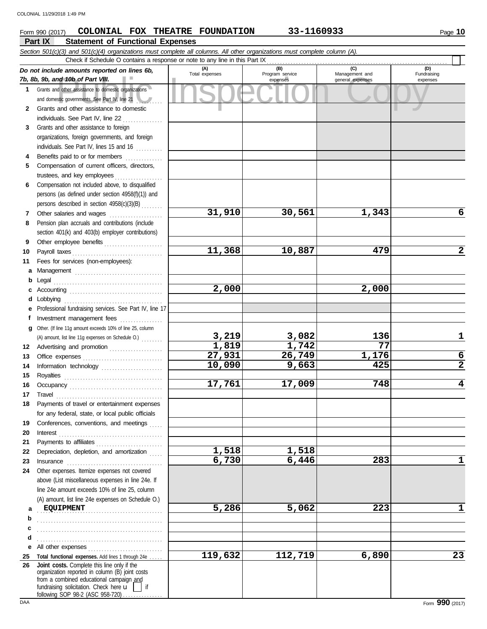### nd 10b of Part VIII.<br>
dother assistance to domestic organizations<br>
and other assistance to domestic<br>
and other assistance to domestic **Part IX Statement of Functional Expenses** Form 990 (2017) **COLONIAL FOX THEATRE FOUNDATION** 33-1160933 *Section 501(c)(3) and 501(c)(4) organizations must complete all columns. All other organizations must complete column (A). Do not include amounts reported on lines 6b, 7b, 8b, 9b, and 10b of Part VIII.* **1 2 3 4 5 6 7 8 9 10 11 a** Management ................................. **b** Legal . . . . . . . . . . . . . . . . . . . . . . . . . . . . . . . . . . . . . . . . . **c** Accounting . . . . . . . . . . . . . . . . . . . . . . . . . . . . . . . . . . . **d** Lobbying . . . . . . . . . . . . . . . . . . . . . . . . . . . . . . . . . . . . . **e** Professional fundraising services. See Part IV, line 17 **f g** Other. (If line 11g amount exceeds 10% of line 25, column **12** Advertising and promotion . . . . . . . . . . . . . . . . . . . . **13 14 15 16 17 18 19 20 21 22** Depreciation, depletion, and amortization .... **23 24 a b c d e** All other expenses . . . . . . . . . . . . . . . . . . . . . . . . . . . . **25 26** Grants and other assistance to domestic organizations and domestic governments. See Part IV, line 21 Grants and other assistance to domestic individuals. See Part IV, line 22 . . . . . . . . . . . . . . Grants and other assistance to foreign organizations, foreign governments, and foreign individuals. See Part IV, lines 15 and 16 Benefits paid to or for members . . . . . . . . . . . . . . Compensation of current officers, directors, trustees, and key employees . . . . . . . . . . . . . . . . . . Compensation not included above, to disqualified persons (as defined under section 4958(f)(1)) and persons described in section  $4958(c)(3)(B)$  ....... Other salaries and wages .................... Pension plan accruals and contributions (include section 401(k) and 403(b) employer contributions) Other employee benefits . . . . . . . . . . . . . . . . . . . . . . Payroll taxes . . . . . . . . . . . . . . . . . . . . . . . . . . . . . . . . . . Fees for services (non-employees): Investment management fees ................. Office expenses . . . . . . . . . . . . . . . . . . . . . . . . . . . . . . Information technology . . . . . . . . . . . . . . . . . . . . . . . Royalties . . . . . . . . . . . . . . . . . . . . . . . . . . . . . . . . . . . . . Occupancy . . . . . . . . . . . . . . . . . . . . . . . . . . . . . . . . . . . Travel . . . . . . . . . . . . . . . . . . . . . . . . . . . . . . . . . . . . . . . . Payments of travel or entertainment expenses for any federal, state, or local public officials Conferences, conventions, and meetings Interest . . . . . . . . . . . . . . . . . . . . . . . . . . . . . . . . . . . . . . . Payments to affiliates . . . . . . . . . . . . . . . . . . . . . . . . . Insurance . . . . . . . . . . . . . . . . . . . . . . . . . . . . . . . . . . . . Other expenses. Itemize expenses not covered above (List miscellaneous expenses in line 24e. If line 24e amount exceeds 10% of line 25, column (A) amount, list line 24e expenses on Schedule O.) Total functional expenses. Add lines 1 through 24e . organization reported in column (B) joint costs from a combined educational campaign and **(A) (B) (C) (D)** (A) (B) (B) (C) (C)<br>Total expenses Program service Management and expenses general expenses (D)<br>Fundraising expenses . . . . . . . . . . . . . . . . . . . . . . . . . . . . . . . . . . . . . . . . . . . . . . . **EQUIPMENT 5,286 5,062 223 1** . . . . . . . . . . . . . . . . . . . . . . . . . . . . . . . . . . . . . . . . . . . . . . . . . . . . . . . . . . . . . . . . . . . . . . . . . . . . . . . . . . . . . . . . . . . . . . Check if Schedule O contains a response or note to any line in this Part IX **Joint costs.** Complete this line only if the (A) amount, list line 11g expenses on Schedule O.) . . . . . . . . **31,910 30,561 1,343 6 11,368 10,887 479 2 2,000 2,000 3,219 3,082 136 1 1,819 1,742 77 27,931 26,749 1,176 6 10,090 9,663 425 2 17,761 17,009 748 4 1,518 1,518 6,730 6,446 283 1 119,632 112,719 6,890 23**

fundraising solicitation. Check here  $\mathbf u$ 

following SOP 98-2 (ASC 958-720).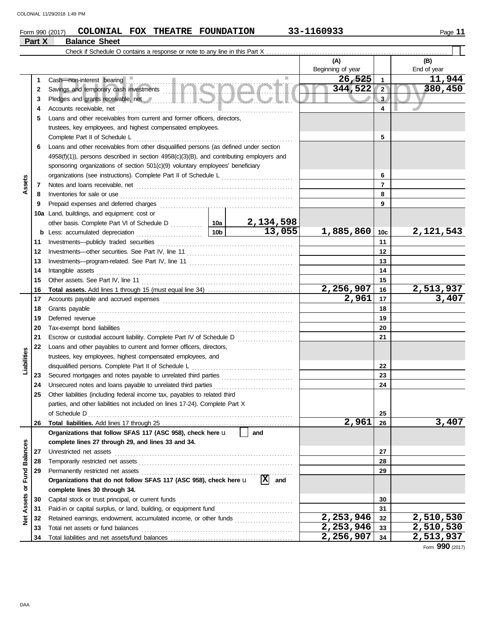## Form 990 (2017) **COLONIAL FOX THEATRE FOUNDATION** 33-1160933

|                 | Part X | <b>Balance Sheet</b>                                                                                                                                                                                                                 |                 |                     |                           |                         |             |
|-----------------|--------|--------------------------------------------------------------------------------------------------------------------------------------------------------------------------------------------------------------------------------------|-----------------|---------------------|---------------------------|-------------------------|-------------|
|                 |        |                                                                                                                                                                                                                                      |                 |                     |                           |                         |             |
|                 |        |                                                                                                                                                                                                                                      |                 |                     | (A)                       |                         | (B)         |
|                 |        |                                                                                                                                                                                                                                      |                 |                     | Beginning of year         |                         | End of year |
|                 | 1      | Cash-non-interest bearing                                                                                                                                                                                                            |                 | a.                  | 26,525                    | 1                       | 11,944      |
|                 | 2      |                                                                                                                                                                                                                                      |                 |                     | 344,522                   | $\sqrt{2}$              | 380,450     |
|                 | 3      | Pledges and grants receivable, net <b>All and State and State and State and State and State and State and State and State and State and State and State and State and State and State and State and State and State and State an</b> |                 |                     |                           | $\overline{\mathbf{3}}$ |             |
|                 | 4      | Accounts receivable, net                                                                                                                                                                                                             |                 |                     |                           | 4                       |             |
|                 | 5      | Loans and other receivables from current and former officers, directors.                                                                                                                                                             |                 |                     |                           |                         |             |
|                 |        | trustees, key employees, and highest compensated employees.                                                                                                                                                                          |                 |                     |                           |                         |             |
|                 |        | Complete Part II of Schedule L                                                                                                                                                                                                       |                 |                     |                           | 5                       |             |
|                 | 6      | Loans and other receivables from other disqualified persons (as defined under section                                                                                                                                                |                 |                     |                           |                         |             |
|                 |        | $4958(f)(1)$ ), persons described in section $4958(c)(3)(B)$ , and contributing employers and                                                                                                                                        |                 |                     |                           |                         |             |
|                 |        | sponsoring organizations of section 501(c)(9) voluntary employees' beneficiary                                                                                                                                                       |                 |                     |                           |                         |             |
|                 |        | organizations (see instructions). Complete Part II of Schedule L                                                                                                                                                                     |                 |                     |                           | 6                       |             |
| Assets          | 7      |                                                                                                                                                                                                                                      |                 |                     |                           | $\overline{7}$          |             |
|                 | 8      | Inventories for sale or use                                                                                                                                                                                                          |                 |                     |                           | 8                       |             |
|                 | 9      | Prepaid expenses and deferred charges                                                                                                                                                                                                |                 |                     |                           | 9                       |             |
|                 | 10a    | Land, buildings, and equipment: cost or                                                                                                                                                                                              |                 |                     |                           |                         |             |
|                 |        |                                                                                                                                                                                                                                      |                 |                     |                           |                         |             |
|                 | b      | Less: accumulated depreciation                                                                                                                                                                                                       | 10 <sub>b</sub> | 2,134,598<br>13,055 | 1,885,860                 | 10c                     | 2,121,543   |
|                 | 11     |                                                                                                                                                                                                                                      |                 |                     |                           | 11                      |             |
|                 | 12     |                                                                                                                                                                                                                                      |                 |                     |                           | 12                      |             |
|                 | 13     |                                                                                                                                                                                                                                      |                 |                     |                           | 13                      |             |
|                 | 14     | Intangible assets                                                                                                                                                                                                                    |                 |                     |                           | 14                      |             |
|                 | 15     | Other assets. See Part IV, line 11                                                                                                                                                                                                   |                 |                     |                           | 15                      |             |
|                 | 16     |                                                                                                                                                                                                                                      |                 |                     | 2,256,907                 | 16                      | 2,513,937   |
|                 | 17     |                                                                                                                                                                                                                                      |                 |                     | 2,961                     | 17                      | 3,407       |
|                 | 18     | Grants payable                                                                                                                                                                                                                       |                 |                     |                           | 18                      |             |
|                 | 19     |                                                                                                                                                                                                                                      |                 |                     |                           | 19                      |             |
|                 | 20     |                                                                                                                                                                                                                                      |                 |                     |                           | 20                      |             |
|                 | 21     |                                                                                                                                                                                                                                      |                 |                     |                           | 21                      |             |
|                 | 22     | Loans and other payables to current and former officers, directors,                                                                                                                                                                  |                 |                     |                           |                         |             |
| Liabilities     |        | trustees, key employees, highest compensated employees, and                                                                                                                                                                          |                 |                     |                           |                         |             |
|                 |        | disqualified persons. Complete Part II of Schedule L                                                                                                                                                                                 |                 |                     |                           | 22                      |             |
|                 | 23     |                                                                                                                                                                                                                                      |                 |                     |                           | 23                      |             |
|                 | 24     | Unsecured notes and loans payable to unrelated third parties [[[[[[[[[[[[[[[[[[[[[[[]]]]]]]]]                                                                                                                                        |                 |                     |                           | 24                      |             |
|                 | 25     | Other liabilities (including federal income tax, payables to related third                                                                                                                                                           |                 |                     |                           |                         |             |
|                 |        | parties, and other liabilities not included on lines 17-24). Complete Part X                                                                                                                                                         |                 |                     |                           |                         |             |
|                 |        | of Schedule D                                                                                                                                                                                                                        |                 |                     |                           | 25                      |             |
|                 | 26     |                                                                                                                                                                                                                                      |                 |                     | 2,961                     | 26                      | 3,407       |
|                 |        | Organizations that follow SFAS 117 (ASC 958), check here u                                                                                                                                                                           |                 | and                 |                           |                         |             |
|                 |        | complete lines 27 through 29, and lines 33 and 34.                                                                                                                                                                                   |                 |                     |                           |                         |             |
| <b>Balances</b> | 27     | Unrestricted net assets                                                                                                                                                                                                              |                 |                     |                           | 27                      |             |
|                 | 28     |                                                                                                                                                                                                                                      |                 |                     |                           | 28                      |             |
| Fund            | 29     | Permanently restricted net assets                                                                                                                                                                                                    |                 |                     |                           | 29                      |             |
|                 |        | Organizations that do not follow SFAS 117 (ASC 958), check here u                                                                                                                                                                    |                 | and                 |                           |                         |             |
| ৯               |        | complete lines 30 through 34.                                                                                                                                                                                                        |                 |                     |                           |                         |             |
| Assets          | 30     | Capital stock or trust principal, or current funds                                                                                                                                                                                   |                 |                     |                           | 30                      |             |
|                 | 31     |                                                                                                                                                                                                                                      |                 |                     |                           | 31                      |             |
| ğ               | 32     | Retained earnings, endowment, accumulated income, or other funds                                                                                                                                                                     |                 |                     | $\overline{2,253,946}$    | 32                      | 2,510,530   |
|                 | 33     | Total net assets or fund balances                                                                                                                                                                                                    |                 |                     | $\overline{2}$ , 253, 946 | 33                      | 2,510,530   |
|                 | 34     |                                                                                                                                                                                                                                      |                 |                     | $\overline{2,256,907}$    | 34                      | 2,513,937   |

Form **990** (2017)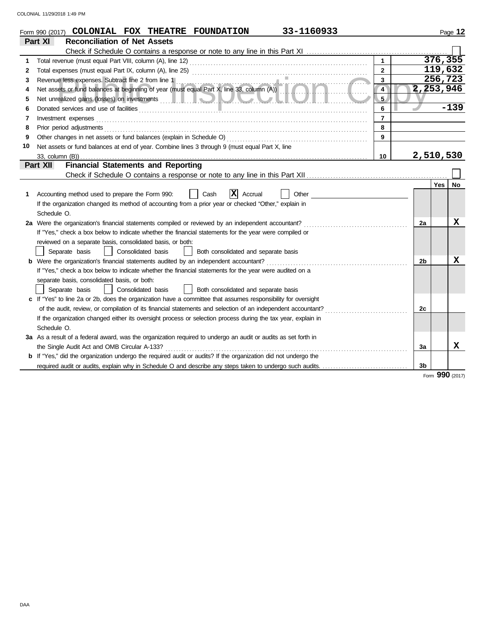|    | 33-1160933<br>Form 990 (2017) COLONIAL FOX THEATRE FOUNDATION                                                                                   |                      |  |                |          | Page 12         |  |  |
|----|-------------------------------------------------------------------------------------------------------------------------------------------------|----------------------|--|----------------|----------|-----------------|--|--|
|    | Part XI<br><b>Reconciliation of Net Assets</b>                                                                                                  |                      |  |                |          |                 |  |  |
|    |                                                                                                                                                 |                      |  |                |          |                 |  |  |
| 1  |                                                                                                                                                 |                      |  |                |          | 376, 355        |  |  |
| 2  |                                                                                                                                                 | $\mathbf{2}$         |  |                |          | 119,632         |  |  |
| 3  | Revenue less expenses. Subtract line 2 from line 1                                                                                              | 3                    |  |                |          | 256,723         |  |  |
| 4  | Revenue less expenses. Subtract line 2 from line 1<br>Net assets or fund balances at beginning of year (must equal Part X, line 33, column (A)) | $\blacktriangleleft$ |  | 2,253,946      |          |                 |  |  |
| 5  | 5                                                                                                                                               |                      |  |                |          |                 |  |  |
| 6  | Donated services and use of facilities <b>constructs</b> and the service of facilities <b>constructs</b> and use of facilities                  | 6                    |  |                |          | $-139$          |  |  |
| 7  | Investment expenses                                                                                                                             | $\overline{7}$       |  |                |          |                 |  |  |
| 8  | Prior period adjustments                                                                                                                        | 8                    |  |                |          |                 |  |  |
| 9  |                                                                                                                                                 | 9                    |  |                |          |                 |  |  |
| 10 | Net assets or fund balances at end of year. Combine lines 3 through 9 (must equal Part X, line                                                  |                      |  |                |          |                 |  |  |
|    |                                                                                                                                                 | 10                   |  | 2,510,530      |          |                 |  |  |
|    | <b>Financial Statements and Reporting</b><br>Part XII                                                                                           |                      |  |                |          |                 |  |  |
|    |                                                                                                                                                 |                      |  |                |          |                 |  |  |
|    |                                                                                                                                                 |                      |  |                | Yes   No |                 |  |  |
| 1. | X<br>Other<br>Accounting method used to prepare the Form 990:<br>Cash<br>Accrual                                                                |                      |  |                |          |                 |  |  |
|    | If the organization changed its method of accounting from a prior year or checked "Other," explain in                                           |                      |  |                |          |                 |  |  |
|    | Schedule O.                                                                                                                                     |                      |  |                |          |                 |  |  |
|    | 2a Were the organization's financial statements compiled or reviewed by an independent accountant?                                              |                      |  | 2a             |          | x               |  |  |
|    | If "Yes," check a box below to indicate whether the financial statements for the year were compiled or                                          |                      |  |                |          |                 |  |  |
|    | reviewed on a separate basis, consolidated basis, or both:                                                                                      |                      |  |                |          |                 |  |  |
|    | Separate basis<br>Consolidated basis<br>Both consolidated and separate basis                                                                    |                      |  |                |          |                 |  |  |
|    | <b>b</b> Were the organization's financial statements audited by an independent accountant?                                                     |                      |  | 2b             |          | X               |  |  |
|    | If "Yes," check a box below to indicate whether the financial statements for the year were audited on a                                         |                      |  |                |          |                 |  |  |
|    | separate basis, consolidated basis, or both:                                                                                                    |                      |  |                |          |                 |  |  |
|    | Both consolidated and separate basis<br>Separate basis<br>Consolidated basis                                                                    |                      |  |                |          |                 |  |  |
|    | c If "Yes" to line 2a or 2b, does the organization have a committee that assumes responsibility for oversight                                   |                      |  |                |          |                 |  |  |
|    | of the audit, review, or compilation of its financial statements and selection of an independent accountant?                                    |                      |  | 2 <sub>c</sub> |          |                 |  |  |
|    | If the organization changed either its oversight process or selection process during the tax year, explain in                                   |                      |  |                |          |                 |  |  |
|    | Schedule O.                                                                                                                                     |                      |  |                |          |                 |  |  |
|    | 3a As a result of a federal award, was the organization required to undergo an audit or audits as set forth in                                  |                      |  |                |          |                 |  |  |
|    | the Single Audit Act and OMB Circular A-133?                                                                                                    |                      |  | 3a             |          | x               |  |  |
|    | <b>b</b> If "Yes," did the organization undergo the required audit or audits? If the organization did not undergo the                           |                      |  |                |          |                 |  |  |
|    | required audit or audits, explain why in Schedule O and describe any steps taken to undergo such audits.                                        |                      |  | 3 <sub>b</sub> |          |                 |  |  |
|    |                                                                                                                                                 |                      |  |                |          | Form 990 (2017) |  |  |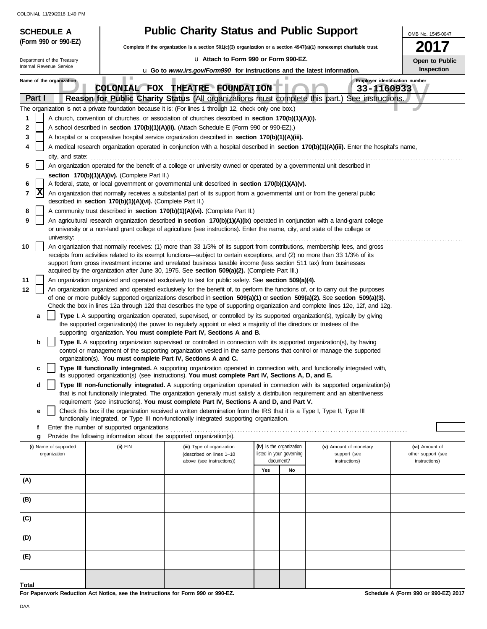| <b>SCHEDULE A</b>          |                                                                                                                       | <b>Public Charity Status and Public Support</b>                                                                                                                                                                                                                                                                                                                                 |                          |                                              | OMB No. 1545-0047                    |
|----------------------------|-----------------------------------------------------------------------------------------------------------------------|---------------------------------------------------------------------------------------------------------------------------------------------------------------------------------------------------------------------------------------------------------------------------------------------------------------------------------------------------------------------------------|--------------------------|----------------------------------------------|--------------------------------------|
| (Form 990 or 990-EZ)       |                                                                                                                       | Complete if the organization is a section $501(c)(3)$ organization or a section $4947(a)(1)$ nonexempt charitable trust.                                                                                                                                                                                                                                                        |                          |                                              | 2017                                 |
| Department of the Treasury |                                                                                                                       | La Attach to Form 990 or Form 990-EZ.                                                                                                                                                                                                                                                                                                                                           |                          |                                              | Open to Public                       |
| Internal Revenue Service   |                                                                                                                       | <b>u</b> Go to www.irs.gov/Form990 for instructions and the latest information.                                                                                                                                                                                                                                                                                                 |                          |                                              | Inspection                           |
| Name of the organization   | ш                                                                                                                     | COLONIAL FOX THEATRE FOUNDATION                                                                                                                                                                                                                                                                                                                                                 |                          | Employer identification number<br>33-1160933 |                                      |
| Part I                     |                                                                                                                       | Reason for Public Charity Status (All organizations must complete this part.) See instructions.                                                                                                                                                                                                                                                                                 |                          |                                              |                                      |
|                            |                                                                                                                       | The organization is not a private foundation because it is: (For lines 1 through 12, check only one box.)                                                                                                                                                                                                                                                                       |                          |                                              |                                      |
| 1                          |                                                                                                                       | A church, convention of churches, or association of churches described in section 170(b)(1)(A)(i).                                                                                                                                                                                                                                                                              |                          |                                              |                                      |
| 2                          |                                                                                                                       | A school described in section 170(b)(1)(A)(ii). (Attach Schedule E (Form 990 or 990-EZ).)                                                                                                                                                                                                                                                                                       |                          |                                              |                                      |
| 3                          |                                                                                                                       | A hospital or a cooperative hospital service organization described in section 170(b)(1)(A)(iii).<br>A medical research organization operated in conjunction with a hospital described in section 170(b)(1)(A)(iii). Enter the hospital's name,                                                                                                                                 |                          |                                              |                                      |
| city, and state:           |                                                                                                                       |                                                                                                                                                                                                                                                                                                                                                                                 |                          |                                              |                                      |
| 5                          |                                                                                                                       | An organization operated for the benefit of a college or university owned or operated by a governmental unit described in                                                                                                                                                                                                                                                       |                          |                                              |                                      |
|                            | section 170(b)(1)(A)(iv). (Complete Part II.)                                                                         |                                                                                                                                                                                                                                                                                                                                                                                 |                          |                                              |                                      |
| 6                          |                                                                                                                       | A federal, state, or local government or governmental unit described in section 170(b)(1)(A)(v).                                                                                                                                                                                                                                                                                |                          |                                              |                                      |
| <b>x</b><br>7              | described in section 170(b)(1)(A)(vi). (Complete Part II.)                                                            | An organization that normally receives a substantial part of its support from a governmental unit or from the general public                                                                                                                                                                                                                                                    |                          |                                              |                                      |
| 8                          |                                                                                                                       | A community trust described in section 170(b)(1)(A)(vi). (Complete Part II.)                                                                                                                                                                                                                                                                                                    |                          |                                              |                                      |
| 9<br>university:           |                                                                                                                       | An agricultural research organization described in section 170(b)(1)(A)(ix) operated in conjunction with a land-grant college<br>or university or a non-land grant college of agriculture (see instructions). Enter the name, city, and state of the college or                                                                                                                 |                          |                                              |                                      |
| 10                         |                                                                                                                       | An organization that normally receives: (1) more than 33 1/3% of its support from contributions, membership fees, and gross<br>receipts from activities related to its exempt functions—subject to certain exceptions, and (2) no more than 33 1/3% of its<br>support from gross investment income and unrelated business taxable income (less section 511 tax) from businesses |                          |                                              |                                      |
| 11                         |                                                                                                                       | acquired by the organization after June 30, 1975. See section 509(a)(2). (Complete Part III.)<br>An organization organized and operated exclusively to test for public safety. See section 509(a)(4).                                                                                                                                                                           |                          |                                              |                                      |
| 12                         |                                                                                                                       | An organization organized and operated exclusively for the benefit of, to perform the functions of, or to carry out the purposes                                                                                                                                                                                                                                                |                          |                                              |                                      |
|                            |                                                                                                                       | of one or more publicly supported organizations described in section 509(a)(1) or section 509(a)(2). See section 509(a)(3).                                                                                                                                                                                                                                                     |                          |                                              |                                      |
|                            |                                                                                                                       | Check the box in lines 12a through 12d that describes the type of supporting organization and complete lines 12e, 12f, and 12g.                                                                                                                                                                                                                                                 |                          |                                              |                                      |
| а                          |                                                                                                                       | Type I. A supporting organization operated, supervised, or controlled by its supported organization(s), typically by giving<br>the supported organization(s) the power to regularly appoint or elect a majority of the directors or trustees of the                                                                                                                             |                          |                                              |                                      |
|                            |                                                                                                                       | supporting organization. You must complete Part IV, Sections A and B.                                                                                                                                                                                                                                                                                                           |                          |                                              |                                      |
| b                          |                                                                                                                       | Type II. A supporting organization supervised or controlled in connection with its supported organization(s), by having<br>control or management of the supporting organization vested in the same persons that control or manage the supported                                                                                                                                 |                          |                                              |                                      |
| c                          | organization(s). You must complete Part IV, Sections A and C.                                                         | Type III functionally integrated. A supporting organization operated in connection with, and functionally integrated with,                                                                                                                                                                                                                                                      |                          |                                              |                                      |
|                            |                                                                                                                       | its supported organization(s) (see instructions). You must complete Part IV, Sections A, D, and E.                                                                                                                                                                                                                                                                              |                          |                                              |                                      |
| d                          |                                                                                                                       | Type III non-functionally integrated. A supporting organization operated in connection with its supported organization(s)                                                                                                                                                                                                                                                       |                          |                                              |                                      |
|                            |                                                                                                                       | that is not functionally integrated. The organization generally must satisfy a distribution requirement and an attentiveness<br>requirement (see instructions). You must complete Part IV, Sections A and D, and Part V.                                                                                                                                                        |                          |                                              |                                      |
| е                          |                                                                                                                       | Check this box if the organization received a written determination from the IRS that it is a Type I, Type II, Type III                                                                                                                                                                                                                                                         |                          |                                              |                                      |
|                            |                                                                                                                       | functionally integrated, or Type III non-functionally integrated supporting organization.                                                                                                                                                                                                                                                                                       |                          |                                              |                                      |
| f<br>g                     | Enter the number of supported organizations<br>Provide the following information about the supported organization(s). |                                                                                                                                                                                                                                                                                                                                                                                 |                          |                                              |                                      |
| (i) Name of supported      | $(ii)$ EIN                                                                                                            | (iii) Type of organization                                                                                                                                                                                                                                                                                                                                                      | (iv) Is the organization | (v) Amount of monetary                       | (vi) Amount of                       |
| organization               |                                                                                                                       | (described on lines 1-10                                                                                                                                                                                                                                                                                                                                                        | listed in your governing | support (see                                 | other support (see                   |
|                            |                                                                                                                       | above (see instructions))                                                                                                                                                                                                                                                                                                                                                       | document?<br>Yes<br>No   | instructions)                                | instructions)                        |
| (A)                        |                                                                                                                       |                                                                                                                                                                                                                                                                                                                                                                                 |                          |                                              |                                      |
| (B)                        |                                                                                                                       |                                                                                                                                                                                                                                                                                                                                                                                 |                          |                                              |                                      |
| (C)                        |                                                                                                                       |                                                                                                                                                                                                                                                                                                                                                                                 |                          |                                              |                                      |
| (D)                        |                                                                                                                       |                                                                                                                                                                                                                                                                                                                                                                                 |                          |                                              |                                      |
| (E)                        |                                                                                                                       |                                                                                                                                                                                                                                                                                                                                                                                 |                          |                                              |                                      |
|                            |                                                                                                                       |                                                                                                                                                                                                                                                                                                                                                                                 |                          |                                              |                                      |
| Total                      |                                                                                                                       |                                                                                                                                                                                                                                                                                                                                                                                 |                          |                                              |                                      |
|                            | For Paperwork Reduction Act Notice, see the Instructions for Form 990 or 990-EZ.                                      |                                                                                                                                                                                                                                                                                                                                                                                 |                          |                                              | Schedule A (Form 990 or 990-EZ) 2017 |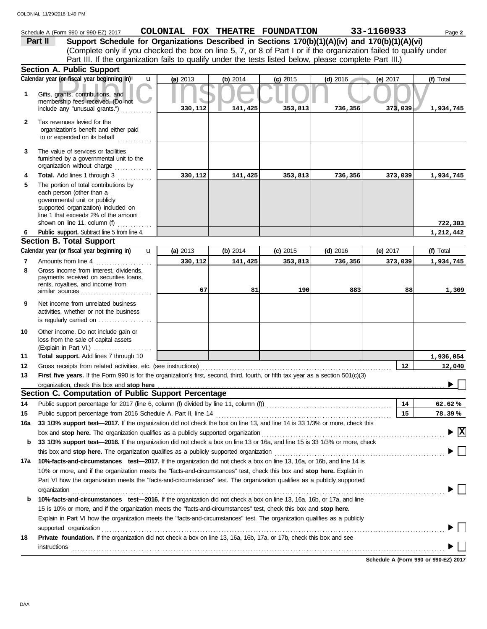|              | Schedule A (Form 990 or 990-EZ) 2017<br>Support Schedule for Organizations Described in Sections 170(b)(1)(A)(iv) and 170(b)(1)(A)(vi)<br>Part II                                                                                           |          |          | COLONIAL FOX THEATRE FOUNDATION |            | 33-1160933 | Page 2                                        |
|--------------|---------------------------------------------------------------------------------------------------------------------------------------------------------------------------------------------------------------------------------------------|----------|----------|---------------------------------|------------|------------|-----------------------------------------------|
|              | (Complete only if you checked the box on line 5, 7, or 8 of Part I or if the organization failed to qualify under                                                                                                                           |          |          |                                 |            |            |                                               |
|              | Part III. If the organization fails to qualify under the tests listed below, please complete Part III.)                                                                                                                                     |          |          |                                 |            |            |                                               |
|              | <b>Section A. Public Support</b>                                                                                                                                                                                                            |          |          |                                 |            |            |                                               |
|              | Calendar year (or fiscal year beginning in)<br>$\mathbf{u}$                                                                                                                                                                                 | (a) 2013 | (b) 2014 | $(c)$ 2015                      | $(d)$ 2016 | (e) $2017$ | (f) Total                                     |
| 1            | Gifts, grants, contributions, and<br>membership fees received. (Do not<br>include any "unusual grants.")                                                                                                                                    | 330,112  | 141,425  | 353,813                         | 736,356    | 373,039    | 1,934,745                                     |
| $\mathbf{2}$ | Tax revenues levied for the<br>organization's benefit and either paid<br>to or expended on its behalf                                                                                                                                       |          |          |                                 |            |            |                                               |
| 3            | The value of services or facilities<br>furnished by a governmental unit to the<br>organization without charge                                                                                                                               |          |          |                                 |            |            |                                               |
| 4            | Total. Add lines 1 through 3                                                                                                                                                                                                                | 330,112  | 141,425  | 353,813                         | 736,356    | 373,039    | 1,934,745                                     |
| 5            | The portion of total contributions by<br>each person (other than a<br>governmental unit or publicly<br>supported organization) included on<br>line 1 that exceeds 2% of the amount<br>shown on line 11, column (f)                          |          |          |                                 |            |            | 722,303                                       |
| 6            | Public support. Subtract line 5 from line 4.                                                                                                                                                                                                |          |          |                                 |            |            | 1,212,442                                     |
|              | <b>Section B. Total Support</b>                                                                                                                                                                                                             |          |          |                                 |            |            |                                               |
|              | Calendar year (or fiscal year beginning in)<br>$\mathbf{u}$                                                                                                                                                                                 | (a) 2013 | (b) 2014 | $(c)$ 2015                      | $(d)$ 2016 | (e) 2017   | (f) Total                                     |
| 7            | Amounts from line 4                                                                                                                                                                                                                         | 330,112  | 141,425  | 353,813                         | 736,356    | 373,039    | 1,934,745                                     |
| 8            | Gross income from interest, dividends,<br>payments received on securities loans,<br>rents, royalties, and income from<br>similar sources                                                                                                    | 67       | 81       | 190                             | 883        | 88         | 1,309                                         |
| 9            | Net income from unrelated business<br>activities, whether or not the business<br>is regularly carried on                                                                                                                                    |          |          |                                 |            |            |                                               |
| 10           | Other income. Do not include gain or<br>loss from the sale of capital assets<br>(Explain in Part VI.)                                                                                                                                       |          |          |                                 |            |            |                                               |
| 11           | Total support. Add lines 7 through 10                                                                                                                                                                                                       |          |          |                                 |            |            | 1,936,054                                     |
| 12           | Gross receipts from related activities, etc. (see instructions)                                                                                                                                                                             |          |          |                                 |            | 12         | 12,040                                        |
| 13           | First five years. If the Form 990 is for the organization's first, second, third, fourth, or fifth tax year as a section 501(c)(3)                                                                                                          |          |          |                                 |            |            |                                               |
|              | organization, check this box and stop here                                                                                                                                                                                                  |          |          |                                 |            |            |                                               |
|              | Section C. Computation of Public Support Percentage                                                                                                                                                                                         |          |          |                                 |            |            |                                               |
| 14           |                                                                                                                                                                                                                                             |          |          |                                 |            | 14         | 62.62%                                        |
| 15           |                                                                                                                                                                                                                                             |          |          |                                 |            | 15         | 78.39%                                        |
| 16a          | 33 1/3% support test-2017. If the organization did not check the box on line 13, and line 14 is 33 1/3% or more, check this                                                                                                                 |          |          |                                 |            |            |                                               |
|              | box and stop here. The organization qualifies as a publicly supported organization                                                                                                                                                          |          |          |                                 |            |            | $\blacktriangleright$ $\overline{\mathbf{X}}$ |
| b            | 33 1/3% support test—2016. If the organization did not check a box on line 13 or 16a, and line 15 is 33 1/3% or more, check                                                                                                                 |          |          |                                 |            |            |                                               |
|              | this box and stop here. The organization qualifies as a publicly supported organization                                                                                                                                                     |          |          |                                 |            |            |                                               |
| 17a          | 10%-facts-and-circumstances test-2017. If the organization did not check a box on line 13, 16a, or 16b, and line 14 is                                                                                                                      |          |          |                                 |            |            |                                               |
|              | 10% or more, and if the organization meets the "facts-and-circumstances" test, check this box and stop here. Explain in                                                                                                                     |          |          |                                 |            |            |                                               |
|              | Part VI how the organization meets the "facts-and-circumstances" test. The organization qualifies as a publicly supported                                                                                                                   |          |          |                                 |            |            |                                               |
|              | organization                                                                                                                                                                                                                                |          |          |                                 |            |            |                                               |
| b            | 10%-facts-and-circumstances test-2016. If the organization did not check a box on line 13, 16a, 16b, or 17a, and line<br>15 is 10% or more, and if the organization meets the "facts-and-circumstances" test, check this box and stop here. |          |          |                                 |            |            |                                               |
|              | Explain in Part VI how the organization meets the "facts-and-circumstances" test. The organization qualifies as a publicly                                                                                                                  |          |          |                                 |            |            |                                               |
|              | supported organization                                                                                                                                                                                                                      |          |          |                                 |            |            |                                               |
| 18           | Private foundation. If the organization did not check a box on line 13, 16a, 16b, 17a, or 17b, check this box and see                                                                                                                       |          |          |                                 |            |            |                                               |
|              | instructions                                                                                                                                                                                                                                |          |          |                                 |            |            |                                               |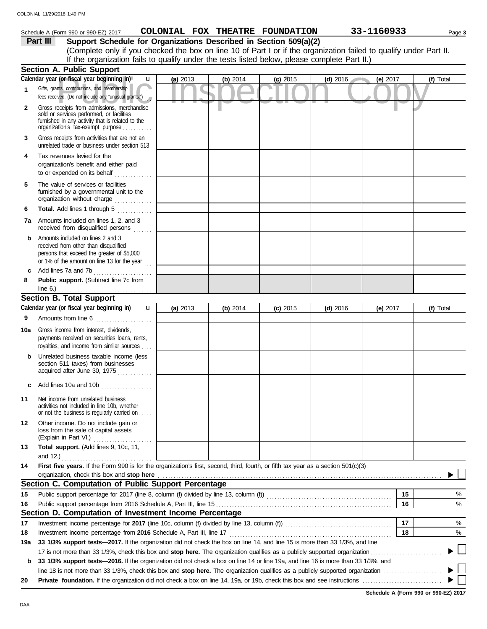### **Part III Support Schedule for Organizations Described in Section 509(a)(2)** Schedule A (Form 990 or 990-EZ) 2017 **COLONIAL FOX THEATRE FOUNDATION** 33-1160933 Page 3

(Complete only if you checked the box on line 10 of Part I or if the organization failed to qualify under Part II. If the organization fails to qualify under the tests listed below, please complete Part II.)

|              | <b>Section A. Public Support</b>                                                                                                                                                  |            |            |            |            |            |           |
|--------------|-----------------------------------------------------------------------------------------------------------------------------------------------------------------------------------|------------|------------|------------|------------|------------|-----------|
|              | Calendar year (or fiscal year beginning in)<br>$\mathbf u$                                                                                                                        | (a) 2013   | (b) $2014$ | $(c)$ 2015 | $(d)$ 2016 | (e) 2017   | (f) Total |
| $\mathbf{1}$ | Gifts, grants, contributions, and membership<br>fees received. (Do not include any "unusual grants.")                                                                             |            |            |            |            |            |           |
| $\mathbf{2}$ | Gross receipts from admissions, merchandise<br>sold or services performed, or facilities<br>furnished in any activity that is related to the<br>organization's tax-exempt purpose |            |            |            |            |            |           |
| 3            | Gross receipts from activities that are not an<br>unrelated trade or business under section 513                                                                                   |            |            |            |            |            |           |
| 4            | Tax revenues levied for the<br>organization's benefit and either paid<br>to or expended on its behalf                                                                             |            |            |            |            |            |           |
| 5            | The value of services or facilities<br>furnished by a governmental unit to the<br>organization without charge                                                                     |            |            |            |            |            |           |
| 6            | Total. Add lines 1 through 5<br>.                                                                                                                                                 |            |            |            |            |            |           |
| 7а           | Amounts included on lines 1, 2, and 3<br>received from disqualified persons                                                                                                       |            |            |            |            |            |           |
| b            | Amounts included on lines 2 and 3<br>received from other than disqualified<br>persons that exceed the greater of \$5,000<br>or 1% of the amount on line 13 for the year           |            |            |            |            |            |           |
| c            | Add lines 7a and 7b<br>.                                                                                                                                                          |            |            |            |            |            |           |
| 8            | Public support. (Subtract line 7c from<br>line $6.$ )                                                                                                                             |            |            |            |            |            |           |
|              | <b>Section B. Total Support</b>                                                                                                                                                   |            |            |            |            |            |           |
|              | Calendar year (or fiscal year beginning in)<br>$\mathbf{u}$                                                                                                                       | (a) $2013$ | (b) 2014   | $(c)$ 2015 | $(d)$ 2016 | (e) $2017$ | (f) Total |
| 9            | Amounts from line 6                                                                                                                                                               |            |            |            |            |            |           |
| 10a          | Gross income from interest, dividends,<br>payments received on securities loans, rents,<br>royalties, and income from similar sources                                             |            |            |            |            |            |           |
| b            | Unrelated business taxable income (less<br>section 511 taxes) from businesses<br>acquired after June 30, 1975                                                                     |            |            |            |            |            |           |
| C            | Add lines 10a and 10b                                                                                                                                                             |            |            |            |            |            |           |
| 11           | Net income from unrelated business<br>activities not included in line 10b, whether<br>or not the business is regularly carried on                                                 |            |            |            |            |            |           |
| 12           | Other income. Do not include gain or<br>loss from the sale of capital assets<br>(Explain in Part VI.)<br>.                                                                        |            |            |            |            |            |           |
| 13           | Total support. (Add lines 9, 10c, 11,                                                                                                                                             |            |            |            |            |            |           |
|              | and 12.)                                                                                                                                                                          |            |            |            |            |            |           |
| 14           | First five years. If the Form 990 is for the organization's first, second, third, fourth, or fifth tax year as a section 501(c)(3)                                                |            |            |            |            |            |           |
|              | organization, check this box and stop here                                                                                                                                        |            |            |            |            |            |           |
|              | Section C. Computation of Public Support Percentage                                                                                                                               |            |            |            |            |            |           |
| 15           | Public support percentage for 2017 (line 8, column (f) divided by line 13, column (f)) [[[[[[[[[[[[[[[[[[[[[[                                                                     |            |            |            |            | 15         | %         |
| 16           |                                                                                                                                                                                   |            |            |            |            | 16         | %         |
|              | Section D. Computation of Investment Income Percentage                                                                                                                            |            |            |            |            |            |           |
| 17           |                                                                                                                                                                                   |            |            |            |            | 17         | %         |
| 18           | Investment income percentage from 2016 Schedule A, Part III, line 17                                                                                                              |            |            |            |            | 18         | %         |
| 19a          | 33 1/3% support tests-2017. If the organization did not check the box on line 14, and line 15 is more than 33 1/3%, and line                                                      |            |            |            |            |            |           |
| b            | 33 1/3% support tests-2016. If the organization did not check a box on line 14 or line 19a, and line 16 is more than 33 1/3%, and                                                 |            |            |            |            |            |           |
|              |                                                                                                                                                                                   |            |            |            |            |            |           |
| 20           |                                                                                                                                                                                   |            |            |            |            |            |           |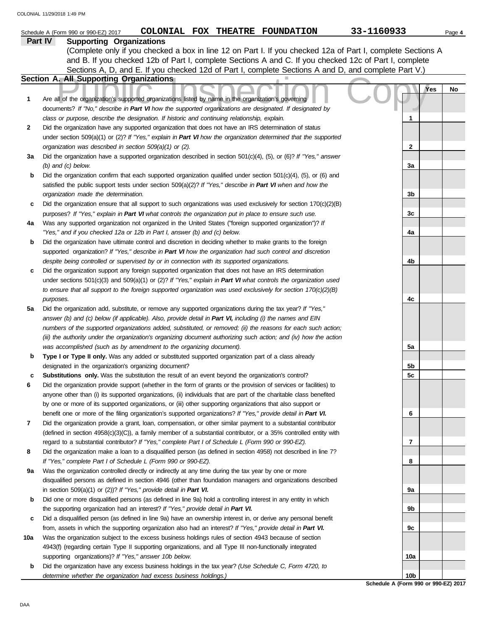|     | COLONIAL FOX THEATRE FOUNDATION<br>Schedule A (Form 990 or 990-EZ) 2017                                                                                                                                               | 33-1160933                           | Page 4 |
|-----|-----------------------------------------------------------------------------------------------------------------------------------------------------------------------------------------------------------------------|--------------------------------------|--------|
|     | <b>Supporting Organizations</b><br><b>Part IV</b>                                                                                                                                                                     |                                      |        |
|     | (Complete only if you checked a box in line 12 on Part I. If you checked 12a of Part I, complete Sections A                                                                                                           |                                      |        |
|     | and B. If you checked 12b of Part I, complete Sections A and C. If you checked 12c of Part I, complete                                                                                                                |                                      |        |
|     | Sections A, D, and E. If you checked 12d of Part I, complete Sections A and D, and complete Part V.)                                                                                                                  |                                      |        |
|     | Section A. All Supporting Organizations                                                                                                                                                                               |                                      |        |
|     |                                                                                                                                                                                                                       | Yes                                  | No     |
| 1   | Are all of the organization's supported organizations listed by name in the organization's governing                                                                                                                  |                                      |        |
|     | documents? If "No," describe in Part VI how the supported organizations are designated. If designated by                                                                                                              |                                      |        |
|     | class or purpose, describe the designation. If historic and continuing relationship, explain.                                                                                                                         | 1                                    |        |
| 2   | Did the organization have any supported organization that does not have an IRS determination of status                                                                                                                |                                      |        |
|     | under section 509(a)(1) or (2)? If "Yes," explain in Part VI how the organization determined that the supported                                                                                                       |                                      |        |
|     | organization was described in section 509(a)(1) or (2).                                                                                                                                                               | 2                                    |        |
| За  | Did the organization have a supported organization described in section $501(c)(4)$ , (5), or (6)? If "Yes," answer                                                                                                   |                                      |        |
|     | $(b)$ and $(c)$ below.                                                                                                                                                                                                | 3a                                   |        |
| b   | Did the organization confirm that each supported organization qualified under section 501(c)(4), (5), or (6) and                                                                                                      |                                      |        |
|     | satisfied the public support tests under section $509(a)(2)?$ If "Yes," describe in Part VI when and how the                                                                                                          |                                      |        |
|     | organization made the determination.                                                                                                                                                                                  | 3b                                   |        |
| c   | Did the organization ensure that all support to such organizations was used exclusively for section $170(c)(2)(B)$                                                                                                    |                                      |        |
|     | purposes? If "Yes," explain in Part VI what controls the organization put in place to ensure such use.                                                                                                                | 3c                                   |        |
| 4a  | Was any supported organization not organized in the United States ("foreign supported organization")? If                                                                                                              |                                      |        |
|     | "Yes," and if you checked 12a or 12b in Part I, answer (b) and (c) below.                                                                                                                                             | 4a                                   |        |
| b   | Did the organization have ultimate control and discretion in deciding whether to make grants to the foreign                                                                                                           |                                      |        |
|     | supported organization? If "Yes," describe in Part VI how the organization had such control and discretion<br>despite being controlled or supervised by or in connection with its supported organizations.            | 4b                                   |        |
| c   | Did the organization support any foreign supported organization that does not have an IRS determination                                                                                                               |                                      |        |
|     | under sections $501(c)(3)$ and $509(a)(1)$ or (2)? If "Yes," explain in Part VI what controls the organization used                                                                                                   |                                      |        |
|     | to ensure that all support to the foreign supported organization was used exclusively for section $170(c)(2)(B)$                                                                                                      |                                      |        |
|     | purposes.                                                                                                                                                                                                             | 4c                                   |        |
| 5a  | Did the organization add, substitute, or remove any supported organizations during the tax year? If "Yes,"                                                                                                            |                                      |        |
|     | answer (b) and (c) below (if applicable). Also, provide detail in Part VI, including (i) the names and EIN                                                                                                            |                                      |        |
|     | numbers of the supported organizations added, substituted, or removed; (ii) the reasons for each such action;                                                                                                         |                                      |        |
|     | (iii) the authority under the organization's organizing document authorizing such action; and (iv) how the action                                                                                                     |                                      |        |
|     | was accomplished (such as by amendment to the organizing document).                                                                                                                                                   | 5a                                   |        |
| b   | Type I or Type II only. Was any added or substituted supported organization part of a class already                                                                                                                   |                                      |        |
|     | designated in the organization's organizing document?                                                                                                                                                                 | 5b                                   |        |
| c   | Substitutions only. Was the substitution the result of an event beyond the organization's control?                                                                                                                    | 5 <sub>c</sub>                       |        |
| 6   | Did the organization provide support (whether in the form of grants or the provision of services or facilities) to                                                                                                    |                                      |        |
|     | anyone other than (i) its supported organizations, (ii) individuals that are part of the charitable class benefited                                                                                                   |                                      |        |
|     | by one or more of its supported organizations, or (iii) other supporting organizations that also support or                                                                                                           |                                      |        |
|     | benefit one or more of the filing organization's supported organizations? If "Yes," provide detail in Part VI.                                                                                                        | 6                                    |        |
| 7   | Did the organization provide a grant, loan, compensation, or other similar payment to a substantial contributor                                                                                                       |                                      |        |
|     | (defined in section 4958(c)(3)(C)), a family member of a substantial contributor, or a 35% controlled entity with                                                                                                     |                                      |        |
| 8   | regard to a substantial contributor? If "Yes," complete Part I of Schedule L (Form 990 or 990-EZ).<br>Did the organization make a loan to a disqualified person (as defined in section 4958) not described in line 7? | 7                                    |        |
|     | If "Yes," complete Part I of Schedule L (Form 990 or 990-EZ).                                                                                                                                                         | 8                                    |        |
| 9а  | Was the organization controlled directly or indirectly at any time during the tax year by one or more                                                                                                                 |                                      |        |
|     | disqualified persons as defined in section 4946 (other than foundation managers and organizations described                                                                                                           |                                      |        |
|     | in section 509(a)(1) or (2))? If "Yes," provide detail in Part VI.                                                                                                                                                    | 9а                                   |        |
| b   | Did one or more disqualified persons (as defined in line 9a) hold a controlling interest in any entity in which                                                                                                       |                                      |        |
|     | the supporting organization had an interest? If "Yes," provide detail in Part VI.                                                                                                                                     | 9b                                   |        |
| c   | Did a disqualified person (as defined in line 9a) have an ownership interest in, or derive any personal benefit                                                                                                       |                                      |        |
|     | from, assets in which the supporting organization also had an interest? If "Yes," provide detail in Part VI.                                                                                                          | 9с                                   |        |
| 10a | Was the organization subject to the excess business holdings rules of section 4943 because of section                                                                                                                 |                                      |        |
|     | 4943(f) (regarding certain Type II supporting organizations, and all Type III non-functionally integrated                                                                                                             |                                      |        |
|     | supporting organizations)? If "Yes," answer 10b below.                                                                                                                                                                | 10a                                  |        |
| b   | Did the organization have any excess business holdings in the tax year? (Use Schedule C, Form 4720, to                                                                                                                |                                      |        |
|     | determine whether the organization had excess business holdings.)                                                                                                                                                     | 10b                                  |        |
|     |                                                                                                                                                                                                                       | Schedule A (Form 990 or 990-EZ) 2017 |        |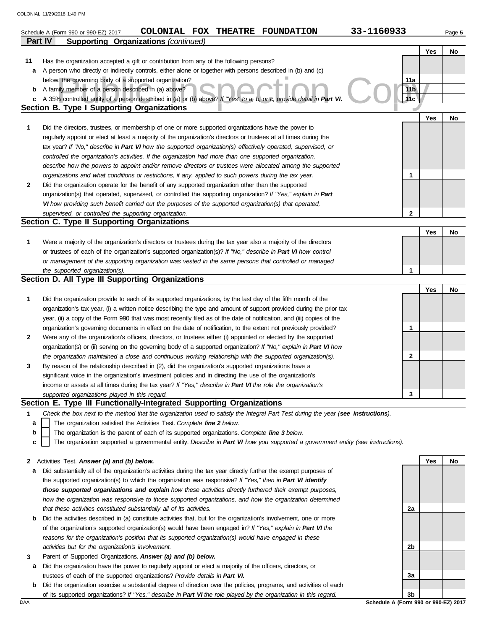|                | Schedule A (Form 990 or 990-EZ) 2017                                                                                              |  | COLONIAL FOX THEATRE FOUNDATION | 33-1160933                           |                 |     | Page 5 |
|----------------|-----------------------------------------------------------------------------------------------------------------------------------|--|---------------------------------|--------------------------------------|-----------------|-----|--------|
| <b>Part IV</b> | <b>Supporting Organizations (continued)</b>                                                                                       |  |                                 |                                      |                 |     |        |
|                |                                                                                                                                   |  |                                 |                                      |                 | Yes | No     |
| 11             | Has the organization accepted a gift or contribution from any of the following persons?                                           |  |                                 |                                      |                 |     |        |
| а              | A person who directly or indirectly controls, either alone or together with persons described in (b) and (c)                      |  |                                 |                                      |                 |     |        |
|                | below, the governing body of a supported organization?                                                                            |  |                                 |                                      | 11a             |     |        |
| b              | A family member of a person described in (a) above?                                                                               |  |                                 |                                      | 11 <sub>b</sub> |     |        |
| c              | A 35% controlled entity of a person described in (a) or (b) above? If "Yes" to a, b, or c, provide detail in Part VI.             |  |                                 |                                      | 11c             |     |        |
|                | <b>Section B. Type I Supporting Organizations</b>                                                                                 |  |                                 |                                      |                 |     |        |
|                |                                                                                                                                   |  |                                 |                                      |                 | Yes | No     |
| 1              | Did the directors, trustees, or membership of one or more supported organizations have the power to                               |  |                                 |                                      |                 |     |        |
|                | regularly appoint or elect at least a majority of the organization's directors or trustees at all times during the                |  |                                 |                                      |                 |     |        |
|                | tax year? If "No," describe in Part VI how the supported organization(s) effectively operated, supervised, or                     |  |                                 |                                      |                 |     |        |
|                | controlled the organization's activities. If the organization had more than one supported organization,                           |  |                                 |                                      |                 |     |        |
|                | describe how the powers to appoint and/or remove directors or trustees were allocated among the supported                         |  |                                 |                                      |                 |     |        |
|                | organizations and what conditions or restrictions, if any, applied to such powers during the tax year.                            |  |                                 |                                      | 1               |     |        |
| 2              | Did the organization operate for the benefit of any supported organization other than the supported                               |  |                                 |                                      |                 |     |        |
|                | organization(s) that operated, supervised, or controlled the supporting organization? If "Yes," explain in Part                   |  |                                 |                                      |                 |     |        |
|                | VI how providing such benefit carried out the purposes of the supported organization(s) that operated,                            |  |                                 |                                      |                 |     |        |
|                | supervised, or controlled the supporting organization.                                                                            |  |                                 |                                      | $\mathbf{2}$    |     |        |
|                | Section C. Type II Supporting Organizations                                                                                       |  |                                 |                                      |                 |     |        |
|                |                                                                                                                                   |  |                                 |                                      |                 | Yes | No     |
| 1              | Were a majority of the organization's directors or trustees during the tax year also a majority of the directors                  |  |                                 |                                      |                 |     |        |
|                | or trustees of each of the organization's supported organization(s)? If "No," describe in Part VI how control                     |  |                                 |                                      |                 |     |        |
|                | or management of the supporting organization was vested in the same persons that controlled or managed                            |  |                                 |                                      |                 |     |        |
|                |                                                                                                                                   |  |                                 |                                      | 1               |     |        |
|                | the supported organization(s).<br>Section D. All Type III Supporting Organizations                                                |  |                                 |                                      |                 |     |        |
|                |                                                                                                                                   |  |                                 |                                      |                 |     |        |
|                |                                                                                                                                   |  |                                 |                                      |                 | Yes | No     |
| 1              | Did the organization provide to each of its supported organizations, by the last day of the fifth month of the                    |  |                                 |                                      |                 |     |        |
|                | organization's tax year, (i) a written notice describing the type and amount of support provided during the prior tax             |  |                                 |                                      |                 |     |        |
|                | year, (ii) a copy of the Form 990 that was most recently filed as of the date of notification, and (iii) copies of the            |  |                                 |                                      |                 |     |        |
|                | organization's governing documents in effect on the date of notification, to the extent not previously provided?                  |  |                                 |                                      | 1               |     |        |
| 2              | Were any of the organization's officers, directors, or trustees either (i) appointed or elected by the supported                  |  |                                 |                                      |                 |     |        |
|                | organization(s) or (ii) serving on the governing body of a supported organization? If "No," explain in Part VI how                |  |                                 |                                      |                 |     |        |
|                | the organization maintained a close and continuous working relationship with the supported organization(s).                       |  |                                 |                                      | 2               |     |        |
| 3              | By reason of the relationship described in (2), did the organization's supported organizations have a                             |  |                                 |                                      |                 |     |        |
|                | significant voice in the organization's investment policies and in directing the use of the organization's                        |  |                                 |                                      |                 |     |        |
|                | income or assets at all times during the tax year? If "Yes," describe in Part VI the role the organization's                      |  |                                 |                                      |                 |     |        |
|                | supported organizations played in this regard.                                                                                    |  |                                 |                                      | 3               |     |        |
|                | Section E. Type III Functionally-Integrated Supporting Organizations                                                              |  |                                 |                                      |                 |     |        |
| 1              | Check the box next to the method that the organization used to satisfy the Integral Part Test during the year (see instructions). |  |                                 |                                      |                 |     |        |
| a              | The organization satisfied the Activities Test. Complete line 2 below.                                                            |  |                                 |                                      |                 |     |        |
| b              | The organization is the parent of each of its supported organizations. Complete line 3 below.                                     |  |                                 |                                      |                 |     |        |
| c              | The organization supported a governmental entity. Describe in Part VI how you supported a government entity (see instructions).   |  |                                 |                                      |                 |     |        |
|                |                                                                                                                                   |  |                                 |                                      |                 |     |        |
| 2              | Activities Test. Answer (a) and (b) below.                                                                                        |  |                                 |                                      |                 | Yes | No     |
| а              | Did substantially all of the organization's activities during the tax year directly further the exempt purposes of                |  |                                 |                                      |                 |     |        |
|                | the supported organization(s) to which the organization was responsive? If "Yes," then in Part VI identify                        |  |                                 |                                      |                 |     |        |
|                | those supported organizations and explain how these activities directly furthered their exempt purposes,                          |  |                                 |                                      |                 |     |        |
|                | how the organization was responsive to those supported organizations, and how the organization determined                         |  |                                 |                                      |                 |     |        |
|                | that these activities constituted substantially all of its activities.                                                            |  |                                 |                                      | 2a              |     |        |
| b              | Did the activities described in (a) constitute activities that, but for the organization's involvement, one or more               |  |                                 |                                      |                 |     |        |
|                | of the organization's supported organization(s) would have been engaged in? If "Yes," explain in Part VI the                      |  |                                 |                                      |                 |     |        |
|                | reasons for the organization's position that its supported organization(s) would have engaged in these                            |  |                                 |                                      |                 |     |        |
|                | activities but for the organization's involvement.                                                                                |  |                                 |                                      | 2b              |     |        |
| 3              | Parent of Supported Organizations. Answer (a) and (b) below.                                                                      |  |                                 |                                      |                 |     |        |
| а              | Did the organization have the power to regularly appoint or elect a majority of the officers, directors, or                       |  |                                 |                                      |                 |     |        |
|                | trustees of each of the supported organizations? Provide details in Part VI.                                                      |  |                                 |                                      | За              |     |        |
| b              | Did the organization exercise a substantial degree of direction over the policies, programs, and activities of each               |  |                                 |                                      |                 |     |        |
|                | of its supported organizations? If "Yes," describe in Part VI the role played by the organization in this regard.                 |  |                                 |                                      | 3b              |     |        |
| DAA            |                                                                                                                                   |  |                                 | Schedule A (Form 990 or 990-EZ) 2017 |                 |     |        |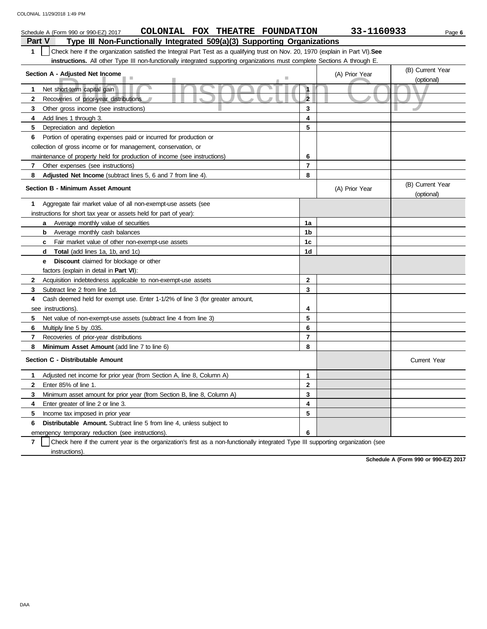| COLONIAL FOX THEATRE FOUNDATION<br>Schedule A (Form 990 or 990-EZ) 2017                                                               |                     | 33-1160933     | Page 6                         |
|---------------------------------------------------------------------------------------------------------------------------------------|---------------------|----------------|--------------------------------|
| Part V<br>Type III Non-Functionally Integrated 509(a)(3) Supporting Organizations                                                     |                     |                |                                |
| Check here if the organization satisfied the Integral Part Test as a qualifying trust on Nov. 20, 1970 (explain in Part VI). See<br>1 |                     |                |                                |
| instructions. All other Type III non-functionally integrated supporting organizations must complete Sections A through E.             |                     |                |                                |
| Section A - Adjusted Net Income                                                                                                       |                     | (A) Prior Year | (B) Current Year               |
|                                                                                                                                       |                     |                | (optional)                     |
| Net short-term capital gain<br>1.                                                                                                     | $\ddot{\mathbf{1}}$ |                |                                |
| Recoveries of prior-year distributions<br>$\mathbf{2}$                                                                                | $\overline{2}$      |                |                                |
| 3<br>Other gross income (see instructions)                                                                                            | 3                   |                |                                |
| 4<br>Add lines 1 through 3.                                                                                                           | 4                   |                |                                |
| 5<br>Depreciation and depletion                                                                                                       | 5                   |                |                                |
| 6<br>Portion of operating expenses paid or incurred for production or                                                                 |                     |                |                                |
| collection of gross income or for management, conservation, or                                                                        |                     |                |                                |
| maintenance of property held for production of income (see instructions)                                                              | 6                   |                |                                |
| 7<br>Other expenses (see instructions)                                                                                                | $\overline{7}$      |                |                                |
| Adjusted Net Income (subtract lines 5, 6 and 7 from line 4).<br>8                                                                     | 8                   |                |                                |
| <b>Section B - Minimum Asset Amount</b>                                                                                               |                     | (A) Prior Year | (B) Current Year<br>(optional) |
| Aggregate fair market value of all non-exempt-use assets (see<br>1                                                                    |                     |                |                                |
| instructions for short tax year or assets held for part of year):                                                                     |                     |                |                                |
| Average monthly value of securities<br>a                                                                                              | 1a                  |                |                                |
| <b>b</b> Average monthly cash balances                                                                                                | 1 <sub>b</sub>      |                |                                |
| Fair market value of other non-exempt-use assets<br>c.                                                                                | 1c                  |                |                                |
| d<br><b>Total</b> (add lines 1a, 1b, and 1c)                                                                                          | 1 <sub>d</sub>      |                |                                |
| <b>Discount</b> claimed for blockage or other<br>е                                                                                    |                     |                |                                |
| factors (explain in detail in <b>Part VI)</b> :                                                                                       |                     |                |                                |
| $\mathbf{2}$<br>Acquisition indebtedness applicable to non-exempt-use assets                                                          | $\mathbf{2}$        |                |                                |
| 3<br>Subtract line 2 from line 1d.                                                                                                    | 3                   |                |                                |
| Cash deemed held for exempt use. Enter 1-1/2% of line 3 (for greater amount,<br>4                                                     |                     |                |                                |
| see instructions)                                                                                                                     | 4                   |                |                                |
| 5<br>Net value of non-exempt-use assets (subtract line 4 from line 3)                                                                 | 5                   |                |                                |
| 6<br>Multiply line 5 by .035.                                                                                                         | 6                   |                |                                |
| 7<br>Recoveries of prior-year distributions                                                                                           | $\overline{7}$      |                |                                |
| 8<br>Minimum Asset Amount (add line 7 to line 6)                                                                                      | 8                   |                |                                |
| Section C - Distributable Amount                                                                                                      |                     |                | <b>Current Year</b>            |
| Adjusted net income for prior year (from Section A, line 8, Column A)<br>1                                                            | 1                   |                |                                |
| $\mathbf{2}$<br>Enter 85% of line 1.                                                                                                  | $\overline{2}$      |                |                                |
| 3<br>Minimum asset amount for prior year (from Section B, line 8, Column A)                                                           | 3                   |                |                                |
| 4<br>Enter greater of line 2 or line 3.                                                                                               | 4                   |                |                                |
| 5<br>Income tax imposed in prior year                                                                                                 | 5                   |                |                                |
| 6<br><b>Distributable Amount.</b> Subtract line 5 from line 4, unless subject to                                                      |                     |                |                                |
| emergency temporary reduction (see instructions).                                                                                     | 6                   |                |                                |

**7** instructions). Check here if the current year is the organization's first as a non-functionally integrated Type III supporting organization (see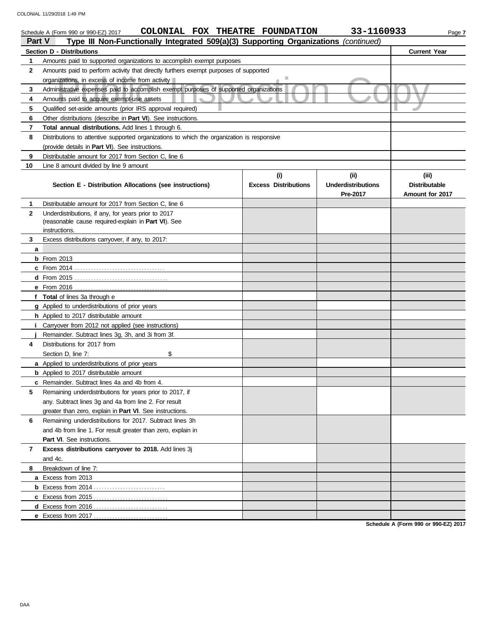| <b>Part V</b> | COLONIAL FOX THEATRE FOUNDATION<br>Schedule A (Form 990 or 990-EZ) 2017<br>Type III Non-Functionally Integrated 509(a)(3) Supporting Organizations (continued) |                                    | 33-1160933                                    | Page 7                                           |
|---------------|----------------------------------------------------------------------------------------------------------------------------------------------------------------|------------------------------------|-----------------------------------------------|--------------------------------------------------|
|               | <b>Section D - Distributions</b>                                                                                                                               |                                    |                                               | <b>Current Year</b>                              |
| 1.            | Amounts paid to supported organizations to accomplish exempt purposes                                                                                          |                                    |                                               |                                                  |
| 2             | Amounts paid to perform activity that directly furthers exempt purposes of supported                                                                           |                                    |                                               |                                                  |
|               | organizations, in excess of income from activity                                                                                                               |                                    |                                               |                                                  |
| 3             | Administrative expenses paid to accomplish exempt purposes of supported organizations                                                                          |                                    |                                               |                                                  |
| 4             | Amounts paid to acquire exempt-use assets                                                                                                                      |                                    |                                               |                                                  |
| 5             | Qualified set-aside amounts (prior IRS approval required)                                                                                                      |                                    |                                               |                                                  |
| 6             | Other distributions (describe in Part VI). See instructions.                                                                                                   |                                    |                                               |                                                  |
| 7             | <b>Total annual distributions.</b> Add lines 1 through 6.                                                                                                      |                                    |                                               |                                                  |
| 8             | Distributions to attentive supported organizations to which the organization is responsive                                                                     |                                    |                                               |                                                  |
|               | (provide details in Part VI). See instructions.                                                                                                                |                                    |                                               |                                                  |
| 9             | Distributable amount for 2017 from Section C, line 6                                                                                                           |                                    |                                               |                                                  |
| 10            | Line 8 amount divided by line 9 amount                                                                                                                         |                                    |                                               |                                                  |
|               | Section E - Distribution Allocations (see instructions)                                                                                                        | (i)<br><b>Excess Distributions</b> | (ii)<br><b>Underdistributions</b><br>Pre-2017 | (iii)<br><b>Distributable</b><br>Amount for 2017 |
| 1.            | Distributable amount for 2017 from Section C, line 6                                                                                                           |                                    |                                               |                                                  |
| 2             | Underdistributions, if any, for years prior to 2017                                                                                                            |                                    |                                               |                                                  |
|               | (reasonable cause required-explain in Part VI). See                                                                                                            |                                    |                                               |                                                  |
|               | instructions.                                                                                                                                                  |                                    |                                               |                                                  |
| 3             | Excess distributions carryover, if any, to 2017:                                                                                                               |                                    |                                               |                                                  |
| a             |                                                                                                                                                                |                                    |                                               |                                                  |
|               | $b$ From 2013                                                                                                                                                  |                                    |                                               |                                                  |
|               |                                                                                                                                                                |                                    |                                               |                                                  |
|               |                                                                                                                                                                |                                    |                                               |                                                  |
|               |                                                                                                                                                                |                                    |                                               |                                                  |
|               | f Total of lines 3a through e                                                                                                                                  |                                    |                                               |                                                  |
|               | g Applied to underdistributions of prior years                                                                                                                 |                                    |                                               |                                                  |
|               | <b>h</b> Applied to 2017 distributable amount                                                                                                                  |                                    |                                               |                                                  |
|               | <i>i</i> Carryover from 2012 not applied (see instructions)                                                                                                    |                                    |                                               |                                                  |
|               | Remainder. Subtract lines 3g, 3h, and 3i from 3f.                                                                                                              |                                    |                                               |                                                  |
| 4             | Distributions for 2017 from                                                                                                                                    |                                    |                                               |                                                  |
|               | \$<br>Section D, line 7:                                                                                                                                       |                                    |                                               |                                                  |
|               | <b>a</b> Applied to underdistributions of prior years<br><b>b</b> Applied to 2017 distributable amount                                                         |                                    |                                               |                                                  |
|               | c Remainder. Subtract lines 4a and 4b from 4.                                                                                                                  |                                    |                                               |                                                  |
| 5             | Remaining underdistributions for years prior to 2017, if                                                                                                       |                                    |                                               |                                                  |
|               | any. Subtract lines 3g and 4a from line 2. For result                                                                                                          |                                    |                                               |                                                  |
|               | greater than zero, explain in Part VI. See instructions.                                                                                                       |                                    |                                               |                                                  |
| 6             | Remaining underdistributions for 2017. Subtract lines 3h                                                                                                       |                                    |                                               |                                                  |
|               | and 4b from line 1. For result greater than zero, explain in                                                                                                   |                                    |                                               |                                                  |
|               | <b>Part VI.</b> See instructions.                                                                                                                              |                                    |                                               |                                                  |
| 7             | Excess distributions carryover to 2018. Add lines 3j                                                                                                           |                                    |                                               |                                                  |
|               | and 4c.                                                                                                                                                        |                                    |                                               |                                                  |
| 8             | Breakdown of line 7:                                                                                                                                           |                                    |                                               |                                                  |
|               | a Excess from 2013                                                                                                                                             |                                    |                                               |                                                  |
|               |                                                                                                                                                                |                                    |                                               |                                                  |
|               |                                                                                                                                                                |                                    |                                               |                                                  |
|               |                                                                                                                                                                |                                    |                                               |                                                  |
|               | <b>e</b> Excess from 2017                                                                                                                                      |                                    |                                               |                                                  |
|               |                                                                                                                                                                |                                    |                                               |                                                  |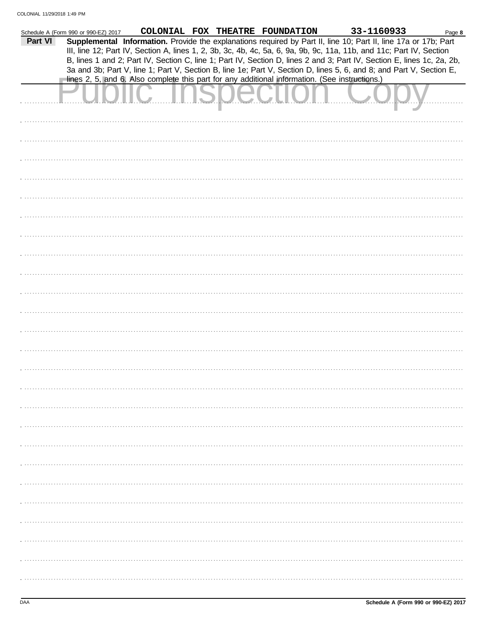|         | Schedule A (Form 990 or 990-EZ) 2017 |  | COLONIAL FOX THEATRE FOUNDATION                                                                | 33-1160933                                                                                                             | Page 8 |
|---------|--------------------------------------|--|------------------------------------------------------------------------------------------------|------------------------------------------------------------------------------------------------------------------------|--------|
| Part VI |                                      |  |                                                                                                | Supplemental Information. Provide the explanations required by Part II, line 10; Part II, line 17a or 17b; Part        |        |
|         |                                      |  |                                                                                                |                                                                                                                        |        |
|         |                                      |  |                                                                                                | III, line 12; Part IV, Section A, lines 1, 2, 3b, 3c, 4b, 4c, 5a, 6, 9a, 9b, 9c, 11a, 11b, and 11c; Part IV, Section   |        |
|         |                                      |  |                                                                                                | B, lines 1 and 2; Part IV, Section C, line 1; Part IV, Section D, lines 2 and 3; Part IV, Section E, lines 1c, 2a, 2b, |        |
|         |                                      |  |                                                                                                | 3a and 3b; Part V, line 1; Part V, Section B, line 1e; Part V, Section D, lines 5, 6, and 8; and Part V, Section E,    |        |
|         |                                      |  | lines 2, 5, and 6. Also complete this part for any additional information. (See instructions.) |                                                                                                                        |        |
|         |                                      |  |                                                                                                |                                                                                                                        |        |
|         |                                      |  |                                                                                                |                                                                                                                        |        |
|         |                                      |  |                                                                                                |                                                                                                                        |        |
|         |                                      |  |                                                                                                |                                                                                                                        |        |
|         |                                      |  |                                                                                                |                                                                                                                        |        |
|         |                                      |  |                                                                                                |                                                                                                                        |        |
|         |                                      |  |                                                                                                |                                                                                                                        |        |
|         |                                      |  |                                                                                                |                                                                                                                        |        |
|         |                                      |  |                                                                                                |                                                                                                                        |        |
|         |                                      |  |                                                                                                |                                                                                                                        |        |
|         |                                      |  |                                                                                                |                                                                                                                        |        |
|         |                                      |  |                                                                                                |                                                                                                                        |        |
|         |                                      |  |                                                                                                |                                                                                                                        |        |
|         |                                      |  |                                                                                                |                                                                                                                        |        |
|         |                                      |  |                                                                                                |                                                                                                                        |        |
|         |                                      |  |                                                                                                |                                                                                                                        |        |
|         |                                      |  |                                                                                                |                                                                                                                        |        |
|         |                                      |  |                                                                                                |                                                                                                                        |        |
|         |                                      |  |                                                                                                |                                                                                                                        |        |
|         |                                      |  |                                                                                                |                                                                                                                        |        |
|         |                                      |  |                                                                                                |                                                                                                                        |        |
|         |                                      |  |                                                                                                |                                                                                                                        |        |
|         |                                      |  |                                                                                                |                                                                                                                        |        |
|         |                                      |  |                                                                                                |                                                                                                                        |        |
|         |                                      |  |                                                                                                |                                                                                                                        |        |
|         |                                      |  |                                                                                                |                                                                                                                        |        |
|         |                                      |  |                                                                                                |                                                                                                                        |        |
|         |                                      |  |                                                                                                |                                                                                                                        |        |
|         |                                      |  |                                                                                                |                                                                                                                        |        |
|         |                                      |  |                                                                                                |                                                                                                                        |        |
|         |                                      |  |                                                                                                |                                                                                                                        |        |
|         |                                      |  |                                                                                                |                                                                                                                        |        |
|         |                                      |  |                                                                                                |                                                                                                                        |        |
|         |                                      |  |                                                                                                |                                                                                                                        |        |
|         |                                      |  |                                                                                                |                                                                                                                        |        |
|         |                                      |  |                                                                                                |                                                                                                                        |        |
|         |                                      |  |                                                                                                |                                                                                                                        |        |
|         |                                      |  |                                                                                                |                                                                                                                        |        |
|         |                                      |  |                                                                                                |                                                                                                                        |        |
|         |                                      |  |                                                                                                |                                                                                                                        |        |
|         |                                      |  |                                                                                                |                                                                                                                        |        |
|         |                                      |  |                                                                                                |                                                                                                                        |        |
|         |                                      |  |                                                                                                |                                                                                                                        |        |
|         |                                      |  |                                                                                                |                                                                                                                        |        |
|         |                                      |  |                                                                                                |                                                                                                                        |        |
|         |                                      |  |                                                                                                |                                                                                                                        |        |
|         |                                      |  |                                                                                                |                                                                                                                        |        |
|         |                                      |  |                                                                                                |                                                                                                                        |        |
|         |                                      |  |                                                                                                |                                                                                                                        |        |
|         |                                      |  |                                                                                                |                                                                                                                        |        |
|         |                                      |  |                                                                                                |                                                                                                                        |        |
|         |                                      |  |                                                                                                |                                                                                                                        |        |
|         |                                      |  |                                                                                                |                                                                                                                        |        |
|         |                                      |  |                                                                                                |                                                                                                                        |        |
|         |                                      |  |                                                                                                |                                                                                                                        |        |
|         |                                      |  |                                                                                                |                                                                                                                        |        |
|         |                                      |  |                                                                                                |                                                                                                                        |        |
|         |                                      |  |                                                                                                |                                                                                                                        |        |
|         |                                      |  |                                                                                                |                                                                                                                        |        |
|         |                                      |  |                                                                                                |                                                                                                                        |        |
|         |                                      |  |                                                                                                |                                                                                                                        |        |
|         |                                      |  |                                                                                                |                                                                                                                        |        |
|         |                                      |  |                                                                                                |                                                                                                                        |        |
|         |                                      |  |                                                                                                |                                                                                                                        |        |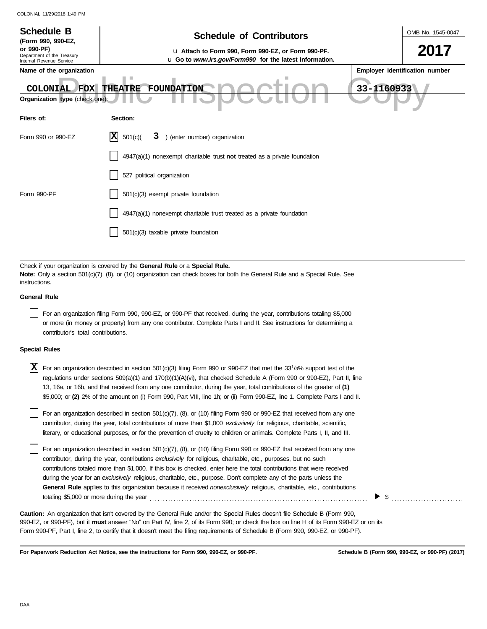| <b>Schedule B</b><br>(Form 990, 990-EZ,                                                    | <b>Schedule of Contributors</b>                                                                                                                                                                                                                                                                                                                                                                                                                                                                                     | OMB No. 1545-0047              |
|--------------------------------------------------------------------------------------------|---------------------------------------------------------------------------------------------------------------------------------------------------------------------------------------------------------------------------------------------------------------------------------------------------------------------------------------------------------------------------------------------------------------------------------------------------------------------------------------------------------------------|--------------------------------|
| or 990-PF)<br>Department of the Treasury<br>Internal Revenue Service                       | La Attach to Form 990, Form 990-EZ, or Form 990-PF.<br>u Go to www.irs.gov/Form990 for the latest information.                                                                                                                                                                                                                                                                                                                                                                                                      |                                |
| Name of the organization<br><b>COLONIAL</b><br><b>FOX</b><br>Organization type (check one) | ш<br><b>FOUNDATION</b><br>33-1160933<br>THEATRE                                                                                                                                                                                                                                                                                                                                                                                                                                                                     | Employer identification number |
| Filers of:                                                                                 | Section:                                                                                                                                                                                                                                                                                                                                                                                                                                                                                                            |                                |
| Form 990 or 990-EZ                                                                         | X<br>) (enter number) organization<br>501(c)<br>3                                                                                                                                                                                                                                                                                                                                                                                                                                                                   |                                |
|                                                                                            | $4947(a)(1)$ nonexempt charitable trust not treated as a private foundation                                                                                                                                                                                                                                                                                                                                                                                                                                         |                                |
|                                                                                            | 527 political organization                                                                                                                                                                                                                                                                                                                                                                                                                                                                                          |                                |
| Form 990-PF                                                                                | 501(c)(3) exempt private foundation                                                                                                                                                                                                                                                                                                                                                                                                                                                                                 |                                |
|                                                                                            | 4947(a)(1) nonexempt charitable trust treated as a private foundation                                                                                                                                                                                                                                                                                                                                                                                                                                               |                                |
|                                                                                            | 501(c)(3) taxable private foundation                                                                                                                                                                                                                                                                                                                                                                                                                                                                                |                                |
|                                                                                            |                                                                                                                                                                                                                                                                                                                                                                                                                                                                                                                     |                                |
| instructions.                                                                              | Check if your organization is covered by the <b>General Rule</b> or a <b>Special Rule.</b><br>Note: Only a section 501(c)(7), (8), or (10) organization can check boxes for both the General Rule and a Special Rule. See                                                                                                                                                                                                                                                                                           |                                |
| <b>General Rule</b>                                                                        |                                                                                                                                                                                                                                                                                                                                                                                                                                                                                                                     |                                |
| contributor's total contributions.                                                         | For an organization filing Form 990, 990-EZ, or 990-PF that received, during the year, contributions totaling \$5,000<br>or more (in money or property) from any one contributor. Complete Parts I and II. See instructions for determining a                                                                                                                                                                                                                                                                       |                                |
| <b>Special Rules</b>                                                                       |                                                                                                                                                                                                                                                                                                                                                                                                                                                                                                                     |                                |
| X                                                                                          | For an organization described in section 501(c)(3) filing Form 990 or 990-EZ that met the $33^{1/3\%}$ support test of the<br>regulations under sections $509(a)(1)$ and $170(b)(1)(A)(vi)$ , that checked Schedule A (Form 990 or 990-EZ), Part II, line<br>13, 16a, or 16b, and that received from any one contributor, during the year, total contributions of the greater of (1)<br>\$5,000; or (2) 2% of the amount on (i) Form 990, Part VIII, line 1h; or (ii) Form 990-EZ, line 1. Complete Parts I and II. |                                |
|                                                                                            | For an organization described in section 501(c)(7), (8), or (10) filing Form 990 or 990-EZ that received from any one<br>contributor, during the year, total contributions of more than \$1,000 exclusively for religious, charitable, scientific,<br>literary, or educational purposes, or for the prevention of cruelty to children or animals. Complete Parts I, II, and III.                                                                                                                                    |                                |
|                                                                                            | For an organization described in section 501(c)(7), (8), or (10) filing Form 990 or 990-EZ that received from any one<br>contributor, during the year, contributions exclusively for religious, charitable, etc., purposes, but no such<br>contributions totaled more than \$1,000. If this box is checked, enter here the total contributions that were received                                                                                                                                                   |                                |

during the year for an *exclusively* religious, charitable, etc., purpose. Don't complete any of the parts unless the **General Rule** applies to this organization because it received *nonexclusively* religious, charitable, etc., contributions totaling \$5,000 or more during the year . . . . . . . . . . . . . . . . . . . . . . . . . . . . . . . . . . . . . . . . . . . . . . . . . . . . . . . . . . . . . . . . . . . . . . . . . . . . . . . . . . \$ . . . . . . . . . . . . . . . . . . . . . . . . . . .

990-EZ, or 990-PF), but it **must** answer "No" on Part IV, line 2, of its Form 990; or check the box on line H of its Form 990-EZ or on its Form 990-PF, Part I, line 2, to certify that it doesn't meet the filing requirements of Schedule B (Form 990, 990-EZ, or 990-PF). **Caution:** An organization that isn't covered by the General Rule and/or the Special Rules doesn't file Schedule B (Form 990,

**For Paperwork Reduction Act Notice, see the instructions for Form 990, 990-EZ, or 990-PF.**

**Schedule B (Form 990, 990-EZ, or 990-PF) (2017)**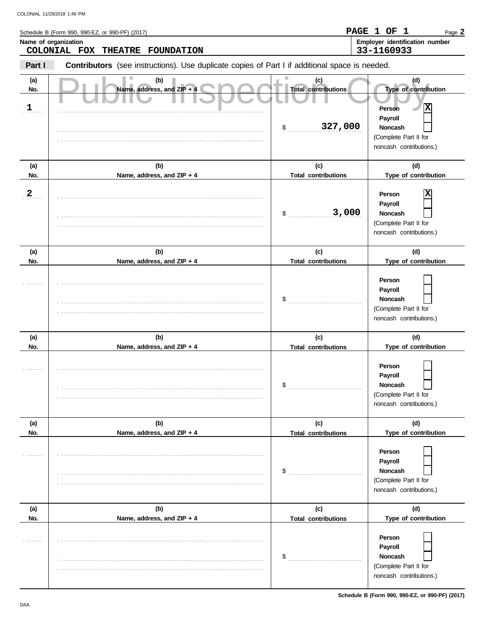|              | Schedule B (Form 990, 990-EZ, or 990-PF) (2017)<br>Name of organization                        |                                   | PAGE 1 OF 1<br>Page 2<br>Employer identification number                               |  |  |  |
|--------------|------------------------------------------------------------------------------------------------|-----------------------------------|---------------------------------------------------------------------------------------|--|--|--|
|              | COLONIAL FOX THEATRE<br><b>FOUNDATION</b>                                                      | 33-1160933                        |                                                                                       |  |  |  |
| Part I       | Contributors (see instructions). Use duplicate copies of Part I if additional space is needed. |                                   |                                                                                       |  |  |  |
| (a)<br>No.   | (b)<br>Name, address, and ZIP + 4                                                              | (c)<br><b>Total contributions</b> | (d)<br>Type of contribution                                                           |  |  |  |
| $\mathbf{1}$ |                                                                                                | 327,000<br>$\sim$                 | x<br>Person<br>Payroll<br>Noncash<br>(Complete Part II for<br>noncash contributions.) |  |  |  |
| (a)          | (b)                                                                                            | (c)                               | (d)                                                                                   |  |  |  |
| No.          | Name, address, and ZIP + 4                                                                     | <b>Total contributions</b>        | Type of contribution                                                                  |  |  |  |
| $\mathbf{2}$ |                                                                                                | 3,000<br>\$                       | х<br>Person<br>Payroll<br>Noncash<br>(Complete Part II for<br>noncash contributions.) |  |  |  |
| (a)<br>No.   | (b)<br>Name, address, and ZIP + 4                                                              | (c)<br><b>Total contributions</b> | (d)<br>Type of contribution                                                           |  |  |  |
|              |                                                                                                | \$                                | Person<br>Payroll<br>Noncash<br>(Complete Part II for<br>noncash contributions.)      |  |  |  |
| (a)          | (b)                                                                                            | (c)                               | (d)                                                                                   |  |  |  |
| No.          | Name, address, and ZIP + 4                                                                     | <b>Total contributions</b>        | Type of contribution                                                                  |  |  |  |
|              |                                                                                                | \$                                | Person<br>Payroll<br>Noncash<br>(Complete Part II for<br>noncash contributions.)      |  |  |  |
| (a)          | (b)                                                                                            | (c)                               | (d)                                                                                   |  |  |  |
| No.          | Name, address, and ZIP + 4                                                                     | <b>Total contributions</b>        | Type of contribution                                                                  |  |  |  |
|              |                                                                                                | \$                                | Person<br>Payroll<br>Noncash<br>(Complete Part II for<br>noncash contributions.)      |  |  |  |
| (a)          | (b)                                                                                            | (c)                               | (d)                                                                                   |  |  |  |
| No.          | Name, address, and ZIP + 4                                                                     | <b>Total contributions</b>        | Type of contribution                                                                  |  |  |  |
|              |                                                                                                | \$                                | Person<br>Payroll<br>Noncash                                                          |  |  |  |

. . . . . . . . . . . . . . . . . . . . . . . . . . . . . . . . . . . . . . . . . . . . . . . . . . . . . . . . . . . . . . . . . . . . . . . . . . . . . . . . . . . . . . . . . . . . . . . . . . . . . . . . . . . . . . . . . . . . . . . . . . . . . . . . . . . . . . . . . . . . . . . . . . . . . . . . . .

 $\Box$ **Noncash** (Complete Part II for noncash contributions.)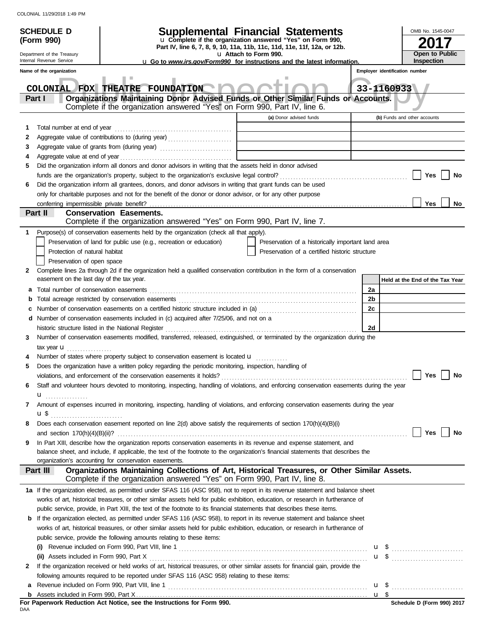|   | <b>SCHEDULE D</b>                                    |                                                                                                                                                                                                                                                             |                       | <b>Supplemental Financial Statements</b>                                                                                               |    |            | OMB No. 1545-0047                                   |
|---|------------------------------------------------------|-------------------------------------------------------------------------------------------------------------------------------------------------------------------------------------------------------------------------------------------------------------|-----------------------|----------------------------------------------------------------------------------------------------------------------------------------|----|------------|-----------------------------------------------------|
|   | (Form 990)                                           |                                                                                                                                                                                                                                                             |                       | u Complete if the organization answered "Yes" on Form 990,<br>Part IV, line 6, 7, 8, 9, 10, 11a, 11b, 11c, 11d, 11e, 11f, 12a, or 12b. |    |            |                                                     |
|   | Department of the Treasury                           |                                                                                                                                                                                                                                                             | u Attach to Form 990. |                                                                                                                                        |    |            | <b>Open to Public</b>                               |
|   | Internal Revenue Service<br>Name of the organization |                                                                                                                                                                                                                                                             |                       | <b>u</b> Go to www.irs.gov/Form990 for instructions and the latest information.                                                        |    |            | <b>Inspection</b><br>Employer identification number |
|   |                                                      |                                                                                                                                                                                                                                                             |                       |                                                                                                                                        |    |            |                                                     |
|   |                                                      | COLONIAL FOX THEATRE FOUNDATION                                                                                                                                                                                                                             |                       |                                                                                                                                        |    | 33-1160933 |                                                     |
|   | Part I                                               | Organizations Maintaining Donor Advised Funds or Other Similar Funds or Accounts.                                                                                                                                                                           |                       |                                                                                                                                        |    |            |                                                     |
|   |                                                      | Complete if the organization answered "Yes" on Form 990, Part IV, line 6.                                                                                                                                                                                   |                       | (a) Donor advised funds                                                                                                                |    |            |                                                     |
| 1 |                                                      |                                                                                                                                                                                                                                                             |                       |                                                                                                                                        |    |            | (b) Funds and other accounts                        |
| 2 |                                                      | Aggregate value of contributions to (during year)                                                                                                                                                                                                           |                       | the control of the control of the control of                                                                                           |    |            |                                                     |
| 3 |                                                      |                                                                                                                                                                                                                                                             |                       | the control of the control of the control of                                                                                           |    |            |                                                     |
| 4 |                                                      |                                                                                                                                                                                                                                                             |                       |                                                                                                                                        |    |            |                                                     |
| 5 |                                                      | Did the organization inform all donors and donor advisors in writing that the assets held in donor advised                                                                                                                                                  |                       |                                                                                                                                        |    |            |                                                     |
|   |                                                      |                                                                                                                                                                                                                                                             |                       |                                                                                                                                        |    |            | Yes<br>No                                           |
| 6 |                                                      | Did the organization inform all grantees, donors, and donor advisors in writing that grant funds can be used                                                                                                                                                |                       |                                                                                                                                        |    |            |                                                     |
|   |                                                      | only for charitable purposes and not for the benefit of the donor or donor advisor, or for any other purpose                                                                                                                                                |                       |                                                                                                                                        |    |            |                                                     |
|   |                                                      |                                                                                                                                                                                                                                                             |                       |                                                                                                                                        |    |            | Yes<br>No                                           |
|   | Part II                                              | <b>Conservation Easements.</b><br>Complete if the organization answered "Yes" on Form 990, Part IV, line 7.                                                                                                                                                 |                       |                                                                                                                                        |    |            |                                                     |
| 1 |                                                      | Purpose(s) of conservation easements held by the organization (check all that apply).                                                                                                                                                                       |                       |                                                                                                                                        |    |            |                                                     |
|   |                                                      | Preservation of land for public use (e.g., recreation or education)                                                                                                                                                                                         |                       | Preservation of a historically important land area                                                                                     |    |            |                                                     |
|   | Protection of natural habitat                        |                                                                                                                                                                                                                                                             |                       | Preservation of a certified historic structure                                                                                         |    |            |                                                     |
|   | Preservation of open space                           |                                                                                                                                                                                                                                                             |                       |                                                                                                                                        |    |            |                                                     |
| 2 |                                                      | Complete lines 2a through 2d if the organization held a qualified conservation contribution in the form of a conservation                                                                                                                                   |                       |                                                                                                                                        |    |            |                                                     |
|   | easement on the last day of the tax year.            |                                                                                                                                                                                                                                                             |                       |                                                                                                                                        |    |            | Held at the End of the Tax Year                     |
| а |                                                      |                                                                                                                                                                                                                                                             |                       |                                                                                                                                        | 2a |            |                                                     |
| b |                                                      |                                                                                                                                                                                                                                                             |                       |                                                                                                                                        | 2b |            |                                                     |
| c |                                                      |                                                                                                                                                                                                                                                             |                       |                                                                                                                                        | 2c |            |                                                     |
| d |                                                      | Number of conservation easements included in (c) acquired after 7/25/06, and not on a                                                                                                                                                                       |                       |                                                                                                                                        |    |            |                                                     |
|   |                                                      | historic structure listed in the National Register                                                                                                                                                                                                          |                       |                                                                                                                                        | 2d |            |                                                     |
| 3 | tax year $\mathbf u$                                 | Number of conservation easements modified, transferred, released, extinguished, or terminated by the organization during the                                                                                                                                |                       |                                                                                                                                        |    |            |                                                     |
|   |                                                      | Number of states where property subject to conservation easement is located u                                                                                                                                                                               |                       |                                                                                                                                        |    |            |                                                     |
| 5 |                                                      | Does the organization have a written policy regarding the periodic monitoring, inspection, handling of                                                                                                                                                      |                       |                                                                                                                                        |    |            |                                                     |
|   |                                                      | violations, and enforcement of the conservation easements it holds?                                                                                                                                                                                         |                       |                                                                                                                                        |    |            | Yes<br>No                                           |
| 6 |                                                      | Staff and volunteer hours devoted to monitoring, inspecting, handling of violations, and enforcing conservation easements during the year                                                                                                                   |                       |                                                                                                                                        |    |            |                                                     |
|   | u <sub></sub>                                        |                                                                                                                                                                                                                                                             |                       |                                                                                                                                        |    |            |                                                     |
| 7 |                                                      | Amount of expenses incurred in monitoring, inspecting, handling of violations, and enforcing conservation easements during the year                                                                                                                         |                       |                                                                                                                                        |    |            |                                                     |
|   | <b>u</b> \$ <u></u>                                  |                                                                                                                                                                                                                                                             |                       |                                                                                                                                        |    |            |                                                     |
| 8 |                                                      | Does each conservation easement reported on line 2(d) above satisfy the requirements of section 170(h)(4)(B)(i)                                                                                                                                             |                       |                                                                                                                                        |    |            |                                                     |
|   |                                                      |                                                                                                                                                                                                                                                             |                       |                                                                                                                                        |    |            | Yes<br>No                                           |
| 9 |                                                      | In Part XIII, describe how the organization reports conservation easements in its revenue and expense statement, and                                                                                                                                        |                       |                                                                                                                                        |    |            |                                                     |
|   |                                                      | balance sheet, and include, if applicable, the text of the footnote to the organization's financial statements that describes the<br>organization's accounting for conservation easements.                                                                  |                       |                                                                                                                                        |    |            |                                                     |
|   | Part III                                             | Organizations Maintaining Collections of Art, Historical Treasures, or Other Similar Assets.                                                                                                                                                                |                       |                                                                                                                                        |    |            |                                                     |
|   |                                                      | Complete if the organization answered "Yes" on Form 990, Part IV, line 8.                                                                                                                                                                                   |                       |                                                                                                                                        |    |            |                                                     |
|   |                                                      | 1a If the organization elected, as permitted under SFAS 116 (ASC 958), not to report in its revenue statement and balance sheet                                                                                                                             |                       |                                                                                                                                        |    |            |                                                     |
|   |                                                      | works of art, historical treasures, or other similar assets held for public exhibition, education, or research in furtherance of<br>public service, provide, in Part XIII, the text of the footnote to its financial statements that describes these items. |                       |                                                                                                                                        |    |            |                                                     |
|   |                                                      | <b>b</b> If the organization elected, as permitted under SFAS 116 (ASC 958), to report in its revenue statement and balance sheet                                                                                                                           |                       |                                                                                                                                        |    |            |                                                     |
|   |                                                      | works of art, historical treasures, or other similar assets held for public exhibition, education, or research in furtherance of                                                                                                                            |                       |                                                                                                                                        |    |            |                                                     |
|   |                                                      | public service, provide the following amounts relating to these items:                                                                                                                                                                                      |                       |                                                                                                                                        |    |            |                                                     |
|   |                                                      |                                                                                                                                                                                                                                                             |                       |                                                                                                                                        |    |            |                                                     |
|   |                                                      |                                                                                                                                                                                                                                                             |                       |                                                                                                                                        |    |            | $\mathbf{u}$ \$ $\ldots$                            |
| 2 |                                                      | If the organization received or held works of art, historical treasures, or other similar assets for financial gain, provide the                                                                                                                            |                       |                                                                                                                                        |    |            |                                                     |
|   |                                                      | following amounts required to be reported under SFAS 116 (ASC 958) relating to these items:                                                                                                                                                                 |                       |                                                                                                                                        |    |            |                                                     |
| a |                                                      |                                                                                                                                                                                                                                                             |                       |                                                                                                                                        |    |            |                                                     |
|   |                                                      |                                                                                                                                                                                                                                                             |                       |                                                                                                                                        |    |            |                                                     |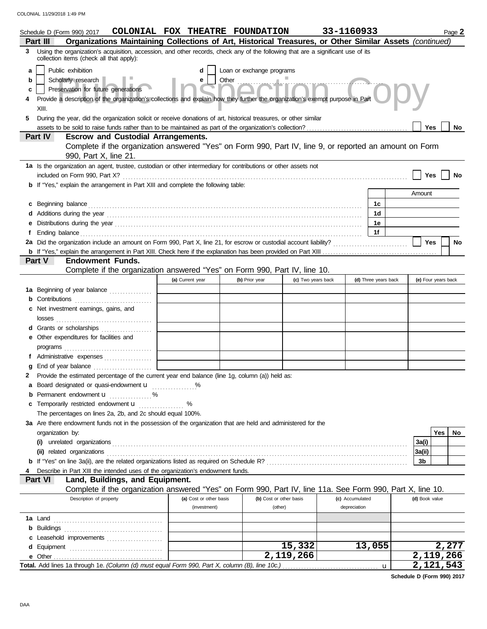|   | Schedule D (Form 990) 2017                                                                                                                                                                                                                                | COLONIAL FOX THEATRE FOUNDATION |                            |                         | 33-1160933      |                      |                     |       | Page 2 |
|---|-----------------------------------------------------------------------------------------------------------------------------------------------------------------------------------------------------------------------------------------------------------|---------------------------------|----------------------------|-------------------------|-----------------|----------------------|---------------------|-------|--------|
|   | Organizations Maintaining Collections of Art, Historical Treasures, or Other Similar Assets (continued)<br>Part III<br>3 Using the organization's acquisition, accession, and other records, check any of the following that are a significant use of its |                                 |                            |                         |                 |                      |                     |       |        |
|   | collection items (check all that apply):                                                                                                                                                                                                                  |                                 |                            |                         |                 |                      |                     |       |        |
| a | Public exhibition                                                                                                                                                                                                                                         | d                               | Loan or exchange programs  |                         |                 |                      |                     |       |        |
| b | Scholarly research                                                                                                                                                                                                                                        | e                               | Other <b>Communication</b> |                         |                 |                      |                     |       |        |
| c | Scholarly research<br>Preservation for future generations<br>Provide a description of the organization's collections and explain how they further the organization's exempt purpose in Part                                                               |                                 |                            |                         |                 |                      |                     |       |        |
| 4 | XIII.                                                                                                                                                                                                                                                     |                                 |                            |                         |                 |                      |                     |       |        |
| 5 | During the year, did the organization solicit or receive donations of art, historical treasures, or other similar                                                                                                                                         |                                 |                            |                         |                 |                      |                     |       |        |
|   |                                                                                                                                                                                                                                                           |                                 |                            |                         |                 |                      | <b>Yes</b>          |       | No     |
|   | Part IV<br><b>Escrow and Custodial Arrangements.</b>                                                                                                                                                                                                      |                                 |                            |                         |                 |                      |                     |       |        |
|   | Complete if the organization answered "Yes" on Form 990, Part IV, line 9, or reported an amount on Form                                                                                                                                                   |                                 |                            |                         |                 |                      |                     |       |        |
|   | 990, Part X, line 21.                                                                                                                                                                                                                                     |                                 |                            |                         |                 |                      |                     |       |        |
|   | 1a Is the organization an agent, trustee, custodian or other intermediary for contributions or other assets not                                                                                                                                           |                                 |                            |                         |                 |                      |                     |       |        |
|   |                                                                                                                                                                                                                                                           |                                 |                            |                         |                 |                      | Yes                 |       |        |
|   | <b>b</b> If "Yes," explain the arrangement in Part XIII and complete the following table:                                                                                                                                                                 |                                 |                            |                         |                 |                      |                     |       |        |
|   |                                                                                                                                                                                                                                                           |                                 |                            |                         |                 |                      | Amount              |       |        |
| c | Beginning balance <b>constructs</b> and constructs and constructs and constructs are constructed and constructs and constructs are constructed and constructs and constructs are constructed and construct and construct and constr                       |                                 |                            |                         |                 | 1c                   |                     |       |        |
|   | Additions during the year manufactured and contact the year manufactured and all the year manufactured and all the year manufactured and all the year manufactured and all the year manufactured and all the year manufactured                            |                                 |                            |                         |                 | 1 <sub>d</sub>       |                     |       |        |
|   |                                                                                                                                                                                                                                                           |                                 |                            |                         |                 | 1е                   |                     |       |        |
| f | Ending balance encourance and a series of the series of the series of the series of the series of the series of the series of the series of the series of the series of the series of the series of the series of the series o                            |                                 |                            |                         |                 | 1f                   |                     |       |        |
|   |                                                                                                                                                                                                                                                           |                                 |                            |                         |                 |                      | <b>Yes</b>          |       | No     |
|   |                                                                                                                                                                                                                                                           |                                 |                            |                         |                 |                      |                     |       |        |
|   | <b>Endowment Funds.</b><br>Part V                                                                                                                                                                                                                         |                                 |                            |                         |                 |                      |                     |       |        |
|   | Complete if the organization answered "Yes" on Form 990, Part IV, line 10.                                                                                                                                                                                |                                 |                            |                         |                 |                      |                     |       |        |
|   |                                                                                                                                                                                                                                                           | (a) Current year                | (b) Prior year             | (c) Two years back      |                 | (d) Three years back | (e) Four years back |       |        |
|   | 1a Beginning of year balance                                                                                                                                                                                                                              |                                 |                            |                         |                 |                      |                     |       |        |
| b |                                                                                                                                                                                                                                                           |                                 |                            |                         |                 |                      |                     |       |        |
| c | Net investment earnings, gains, and                                                                                                                                                                                                                       |                                 |                            |                         |                 |                      |                     |       |        |
|   |                                                                                                                                                                                                                                                           |                                 |                            |                         |                 |                      |                     |       |        |
|   | d Grants or scholarships                                                                                                                                                                                                                                  |                                 |                            |                         |                 |                      |                     |       |        |
|   | e Other expenditures for facilities and                                                                                                                                                                                                                   |                                 |                            |                         |                 |                      |                     |       |        |
|   | f Administrative expenses                                                                                                                                                                                                                                 |                                 |                            |                         |                 |                      |                     |       |        |
|   |                                                                                                                                                                                                                                                           |                                 |                            |                         |                 |                      |                     |       |        |
| 2 | Provide the estimated percentage of the current year end balance (line 1g, column (a)) held as:                                                                                                                                                           |                                 |                            |                         |                 |                      |                     |       |        |
|   | a Board designated or quasi-endowment u                                                                                                                                                                                                                   |                                 |                            |                         |                 |                      |                     |       |        |
|   | Permanent endowment <b>u</b> %                                                                                                                                                                                                                            |                                 |                            |                         |                 |                      |                     |       |        |
| c | Temporarily restricted endowment <b>u</b>                                                                                                                                                                                                                 | %                               |                            |                         |                 |                      |                     |       |        |
|   | The percentages on lines 2a, 2b, and 2c should equal 100%.                                                                                                                                                                                                |                                 |                            |                         |                 |                      |                     |       |        |
|   | 3a Are there endowment funds not in the possession of the organization that are held and administered for the                                                                                                                                             |                                 |                            |                         |                 |                      |                     |       |        |
|   | organization by:                                                                                                                                                                                                                                          |                                 |                            |                         |                 |                      |                     | Yes   | No.    |
|   |                                                                                                                                                                                                                                                           |                                 |                            |                         |                 |                      | 3a(i)               |       |        |
|   |                                                                                                                                                                                                                                                           |                                 |                            |                         |                 |                      | 3a(ii)              |       |        |
|   |                                                                                                                                                                                                                                                           |                                 |                            |                         |                 |                      | 3b                  |       |        |
| 4 | Describe in Part XIII the intended uses of the organization's endowment funds.                                                                                                                                                                            |                                 |                            |                         |                 |                      |                     |       |        |
|   | Part VI<br>Land, Buildings, and Equipment.                                                                                                                                                                                                                |                                 |                            |                         |                 |                      |                     |       |        |
|   | Complete if the organization answered "Yes" on Form 990, Part IV, line 11a. See Form 990, Part X, line 10.                                                                                                                                                |                                 |                            |                         |                 |                      |                     |       |        |
|   | Description of property                                                                                                                                                                                                                                   | (a) Cost or other basis         |                            | (b) Cost or other basis | (c) Accumulated |                      | (d) Book value      |       |        |
|   |                                                                                                                                                                                                                                                           | (investment)                    |                            | (other)                 | depreciation    |                      |                     |       |        |
|   | <b>1a</b> Land                                                                                                                                                                                                                                            |                                 |                            |                         |                 |                      |                     |       |        |
|   |                                                                                                                                                                                                                                                           |                                 |                            |                         |                 |                      |                     |       |        |
| c | Leasehold improvements                                                                                                                                                                                                                                    |                                 |                            |                         |                 |                      |                     |       |        |
| d |                                                                                                                                                                                                                                                           |                                 |                            | 15,332                  |                 | 13,055               |                     | 2,277 |        |
|   |                                                                                                                                                                                                                                                           |                                 |                            | $\overline{2,119,266}$  |                 |                      | 2,119,266           |       |        |
|   |                                                                                                                                                                                                                                                           |                                 |                            |                         |                 | u                    | 2,121,543           |       |        |

**Schedule D (Form 990) 2017**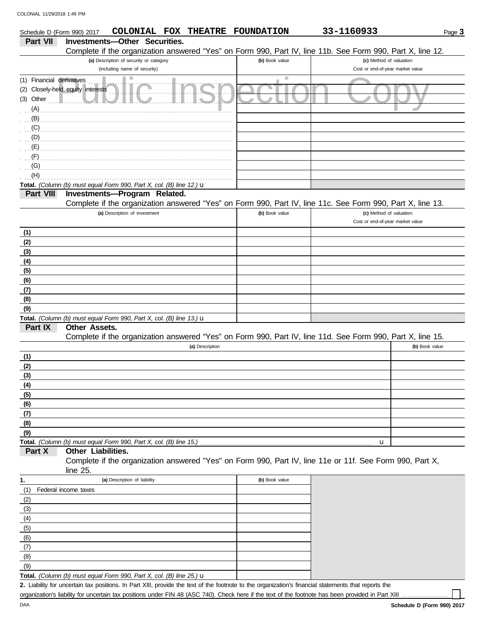| Schedule D (Form 990) 2017 |                                                                                                 |                                         |                 | COLONIAL FOX THEATRE FOUNDATION | 33-1160933                                                                                                 | Page 3                           |
|----------------------------|-------------------------------------------------------------------------------------------------|-----------------------------------------|-----------------|---------------------------------|------------------------------------------------------------------------------------------------------------|----------------------------------|
| <b>Part VII</b>            | Investments-Other Securities.                                                                   |                                         |                 |                                 |                                                                                                            |                                  |
|                            |                                                                                                 |                                         |                 |                                 | Complete if the organization answered "Yes" on Form 990, Part IV, line 11b. See Form 990, Part X, line 12. |                                  |
|                            |                                                                                                 | (a) Description of security or category |                 | (b) Book value                  |                                                                                                            | (c) Method of valuation:         |
|                            |                                                                                                 | (including name of security)            |                 |                                 |                                                                                                            | Cost or end-of-year market value |
| (1) Financial derivatives  |                                                                                                 | ш                                       |                 | a.                              |                                                                                                            |                                  |
|                            | (2) Closely-held equity interests                                                               |                                         |                 |                                 |                                                                                                            |                                  |
| (3) Other                  |                                                                                                 |                                         |                 |                                 |                                                                                                            |                                  |
| (A)                        |                                                                                                 |                                         |                 |                                 |                                                                                                            |                                  |
| (B)                        |                                                                                                 |                                         |                 |                                 |                                                                                                            |                                  |
| (C)                        |                                                                                                 |                                         |                 |                                 |                                                                                                            |                                  |
| (D)                        |                                                                                                 |                                         |                 |                                 |                                                                                                            |                                  |
| (E)                        |                                                                                                 |                                         |                 |                                 |                                                                                                            |                                  |
| (F)                        |                                                                                                 |                                         |                 |                                 |                                                                                                            |                                  |
| (G)                        |                                                                                                 |                                         |                 |                                 |                                                                                                            |                                  |
| (H)                        |                                                                                                 |                                         |                 |                                 |                                                                                                            |                                  |
|                            | Total. (Column (b) must equal Form 990, Part X, col. (B) line 12.) $\mathbf u$                  |                                         |                 |                                 |                                                                                                            |                                  |
| Part VIII                  | Investments-Program Related.                                                                    |                                         |                 |                                 |                                                                                                            |                                  |
|                            |                                                                                                 |                                         |                 |                                 | Complete if the organization answered "Yes" on Form 990, Part IV, line 11c. See Form 990, Part X, line 13. |                                  |
|                            |                                                                                                 | (a) Description of investment           |                 | (b) Book value                  |                                                                                                            | (c) Method of valuation:         |
|                            |                                                                                                 |                                         |                 |                                 |                                                                                                            | Cost or end-of-year market value |
| (1)                        |                                                                                                 |                                         |                 |                                 |                                                                                                            |                                  |
| (2)                        |                                                                                                 |                                         |                 |                                 |                                                                                                            |                                  |
| (3)                        |                                                                                                 |                                         |                 |                                 |                                                                                                            |                                  |
| (4)                        |                                                                                                 |                                         |                 |                                 |                                                                                                            |                                  |
| (5)                        |                                                                                                 |                                         |                 |                                 |                                                                                                            |                                  |
| (6)                        |                                                                                                 |                                         |                 |                                 |                                                                                                            |                                  |
| (7)                        |                                                                                                 |                                         |                 |                                 |                                                                                                            |                                  |
| (8)                        |                                                                                                 |                                         |                 |                                 |                                                                                                            |                                  |
| (9)                        |                                                                                                 |                                         |                 |                                 |                                                                                                            |                                  |
| Part IX                    | Total. (Column (b) must equal Form 990, Part X, col. (B) line 13.) $\mathbf u$<br>Other Assets. |                                         |                 |                                 |                                                                                                            |                                  |
|                            |                                                                                                 |                                         |                 |                                 | Complete if the organization answered "Yes" on Form 990, Part IV, line 11d. See Form 990, Part X, line 15. |                                  |
|                            |                                                                                                 |                                         | (a) Description |                                 |                                                                                                            | (b) Book value                   |
| (1)                        |                                                                                                 |                                         |                 |                                 |                                                                                                            |                                  |
| (2)                        |                                                                                                 |                                         |                 |                                 |                                                                                                            |                                  |
| (3)                        |                                                                                                 |                                         |                 |                                 |                                                                                                            |                                  |
| (4)                        |                                                                                                 |                                         |                 |                                 |                                                                                                            |                                  |
| (5)                        |                                                                                                 |                                         |                 |                                 |                                                                                                            |                                  |
| (6)                        |                                                                                                 |                                         |                 |                                 |                                                                                                            |                                  |
| (7)                        |                                                                                                 |                                         |                 |                                 |                                                                                                            |                                  |
| (8)                        |                                                                                                 |                                         |                 |                                 |                                                                                                            |                                  |
| (9)                        |                                                                                                 |                                         |                 |                                 |                                                                                                            |                                  |
|                            | Total. (Column (b) must equal Form 990, Part X, col. (B) line 15.)                              |                                         |                 |                                 |                                                                                                            | u                                |
| Part X                     | Other Liabilities.                                                                              |                                         |                 |                                 |                                                                                                            |                                  |
|                            |                                                                                                 |                                         |                 |                                 | Complete if the organization answered "Yes" on Form 990, Part IV, line 11e or 11f. See Form 990, Part X,   |                                  |
|                            | line 25.                                                                                        |                                         |                 |                                 |                                                                                                            |                                  |
| 1.                         |                                                                                                 | (a) Description of liability            |                 | (b) Book value                  |                                                                                                            |                                  |
| (1)                        | Federal income taxes                                                                            |                                         |                 |                                 |                                                                                                            |                                  |
| (2)                        |                                                                                                 |                                         |                 |                                 |                                                                                                            |                                  |
| (3)                        |                                                                                                 |                                         |                 |                                 |                                                                                                            |                                  |
| (4)                        |                                                                                                 |                                         |                 |                                 |                                                                                                            |                                  |
| (5)                        |                                                                                                 |                                         |                 |                                 |                                                                                                            |                                  |
| (6)                        |                                                                                                 |                                         |                 |                                 |                                                                                                            |                                  |
| (7)                        |                                                                                                 |                                         |                 |                                 |                                                                                                            |                                  |
| (8)                        |                                                                                                 |                                         |                 |                                 |                                                                                                            |                                  |
| (9)                        |                                                                                                 |                                         |                 |                                 |                                                                                                            |                                  |

**Total.** *(Column (b) must equal Form 990, Part X, col. (B) line 25.)* u

Liability for uncertain tax positions. In Part XIII, provide the text of the footnote to the organization's financial statements that reports the **2.** organization's liability for uncertain tax positions under FIN 48 (ASC 740). Check here if the text of the footnote has been provided in Part XIII ...........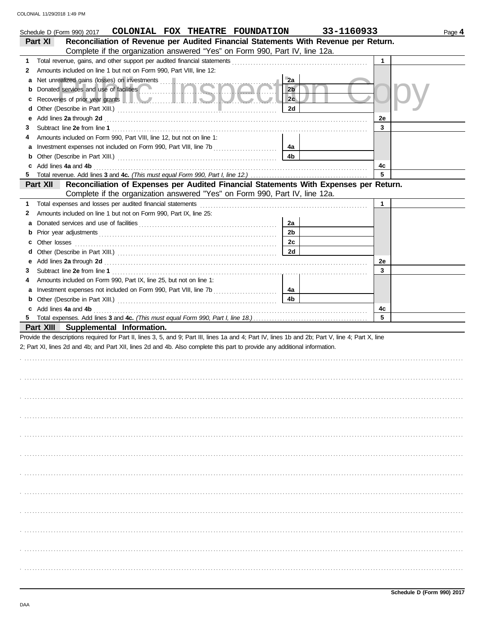|    | Schedule D (Form 990) 2017 COLONIAL FOX THEATRE FOUNDATION                                                                                                                                                                                                                                            |                      | 33-1160933 |         | Page 4 |
|----|-------------------------------------------------------------------------------------------------------------------------------------------------------------------------------------------------------------------------------------------------------------------------------------------------------|----------------------|------------|---------|--------|
|    | Reconciliation of Revenue per Audited Financial Statements With Revenue per Return.<br>Part XI                                                                                                                                                                                                        |                      |            |         |        |
|    | Complete if the organization answered "Yes" on Form 990, Part IV, line 12a.                                                                                                                                                                                                                           |                      |            |         |        |
| 1. |                                                                                                                                                                                                                                                                                                       |                      |            | 1       |        |
| 2  | Amounts included on line 1 but not on Form 990, Part VIII, line 12:                                                                                                                                                                                                                                   |                      |            |         |        |
| а  | Net unrealized gains (losses) on investments                                                                                                                                                                                                                                                          | 2a                   |            |         |        |
| b  | Donated services and use of facilities                                                                                                                                                                                                                                                                | 2 <sub>b</sub>       |            |         |        |
| с  |                                                                                                                                                                                                                                                                                                       | 2c                   |            |         |        |
| d  |                                                                                                                                                                                                                                                                                                       | 2d                   |            |         |        |
| е  |                                                                                                                                                                                                                                                                                                       |                      |            | 2e      |        |
| З  |                                                                                                                                                                                                                                                                                                       |                      |            | 3       |        |
|    | Amounts included on Form 990, Part VIII, line 12, but not on line 1:                                                                                                                                                                                                                                  |                      |            |         |        |
| а  |                                                                                                                                                                                                                                                                                                       | 4a                   |            |         |        |
| b  |                                                                                                                                                                                                                                                                                                       | 4 <sub>b</sub>       |            |         |        |
| c  |                                                                                                                                                                                                                                                                                                       |                      |            | 4c      |        |
| 5  |                                                                                                                                                                                                                                                                                                       |                      |            | 5       |        |
|    | Reconciliation of Expenses per Audited Financial Statements With Expenses per Return.<br>Part XII                                                                                                                                                                                                     |                      |            |         |        |
|    | Complete if the organization answered "Yes" on Form 990, Part IV, line 12a.                                                                                                                                                                                                                           |                      |            |         |        |
| 1  |                                                                                                                                                                                                                                                                                                       |                      |            | 1       |        |
| 2  | Amounts included on line 1 but not on Form 990, Part IX, line 25:                                                                                                                                                                                                                                     |                      |            |         |        |
| a  | Donated services and use of facilities [[11, 11] contracts are not all the services and use of facilities [[11, 11] contracts are not all the services and use of facilities [[11, 11] contracts are not all the services are                                                                         | 2a                   |            |         |        |
| b  |                                                                                                                                                                                                                                                                                                       | 2 <sub>b</sub>       |            |         |        |
|    | Prior year adjustments entertainments and the contract of the contract of the contract of the contract of the contract of the contract of the contract of the contract of the contract of the contract of the contract of the                                                                         | 2c                   |            |         |        |
| с  | Other losses <b>contracts</b> and <b>contracts</b> and <b>contracts</b> and <b>contracts</b> and <b>contracts</b> and <b>contracts</b> and <b>contracts</b> and <b>contracts</b> and <b>contracts</b> and <b>contracts</b> and <b>contracts</b> and <b>contracts</b> and <b>contracts</b> and <b></b> | 2d                   |            |         |        |
|    |                                                                                                                                                                                                                                                                                                       |                      |            |         |        |
| е  |                                                                                                                                                                                                                                                                                                       |                      |            | 2e<br>3 |        |
| З  |                                                                                                                                                                                                                                                                                                       |                      |            |         |        |
| 4  | Amounts included on Form 990, Part IX, line 25, but not on line 1:                                                                                                                                                                                                                                    |                      |            |         |        |
| a  |                                                                                                                                                                                                                                                                                                       | 4a<br>4 <sub>b</sub> |            |         |        |
| b  |                                                                                                                                                                                                                                                                                                       |                      |            |         |        |
| c  |                                                                                                                                                                                                                                                                                                       |                      |            | 4c<br>5 |        |
|    |                                                                                                                                                                                                                                                                                                       |                      |            |         |        |
|    | Part XIII Supplemental Information.                                                                                                                                                                                                                                                                   |                      |            |         |        |
|    | Provide the descriptions required for Part II, lines 3, 5, and 9; Part III, lines 1a and 4; Part IV, lines 1b and 2b; Part V, line 4; Part X, line                                                                                                                                                    |                      |            |         |        |
|    | 2; Part XI, lines 2d and 4b; and Part XII, lines 2d and 4b. Also complete this part to provide any additional information.                                                                                                                                                                            |                      |            |         |        |
|    |                                                                                                                                                                                                                                                                                                       |                      |            |         |        |
|    |                                                                                                                                                                                                                                                                                                       |                      |            |         |        |
|    |                                                                                                                                                                                                                                                                                                       |                      |            |         |        |
|    |                                                                                                                                                                                                                                                                                                       |                      |            |         |        |
|    |                                                                                                                                                                                                                                                                                                       |                      |            |         |        |
|    |                                                                                                                                                                                                                                                                                                       |                      |            |         |        |
|    |                                                                                                                                                                                                                                                                                                       |                      |            |         |        |
|    |                                                                                                                                                                                                                                                                                                       |                      |            |         |        |
|    |                                                                                                                                                                                                                                                                                                       |                      |            |         |        |
|    |                                                                                                                                                                                                                                                                                                       |                      |            |         |        |
|    |                                                                                                                                                                                                                                                                                                       |                      |            |         |        |
|    |                                                                                                                                                                                                                                                                                                       |                      |            |         |        |
|    |                                                                                                                                                                                                                                                                                                       |                      |            |         |        |
|    |                                                                                                                                                                                                                                                                                                       |                      |            |         |        |
|    |                                                                                                                                                                                                                                                                                                       |                      |            |         |        |
|    |                                                                                                                                                                                                                                                                                                       |                      |            |         |        |
|    |                                                                                                                                                                                                                                                                                                       |                      |            |         |        |
|    |                                                                                                                                                                                                                                                                                                       |                      |            |         |        |
|    |                                                                                                                                                                                                                                                                                                       |                      |            |         |        |
|    |                                                                                                                                                                                                                                                                                                       |                      |            |         |        |
|    |                                                                                                                                                                                                                                                                                                       |                      |            |         |        |
|    |                                                                                                                                                                                                                                                                                                       |                      |            |         |        |
|    |                                                                                                                                                                                                                                                                                                       |                      |            |         |        |
|    |                                                                                                                                                                                                                                                                                                       |                      |            |         |        |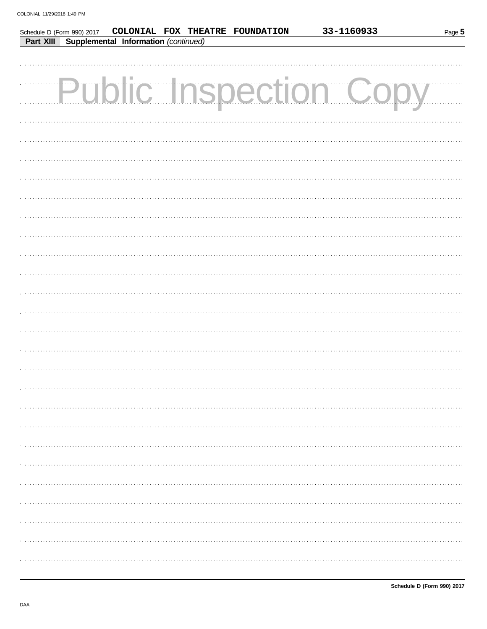| Schedule D (Form 990) 2017 | COLONIAL FOX THEATRE FOUNDATION      |  | 33-1160933             | Page 5 |
|----------------------------|--------------------------------------|--|------------------------|--------|
| Part XIII                  | Supplemental Information (continued) |  |                        |        |
|                            |                                      |  |                        |        |
|                            |                                      |  |                        |        |
|                            |                                      |  | Public Inspection Copy |        |
|                            |                                      |  |                        |        |
|                            |                                      |  |                        |        |
|                            |                                      |  |                        |        |
|                            |                                      |  |                        |        |
|                            |                                      |  |                        |        |
|                            |                                      |  |                        |        |
|                            |                                      |  |                        |        |
|                            |                                      |  |                        |        |
|                            |                                      |  |                        |        |
|                            |                                      |  |                        |        |
|                            |                                      |  |                        |        |
|                            |                                      |  |                        |        |
|                            |                                      |  |                        |        |
|                            |                                      |  |                        |        |
|                            |                                      |  |                        |        |
|                            |                                      |  |                        |        |
|                            |                                      |  |                        |        |
|                            |                                      |  |                        |        |
|                            |                                      |  |                        |        |
|                            |                                      |  |                        |        |
|                            |                                      |  |                        |        |
|                            |                                      |  |                        |        |
|                            |                                      |  |                        |        |
|                            |                                      |  |                        |        |
|                            |                                      |  |                        |        |
|                            |                                      |  |                        |        |
|                            |                                      |  |                        |        |
|                            |                                      |  |                        |        |
|                            |                                      |  |                        |        |
|                            |                                      |  |                        |        |
|                            |                                      |  |                        |        |
|                            |                                      |  |                        |        |
|                            |                                      |  |                        |        |
|                            |                                      |  |                        |        |
|                            |                                      |  |                        |        |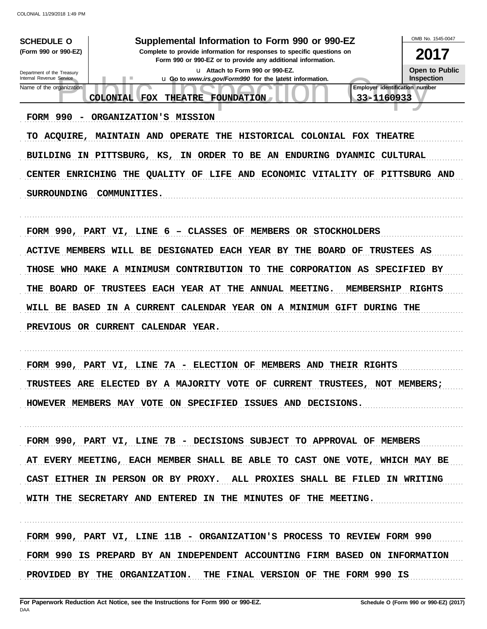| <b>SCHEDULE O</b><br>(Form 990 or 990-EZ)<br>Department of the Treasury<br>Internal Revenue Service<br>Name of the organization    | ш                                                                                                               | Supplemental Information to Form 990 or 990-EZ<br>Complete to provide information for responses to specific questions on<br>Form 990 or 990-EZ or to provide any additional information.<br>u Attach to Form 990 or 990-EZ.<br><b>u</b> Go to www.irs.gov/Form990 for the latest information.    | <b>Employer identification number</b>               | OMB No. 1545-0047<br>2017<br><b>Open to Public</b><br><b>Inspection</b> |
|------------------------------------------------------------------------------------------------------------------------------------|-----------------------------------------------------------------------------------------------------------------|--------------------------------------------------------------------------------------------------------------------------------------------------------------------------------------------------------------------------------------------------------------------------------------------------|-----------------------------------------------------|-------------------------------------------------------------------------|
| <b>COLONIAL</b><br>FORM 990<br>$\sim$<br><b>TO ACOUIRE,</b><br><b>ENRICHING</b><br><b>CENTER</b>                                   | <b>FOX</b><br>THEATRE FOUNDATION<br>ORGANIZATION'S MISSION<br><b>MAINTAIN AND</b><br>QUALITY OF LIFE AND<br>THE | OPERATE THE HISTORICAL COLONIAL FOX THEATRE<br>BUILDING IN PITTSBURG, KS, IN ORDER TO BE AN ENDURING DYANMIC<br><b>ECONOMIC VITALITY OF</b>                                                                                                                                                      | 33-1160933                                          | <b>CULTURAL</b><br>PITTSBURG AND                                        |
| <b>SURROUNDING</b><br><b>ACTIVE MEMBERS</b><br><b>THOSE</b><br>WHO MAKE<br><b>THE BOARD OF</b><br>WILL BE BASED<br><b>PREVIOUS</b> | COMMUNITIES.<br>WILL BE DESIGNATED EACH YEAR BY<br>A MINIMUSM CONTRIBUTION<br>OR CURRENT CALENDAR YEAR.         | FORM 990, PART VI, LINE 6 - CLASSES OF MEMBERS OR STOCKHOLDERS<br>THE<br><b>CORPORATION AS</b><br>TO<br>THE<br>TRUSTEES EACH YEAR AT THE ANNUAL MEETING.<br>IN A CURRENT CALENDAR YEAR ON A MINIMUM GIFT DURING THE                                                                              | BOARD OF<br><b>TRUSTEES AS</b><br><b>MEMBERSHIP</b> | SPECIFIED BY<br><b>RIGHTS</b>                                           |
| FORM 990, PART VI, LINE<br>TRUSTEES ARE ELECTED BY A MAJORITY VOTE OF CURRENT TRUSTEES, NOT MEMBERS;                               | <b>7A - ELECTION OF</b>                                                                                         | <b>MEMBERS AND</b><br>HOWEVER MEMBERS MAY VOTE ON SPECIFIED ISSUES AND DECISIONS.                                                                                                                                                                                                                | THEIR RIGHTS                                        |                                                                         |
|                                                                                                                                    |                                                                                                                 | FORM 990, PART VI, LINE 7B - DECISIONS SUBJECT TO APPROVAL OF MEMBERS<br>AT EVERY MEETING, EACH MEMBER SHALL BE ABLE TO CAST ONE VOTE, WHICH MAY BE<br>CAST EITHER IN PERSON OR BY PROXY. ALL PROXIES SHALL BE FILED IN WRITING<br>WITH THE SECRETARY AND ENTERED IN THE MINUTES OF THE MEETING. |                                                     |                                                                         |
|                                                                                                                                    |                                                                                                                 | FORM 990, PART VI, LINE 11B - ORGANIZATION'S PROCESS TO REVIEW FORM 990<br>FORM 990 IS PREPARD BY AN INDEPENDENT ACCOUNTING FIRM BASED ON INFORMATION<br>PROVIDED BY THE ORGANIZATION. THE FINAL VERSION OF THE FORM 990 IS                                                                      |                                                     |                                                                         |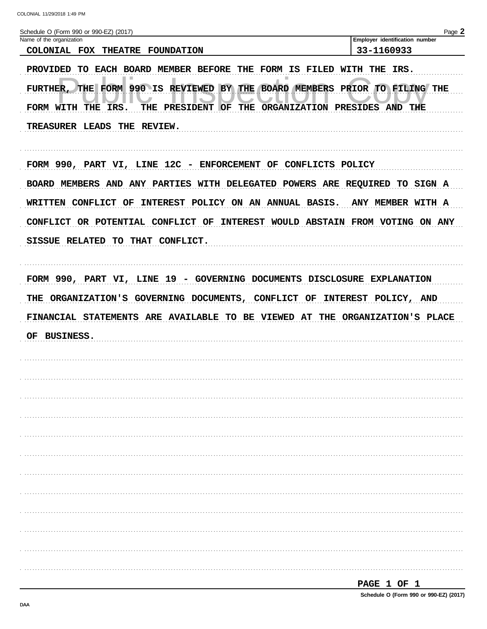| Schedule O (Form 990 or 990-EZ) (2017)                                                                                                                             | Page 2                                       |
|--------------------------------------------------------------------------------------------------------------------------------------------------------------------|----------------------------------------------|
| Name of the organization<br>COLONIAL FOX<br>THEATRE FOUNDATION                                                                                                     | Employer identification number<br>33-1160933 |
| TO EACH BOARD MEMBER BEFORE<br>THE<br><b>FORM</b><br>IS<br><b>PROVIDED</b>                                                                                         | FILED WITH THE IRS.                          |
| ш<br>٠                                                                                                                                                             |                                              |
| FURTHER, THE FORM 990 IS REVIEWED BY THE<br><b>BOARD</b>                                                                                                           | MEMBERS PRIOR TO FILING THE                  |
| IRS.<br>THE<br>THE<br>THE<br>PRESIDENT OF<br><b>FORM WITH</b>                                                                                                      | ORGANIZATION PRESIDES AND THE                |
| THE REVIEW.<br>TREASURER LEADS                                                                                                                                     |                                              |
|                                                                                                                                                                    |                                              |
| FORM 990, PART VI, LINE 12C - ENFORCEMENT OF CONFLICTS POLICY                                                                                                      |                                              |
| BOARD MEMBERS AND ANY PARTIES WITH DELEGATED POWERS ARE REQUIRED                                                                                                   | TO SIGN A                                    |
| INTEREST POLICY ON AN ANNUAL BASIS.<br>WRITTEN CONFLICT OF                                                                                                         | ANY MEMBER WITH A                            |
| CONFLICT OR POTENTIAL CONFLICT OF INTEREST WOULD ABSTAIN FROM VOTING ON ANY                                                                                        |                                              |
|                                                                                                                                                                    |                                              |
|                                                                                                                                                                    |                                              |
| SISSUE RELATED TO THAT CONFLICT.<br>FORM 990, PART VI, LINE 19 - GOVERNING DOCUMENTS DISCLOSURE EXPLANATION<br>THE ORGANIZATION'S GOVERNING DOCUMENTS, CONFLICT OF | INTEREST POLICY, AND                         |
| FINANCIAL STATEMENTS ARE AVAILABLE TO BE VIEWED AT                                                                                                                 | THE ORGANIZATION'S PLACE                     |
| OF BUSINESS.                                                                                                                                                       |                                              |
|                                                                                                                                                                    |                                              |
|                                                                                                                                                                    |                                              |
|                                                                                                                                                                    |                                              |
|                                                                                                                                                                    |                                              |
|                                                                                                                                                                    |                                              |
|                                                                                                                                                                    |                                              |
|                                                                                                                                                                    |                                              |
|                                                                                                                                                                    |                                              |
|                                                                                                                                                                    |                                              |
|                                                                                                                                                                    |                                              |

| <b>PAGE</b> |  |  |  |
|-------------|--|--|--|
|-------------|--|--|--|